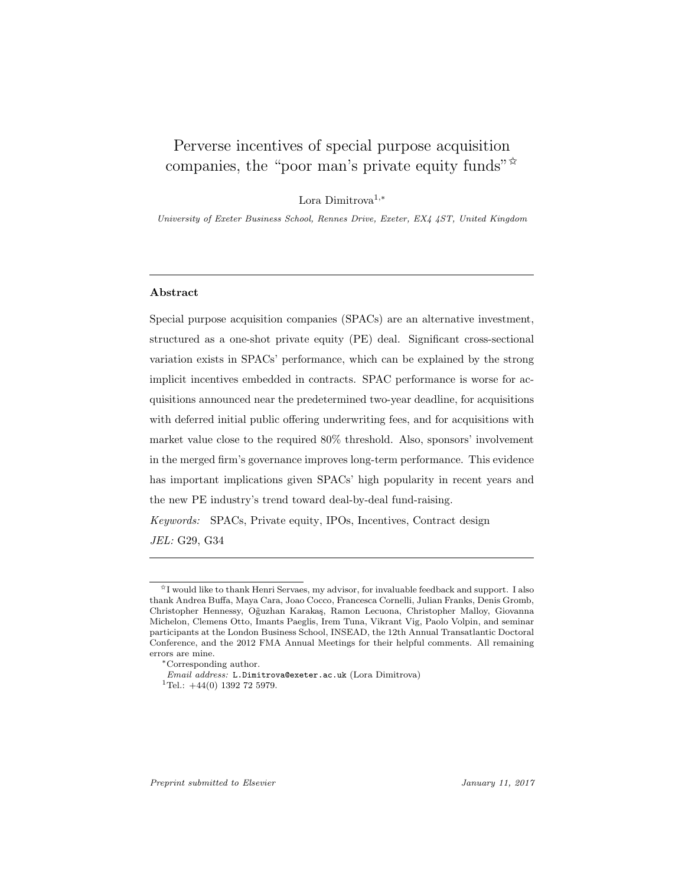# Perverse incentives of special purpose acquisition companies, the "poor man's private equity funds" $\mathbb{R}^n$

Lora Dimitrova1,<sup>∗</sup>

University of Exeter Business School, Rennes Drive, Exeter, EX4 4ST, United Kingdom

## Abstract

Special purpose acquisition companies (SPACs) are an alternative investment, structured as a one-shot private equity (PE) deal. Significant cross-sectional variation exists in SPACs' performance, which can be explained by the strong implicit incentives embedded in contracts. SPAC performance is worse for acquisitions announced near the predetermined two-year deadline, for acquisitions with deferred initial public offering underwriting fees, and for acquisitions with market value close to the required 80% threshold. Also, sponsors' involvement in the merged firm's governance improves long-term performance. This evidence has important implications given SPACs' high popularity in recent years and the new PE industry's trend toward deal-by-deal fund-raising.

Keywords: SPACs, Private equity, IPOs, Incentives, Contract design JEL: G29, G34

<sup>✩</sup>I would like to thank Henri Servaes, my advisor, for invaluable feedback and support. I also thank Andrea Buffa, Maya Cara, Joao Cocco, Francesca Cornelli, Julian Franks, Denis Gromb, Christopher Hennessy, Oğuzhan Karakaş, Ramon Lecuona, Christopher Malloy, Giovanna Michelon, Clemens Otto, Imants Paeglis, Irem Tuna, Vikrant Vig, Paolo Volpin, and seminar participants at the London Business School, INSEAD, the 12th Annual Transatlantic Doctoral Conference, and the 2012 FMA Annual Meetings for their helpful comments. All remaining errors are mine.

<sup>∗</sup>Corresponding author.

Email address: L.Dimitrova@exeter.ac.uk (Lora Dimitrova)

<sup>&</sup>lt;sup>1</sup>Tel.:  $+44(0)$  1392 72 5979.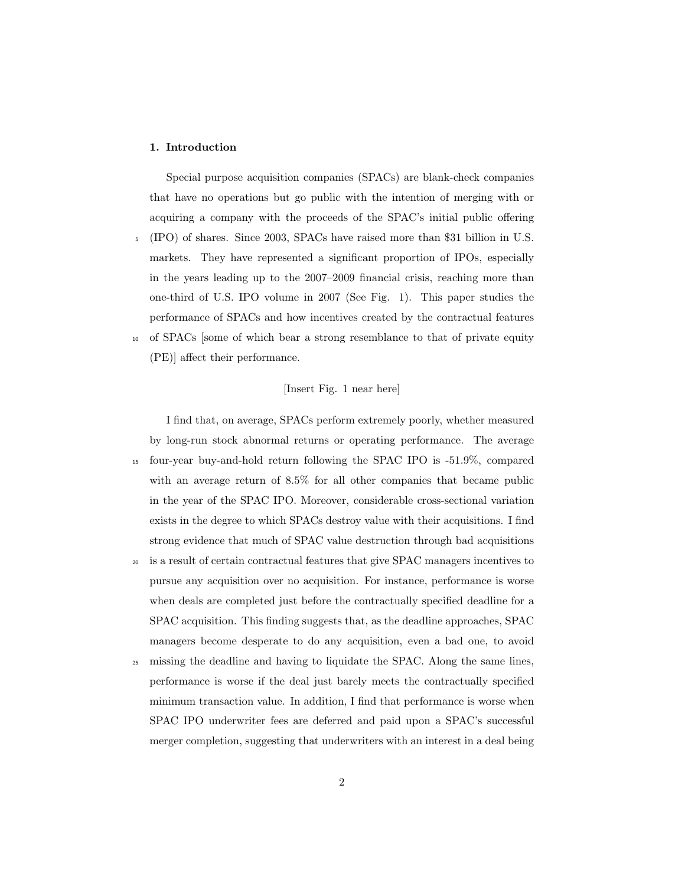## 1. Introduction

(PE)] affect their performance.

Special purpose acquisition companies (SPACs) are blank-check companies that have no operations but go public with the intention of merging with or acquiring a company with the proceeds of the SPAC's initial public offering <sup>5</sup> (IPO) of shares. Since 2003, SPACs have raised more than \$31 billion in U.S. markets. They have represented a significant proportion of IPOs, especially in the years leading up to the 2007–2009 financial crisis, reaching more than one-third of U.S. IPO volume in 2007 (See Fig. 1). This paper studies the performance of SPACs and how incentives created by the contractual features <sup>10</sup> of SPACs [some of which bear a strong resemblance to that of private equity

#### [Insert Fig. 1 near here]

I find that, on average, SPACs perform extremely poorly, whether measured by long-run stock abnormal returns or operating performance. The average <sup>15</sup> four-year buy-and-hold return following the SPAC IPO is -51.9%, compared with an average return of 8.5% for all other companies that became public in the year of the SPAC IPO. Moreover, considerable cross-sectional variation exists in the degree to which SPACs destroy value with their acquisitions. I find strong evidence that much of SPAC value destruction through bad acquisitions <sup>20</sup> is a result of certain contractual features that give SPAC managers incentives to

pursue any acquisition over no acquisition. For instance, performance is worse when deals are completed just before the contractually specified deadline for a SPAC acquisition. This finding suggests that, as the deadline approaches, SPAC managers become desperate to do any acquisition, even a bad one, to avoid

<sup>25</sup> missing the deadline and having to liquidate the SPAC. Along the same lines, performance is worse if the deal just barely meets the contractually specified minimum transaction value. In addition, I find that performance is worse when SPAC IPO underwriter fees are deferred and paid upon a SPAC's successful merger completion, suggesting that underwriters with an interest in a deal being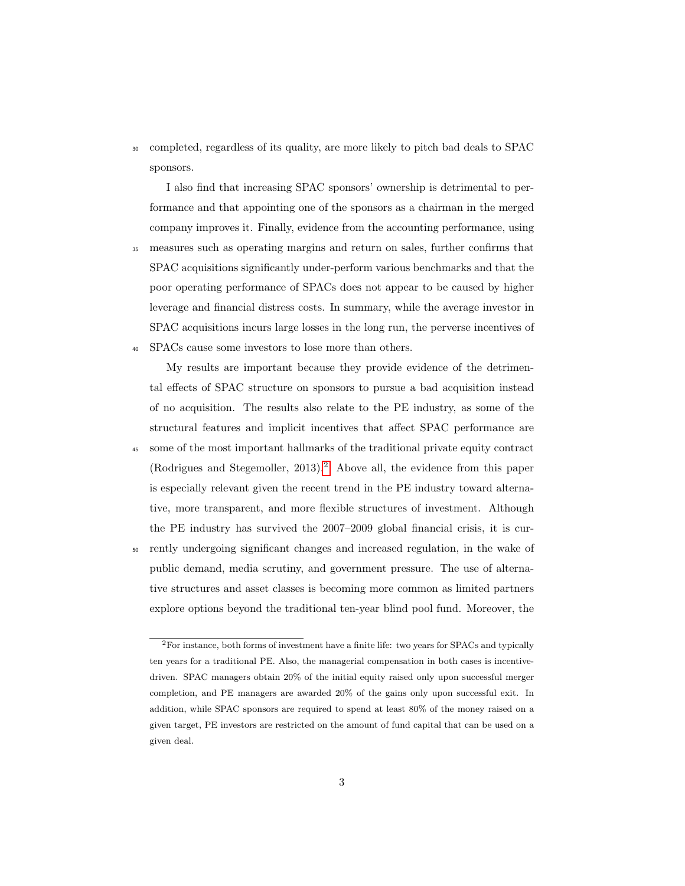<sup>30</sup> completed, regardless of its quality, are more likely to pitch bad deals to SPAC sponsors.

I also find that increasing SPAC sponsors' ownership is detrimental to performance and that appointing one of the sponsors as a chairman in the merged company improves it. Finally, evidence from the accounting performance, using

<sup>35</sup> measures such as operating margins and return on sales, further confirms that SPAC acquisitions significantly under-perform various benchmarks and that the poor operating performance of SPACs does not appear to be caused by higher leverage and financial distress costs. In summary, while the average investor in SPAC acquisitions incurs large losses in the long run, the perverse incentives of <sup>40</sup> SPACs cause some investors to lose more than others.

My results are important because they provide evidence of the detrimental effects of SPAC structure on sponsors to pursue a bad acquisition instead of no acquisition. The results also relate to the PE industry, as some of the structural features and implicit incentives that affect SPAC performance are

- <sup>45</sup> some of the most important hallmarks of the traditional private equity contract (Rodrigues and Stegemoller, [2](#page-2-0)013).<sup>2</sup> Above all, the evidence from this paper is especially relevant given the recent trend in the PE industry toward alternative, more transparent, and more flexible structures of investment. Although the PE industry has survived the 2007–2009 global financial crisis, it is cur-
- <sup>50</sup> rently undergoing significant changes and increased regulation, in the wake of public demand, media scrutiny, and government pressure. The use of alternative structures and asset classes is becoming more common as limited partners explore options beyond the traditional ten-year blind pool fund. Moreover, the

<span id="page-2-0"></span><sup>2</sup>For instance, both forms of investment have a finite life: two years for SPACs and typically ten years for a traditional PE. Also, the managerial compensation in both cases is incentivedriven. SPAC managers obtain 20% of the initial equity raised only upon successful merger completion, and PE managers are awarded 20% of the gains only upon successful exit. In addition, while SPAC sponsors are required to spend at least 80% of the money raised on a given target, PE investors are restricted on the amount of fund capital that can be used on a given deal.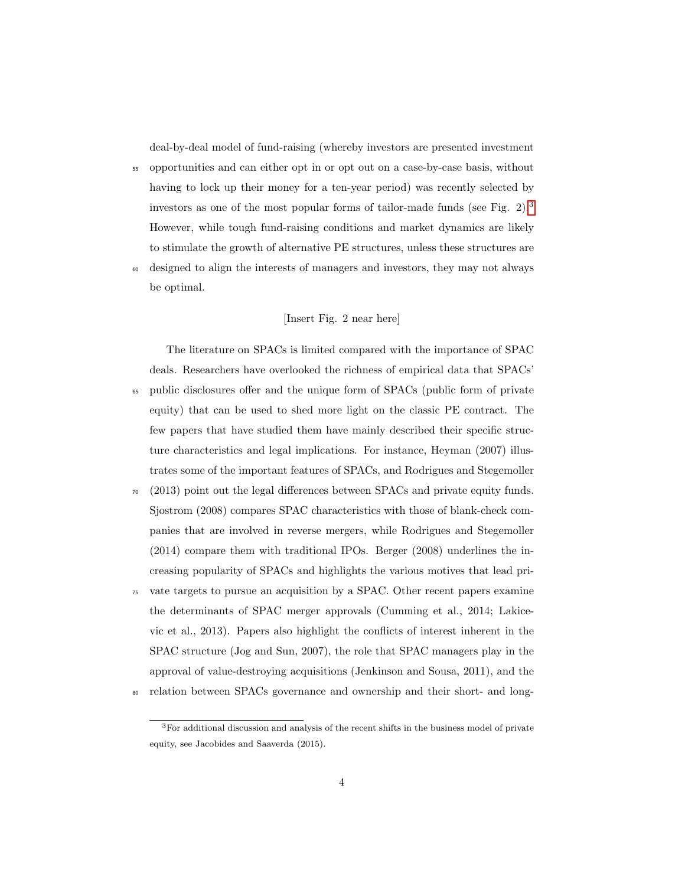deal-by-deal model of fund-raising (whereby investors are presented investment

- <sup>55</sup> opportunities and can either opt in or opt out on a case-by-case basis, without having to lock up their money for a ten-year period) was recently selected by investors as one of the most popular forms of tailor-made funds (see Fig. 2).[3](#page-3-0) However, while tough fund-raising conditions and market dynamics are likely to stimulate the growth of alternative PE structures, unless these structures are
- <sup>60</sup> designed to align the interests of managers and investors, they may not always be optimal.

## [Insert Fig. 2 near here]

The literature on SPACs is limited compared with the importance of SPAC deals. Researchers have overlooked the richness of empirical data that SPACs' <sup>65</sup> public disclosures offer and the unique form of SPACs (public form of private equity) that can be used to shed more light on the classic PE contract. The few papers that have studied them have mainly described their specific structure characteristics and legal implications. For instance, Heyman (2007) illustrates some of the important features of SPACs, and Rodrigues and Stegemoller

- $\sigma$  (2013) point out the legal differences between SPACs and private equity funds. Sjostrom (2008) compares SPAC characteristics with those of blank-check companies that are involved in reverse mergers, while Rodrigues and Stegemoller (2014) compare them with traditional IPOs. Berger (2008) underlines the increasing popularity of SPACs and highlights the various motives that lead pri-
- <sup>75</sup> vate targets to pursue an acquisition by a SPAC. Other recent papers examine the determinants of SPAC merger approvals (Cumming et al., 2014; Lakicevic et al., 2013). Papers also highlight the conflicts of interest inherent in the SPAC structure (Jog and Sun, 2007), the role that SPAC managers play in the approval of value-destroying acquisitions (Jenkinson and Sousa, 2011), and the
- <sup>80</sup> relation between SPACs governance and ownership and their short- and long-

<span id="page-3-0"></span> $3$  For additional discussion and analysis of the recent shifts in the business model of private equity, see Jacobides and Saaverda (2015).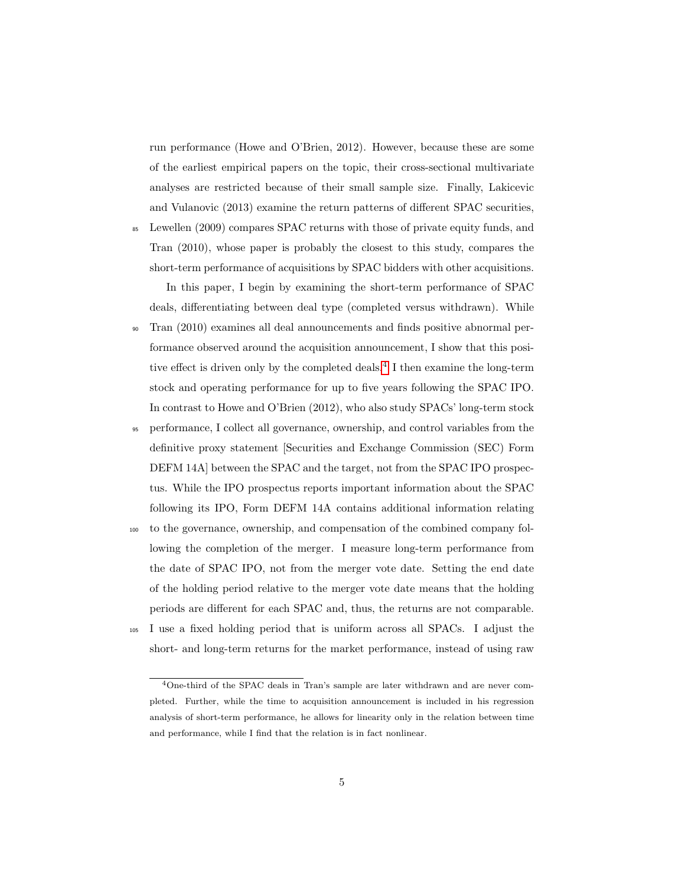run performance (Howe and O'Brien, 2012). However, because these are some of the earliest empirical papers on the topic, their cross-sectional multivariate analyses are restricted because of their small sample size. Finally, Lakicevic and Vulanovic (2013) examine the return patterns of different SPAC securities,

<sup>85</sup> Lewellen (2009) compares SPAC returns with those of private equity funds, and Tran (2010), whose paper is probably the closest to this study, compares the short-term performance of acquisitions by SPAC bidders with other acquisitions.

In this paper, I begin by examining the short-term performance of SPAC deals, differentiating between deal type (completed versus withdrawn). While

- <sup>90</sup> Tran (2010) examines all deal announcements and finds positive abnormal performance observed around the acquisition announcement, I show that this posi-tive effect is driven only by the completed deals.<sup>[4](#page-4-0)</sup> I then examine the long-term stock and operating performance for up to five years following the SPAC IPO. In contrast to Howe and O'Brien (2012), who also study SPACs' long-term stock
- <sup>95</sup> performance, I collect all governance, ownership, and control variables from the definitive proxy statement [Securities and Exchange Commission (SEC) Form DEFM 14A] between the SPAC and the target, not from the SPAC IPO prospectus. While the IPO prospectus reports important information about the SPAC following its IPO, Form DEFM 14A contains additional information relating
- <sup>100</sup> to the governance, ownership, and compensation of the combined company following the completion of the merger. I measure long-term performance from the date of SPAC IPO, not from the merger vote date. Setting the end date of the holding period relative to the merger vote date means that the holding periods are different for each SPAC and, thus, the returns are not comparable.
- <sup>105</sup> I use a fixed holding period that is uniform across all SPACs. I adjust the short- and long-term returns for the market performance, instead of using raw

<span id="page-4-0"></span><sup>4</sup>One-third of the SPAC deals in Tran's sample are later withdrawn and are never completed. Further, while the time to acquisition announcement is included in his regression analysis of short-term performance, he allows for linearity only in the relation between time and performance, while I find that the relation is in fact nonlinear.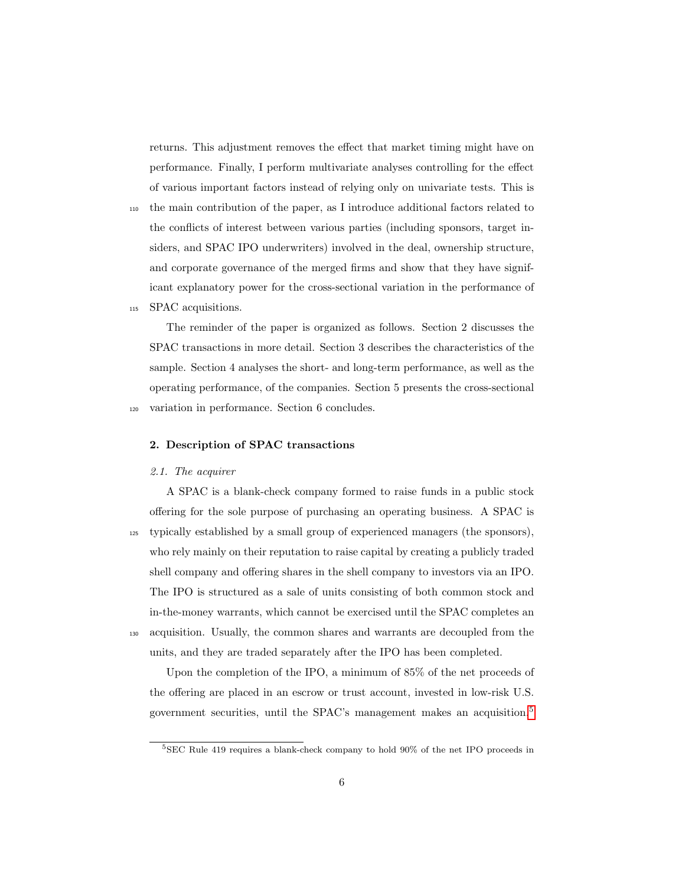returns. This adjustment removes the effect that market timing might have on performance. Finally, I perform multivariate analyses controlling for the effect of various important factors instead of relying only on univariate tests. This is

<sup>110</sup> the main contribution of the paper, as I introduce additional factors related to the conflicts of interest between various parties (including sponsors, target insiders, and SPAC IPO underwriters) involved in the deal, ownership structure, and corporate governance of the merged firms and show that they have significant explanatory power for the cross-sectional variation in the performance of <sup>115</sup> SPAC acquisitions.

The reminder of the paper is organized as follows. Section 2 discusses the

SPAC transactions in more detail. Section 3 describes the characteristics of the sample. Section 4 analyses the short- and long-term performance, as well as the operating performance, of the companies. Section 5 presents the cross-sectional <sup>120</sup> variation in performance. Section 6 concludes.

#### 2. Description of SPAC transactions

#### 2.1. The acquirer

A SPAC is a blank-check company formed to raise funds in a public stock offering for the sole purpose of purchasing an operating business. A SPAC is <sup>125</sup> typically established by a small group of experienced managers (the sponsors), who rely mainly on their reputation to raise capital by creating a publicly traded shell company and offering shares in the shell company to investors via an IPO. The IPO is structured as a sale of units consisting of both common stock and in-the-money warrants, which cannot be exercised until the SPAC completes an <sup>130</sup> acquisition. Usually, the common shares and warrants are decoupled from the

units, and they are traded separately after the IPO has been completed.

Upon the completion of the IPO, a minimum of 85% of the net proceeds of the offering are placed in an escrow or trust account, invested in low-risk U.S. government securities, until the SPAC's management makes an acquisition.[5](#page-5-0)

<span id="page-5-0"></span><sup>5</sup>SEC Rule 419 requires a blank-check company to hold 90% of the net IPO proceeds in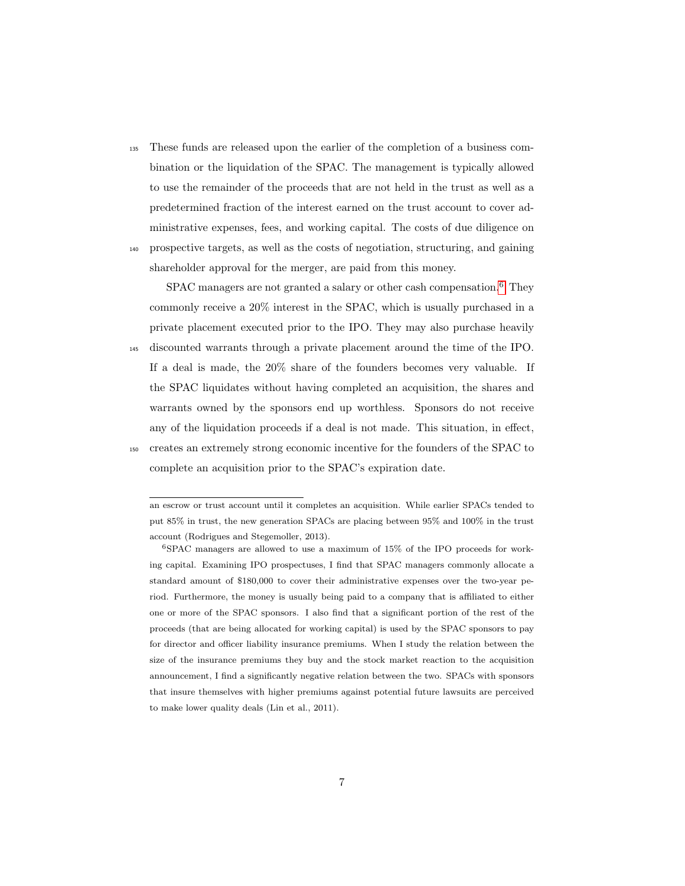<sup>135</sup> These funds are released upon the earlier of the completion of a business combination or the liquidation of the SPAC. The management is typically allowed to use the remainder of the proceeds that are not held in the trust as well as a predetermined fraction of the interest earned on the trust account to cover administrative expenses, fees, and working capital. The costs of due diligence on <sup>140</sup> prospective targets, as well as the costs of negotiation, structuring, and gaining

shareholder approval for the merger, are paid from this money.

SPAC managers are not granted a salary or other cash compensation.<sup>[6](#page-6-0)</sup> They commonly receive a 20% interest in the SPAC, which is usually purchased in a private placement executed prior to the IPO. They may also purchase heavily <sup>145</sup> discounted warrants through a private placement around the time of the IPO.

- If a deal is made, the 20% share of the founders becomes very valuable. If the SPAC liquidates without having completed an acquisition, the shares and warrants owned by the sponsors end up worthless. Sponsors do not receive any of the liquidation proceeds if a deal is not made. This situation, in effect, <sup>150</sup> creates an extremely strong economic incentive for the founders of the SPAC to
	- complete an acquisition prior to the SPAC's expiration date.

an escrow or trust account until it completes an acquisition. While earlier SPACs tended to put 85% in trust, the new generation SPACs are placing between 95% and 100% in the trust account (Rodrigues and Stegemoller, 2013).

<span id="page-6-0"></span><sup>6</sup>SPAC managers are allowed to use a maximum of 15% of the IPO proceeds for working capital. Examining IPO prospectuses, I find that SPAC managers commonly allocate a standard amount of \$180,000 to cover their administrative expenses over the two-year period. Furthermore, the money is usually being paid to a company that is affiliated to either one or more of the SPAC sponsors. I also find that a significant portion of the rest of the proceeds (that are being allocated for working capital) is used by the SPAC sponsors to pay for director and officer liability insurance premiums. When I study the relation between the size of the insurance premiums they buy and the stock market reaction to the acquisition announcement, I find a significantly negative relation between the two. SPACs with sponsors that insure themselves with higher premiums against potential future lawsuits are perceived to make lower quality deals (Lin et al., 2011).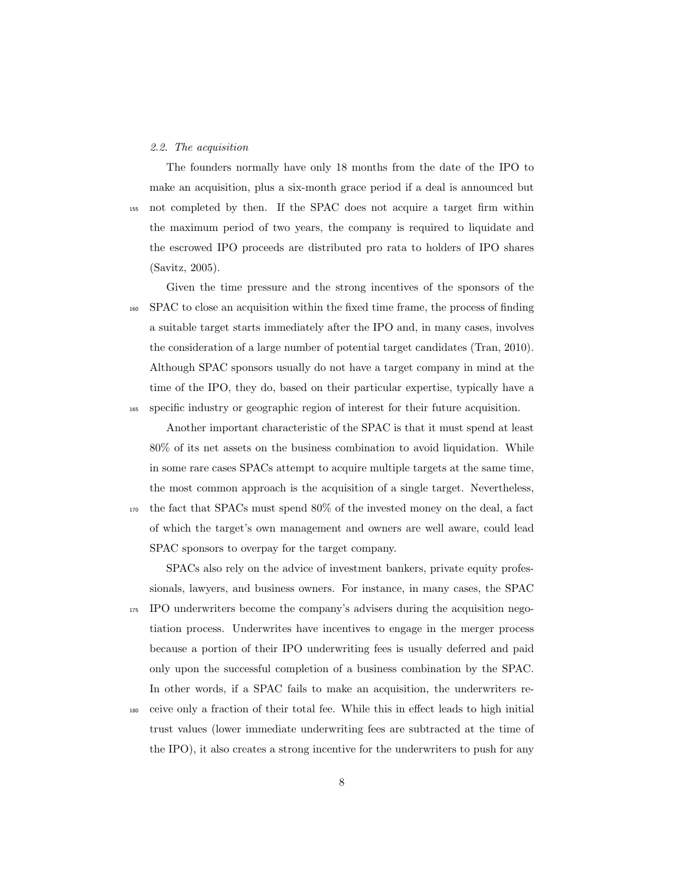#### 2.2. The acquisition

The founders normally have only 18 months from the date of the IPO to make an acquisition, plus a six-month grace period if a deal is announced but <sup>155</sup> not completed by then. If the SPAC does not acquire a target firm within the maximum period of two years, the company is required to liquidate and the escrowed IPO proceeds are distributed pro rata to holders of IPO shares (Savitz, 2005).

Given the time pressure and the strong incentives of the sponsors of the <sup>160</sup> SPAC to close an acquisition within the fixed time frame, the process of finding a suitable target starts immediately after the IPO and, in many cases, involves the consideration of a large number of potential target candidates (Tran, 2010). Although SPAC sponsors usually do not have a target company in mind at the time of the IPO, they do, based on their particular expertise, typically have a <sup>165</sup> specific industry or geographic region of interest for their future acquisition.

Another important characteristic of the SPAC is that it must spend at least 80% of its net assets on the business combination to avoid liquidation. While in some rare cases SPACs attempt to acquire multiple targets at the same time, the most common approach is the acquisition of a single target. Nevertheless, <sup>170</sup> the fact that SPACs must spend 80% of the invested money on the deal, a fact of which the target's own management and owners are well aware, could lead SPAC sponsors to overpay for the target company.

SPACs also rely on the advice of investment bankers, private equity professionals, lawyers, and business owners. For instance, in many cases, the SPAC <sup>175</sup> IPO underwriters become the company's advisers during the acquisition negotiation process. Underwrites have incentives to engage in the merger process because a portion of their IPO underwriting fees is usually deferred and paid only upon the successful completion of a business combination by the SPAC. In other words, if a SPAC fails to make an acquisition, the underwriters re-<sup>180</sup> ceive only a fraction of their total fee. While this in effect leads to high initial

trust values (lower immediate underwriting fees are subtracted at the time of the IPO), it also creates a strong incentive for the underwriters to push for any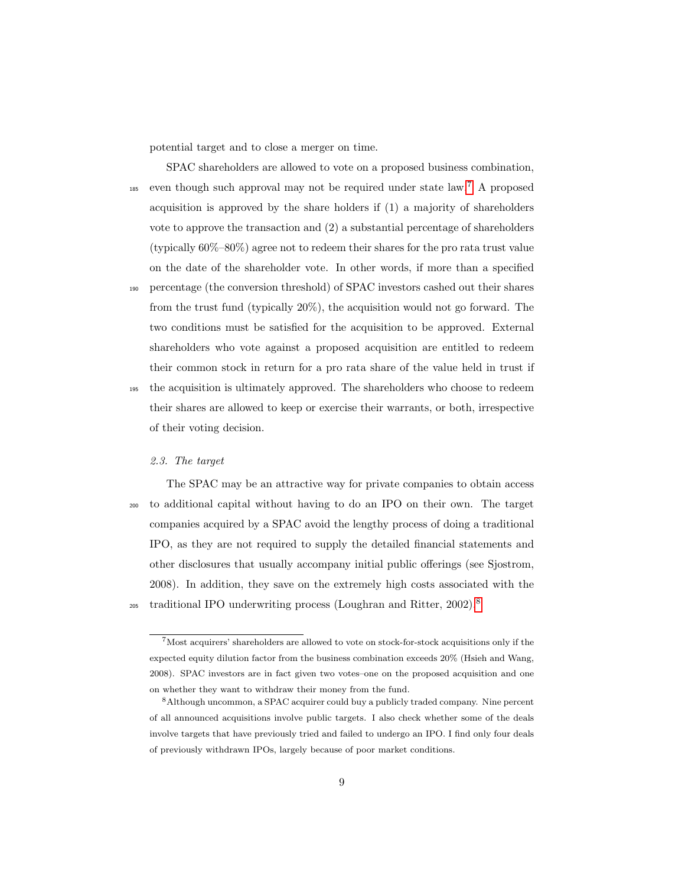potential target and to close a merger on time.

SPAC shareholders are allowed to vote on a proposed business combination,  $185$  even though such approval may not be required under state law.<sup>[7](#page-8-0)</sup> A proposed acquisition is approved by the share holders if (1) a majority of shareholders vote to approve the transaction and (2) a substantial percentage of shareholders (typically 60%–80%) agree not to redeem their shares for the pro rata trust value on the date of the shareholder vote. In other words, if more than a specified

<sup>190</sup> percentage (the conversion threshold) of SPAC investors cashed out their shares from the trust fund (typically 20%), the acquisition would not go forward. The two conditions must be satisfied for the acquisition to be approved. External shareholders who vote against a proposed acquisition are entitled to redeem their common stock in return for a pro rata share of the value held in trust if <sup>195</sup> the acquisition is ultimately approved. The shareholders who choose to redeem

their shares are allowed to keep or exercise their warrants, or both, irrespective of their voting decision.

# 2.3. The target

The SPAC may be an attractive way for private companies to obtain access <sup>200</sup> to additional capital without having to do an IPO on their own. The target companies acquired by a SPAC avoid the lengthy process of doing a traditional IPO, as they are not required to supply the detailed financial statements and other disclosures that usually accompany initial public offerings (see Sjostrom, 2008). In addition, they save on the extremely high costs associated with the traditional IPO underwriting process (Loughran and Ritter, 2002).[8](#page-8-1) 205

<span id="page-8-0"></span><sup>7</sup>Most acquirers' shareholders are allowed to vote on stock-for-stock acquisitions only if the expected equity dilution factor from the business combination exceeds 20% (Hsieh and Wang, 2008). SPAC investors are in fact given two votes–one on the proposed acquisition and one on whether they want to withdraw their money from the fund.

<span id="page-8-1"></span><sup>8</sup>Although uncommon, a SPAC acquirer could buy a publicly traded company. Nine percent of all announced acquisitions involve public targets. I also check whether some of the deals involve targets that have previously tried and failed to undergo an IPO. I find only four deals of previously withdrawn IPOs, largely because of poor market conditions.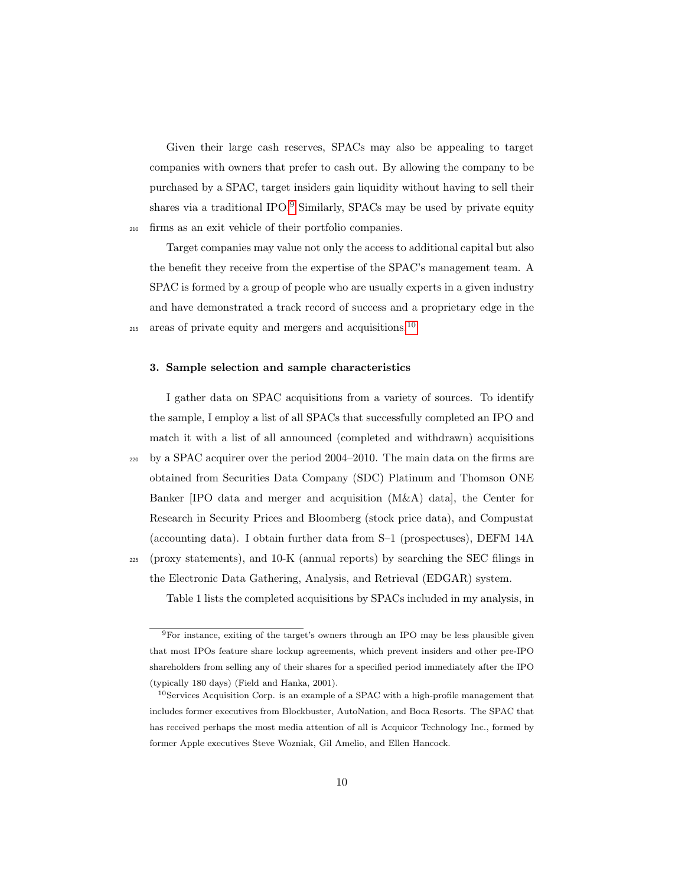Given their large cash reserves, SPACs may also be appealing to target companies with owners that prefer to cash out. By allowing the company to be purchased by a SPAC, target insiders gain liquidity without having to sell their shares via a traditional IPO.<sup>[9](#page-9-0)</sup> Similarly, SPACs may be used by private equity <sup>210</sup> firms as an exit vehicle of their portfolio companies.

Target companies may value not only the access to additional capital but also the benefit they receive from the expertise of the SPAC's management team. A SPAC is formed by a group of people who are usually experts in a given industry and have demonstrated a track record of success and a proprietary edge in the areas of private equity and mergers and acquisitions.[10](#page-9-1)

#### 3. Sample selection and sample characteristics

215

I gather data on SPAC acquisitions from a variety of sources. To identify the sample, I employ a list of all SPACs that successfully completed an IPO and match it with a list of all announced (completed and withdrawn) acquisitions  $_{220}$  by a SPAC acquirer over the period 2004–2010. The main data on the firms are obtained from Securities Data Company (SDC) Platinum and Thomson ONE Banker [IPO data and merger and acquisition (M&A) data], the Center for Research in Security Prices and Bloomberg (stock price data), and Compustat (accounting data). I obtain further data from S–1 (prospectuses), DEFM 14A <sup>225</sup> (proxy statements), and 10-K (annual reports) by searching the SEC filings in

the Electronic Data Gathering, Analysis, and Retrieval (EDGAR) system.

Table 1 lists the completed acquisitions by SPACs included in my analysis, in

<span id="page-9-0"></span><sup>9</sup>For instance, exiting of the target's owners through an IPO may be less plausible given that most IPOs feature share lockup agreements, which prevent insiders and other pre-IPO shareholders from selling any of their shares for a specified period immediately after the IPO (typically 180 days) (Field and Hanka, 2001).

<span id="page-9-1"></span> $10$ Services Acquisition Corp. is an example of a SPAC with a high-profile management that includes former executives from Blockbuster, AutoNation, and Boca Resorts. The SPAC that has received perhaps the most media attention of all is Acquicor Technology Inc., formed by former Apple executives Steve Wozniak, Gil Amelio, and Ellen Hancock.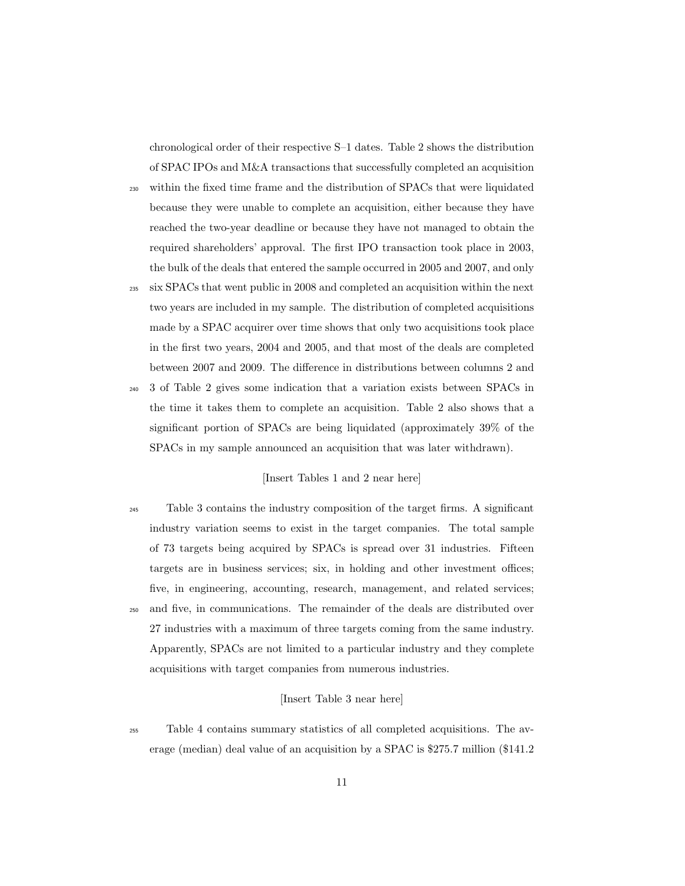chronological order of their respective S–1 dates. Table 2 shows the distribution of SPAC IPOs and M&A transactions that successfully completed an acquisition

- <sup>230</sup> within the fixed time frame and the distribution of SPACs that were liquidated because they were unable to complete an acquisition, either because they have reached the two-year deadline or because they have not managed to obtain the required shareholders' approval. The first IPO transaction took place in 2003, the bulk of the deals that entered the sample occurred in 2005 and 2007, and only
- <sup>235</sup> six SPACs that went public in 2008 and completed an acquisition within the next two years are included in my sample. The distribution of completed acquisitions made by a SPAC acquirer over time shows that only two acquisitions took place in the first two years, 2004 and 2005, and that most of the deals are completed between 2007 and 2009. The difference in distributions between columns 2 and
- <sup>240</sup> 3 of Table 2 gives some indication that a variation exists between SPACs in the time it takes them to complete an acquisition. Table 2 also shows that a significant portion of SPACs are being liquidated (approximately 39% of the SPACs in my sample announced an acquisition that was later withdrawn).

## [Insert Tables 1 and 2 near here]

<sup>245</sup> Table 3 contains the industry composition of the target firms. A significant industry variation seems to exist in the target companies. The total sample of 73 targets being acquired by SPACs is spread over 31 industries. Fifteen targets are in business services; six, in holding and other investment offices; five, in engineering, accounting, research, management, and related services; <sup>250</sup> and five, in communications. The remainder of the deals are distributed over 27 industries with a maximum of three targets coming from the same industry. Apparently, SPACs are not limited to a particular industry and they complete acquisitions with target companies from numerous industries.

# [Insert Table 3 near here]

<sup>255</sup> Table 4 contains summary statistics of all completed acquisitions. The average (median) deal value of an acquisition by a SPAC is \$275.7 million (\$141.2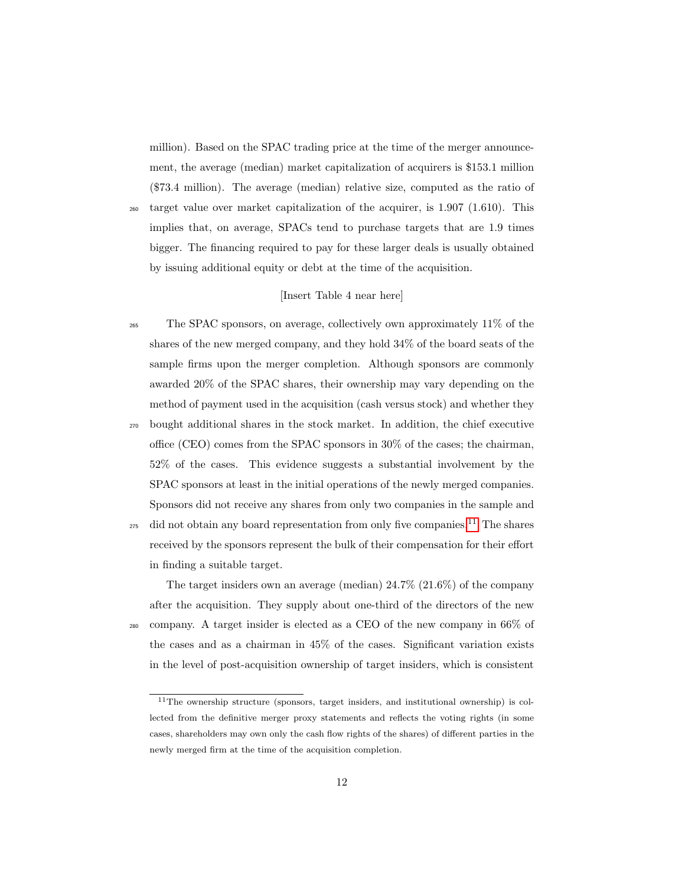million). Based on the SPAC trading price at the time of the merger announcement, the average (median) market capitalization of acquirers is \$153.1 million (\$73.4 million). The average (median) relative size, computed as the ratio of

 $_{260}$  target value over market capitalization of the acquirer, is 1.907 (1.610). This implies that, on average, SPACs tend to purchase targets that are 1.9 times bigger. The financing required to pay for these larger deals is usually obtained by issuing additional equity or debt at the time of the acquisition.

# [Insert Table 4 near here]

<sup>265</sup> The SPAC sponsors, on average, collectively own approximately 11% of the shares of the new merged company, and they hold 34% of the board seats of the sample firms upon the merger completion. Although sponsors are commonly awarded 20% of the SPAC shares, their ownership may vary depending on the method of payment used in the acquisition (cash versus stock) and whether they <sup>270</sup> bought additional shares in the stock market. In addition, the chief executive office (CEO) comes from the SPAC sponsors in 30% of the cases; the chairman, 52% of the cases. This evidence suggests a substantial involvement by the SPAC sponsors at least in the initial operations of the newly merged companies. Sponsors did not receive any shares from only two companies in the sample and <sup>275</sup> did not obtain any board representation from only five companies.<sup>[11](#page-11-0)</sup> The shares received by the sponsors represent the bulk of their compensation for their effort in finding a suitable target.

The target insiders own an average (median) 24.7% (21.6%) of the company after the acquisition. They supply about one-third of the directors of the new <sup>280</sup> company. A target insider is elected as a CEO of the new company in 66% of the cases and as a chairman in 45% of the cases. Significant variation exists in the level of post-acquisition ownership of target insiders, which is consistent

<span id="page-11-0"></span><sup>11</sup>The ownership structure (sponsors, target insiders, and institutional ownership) is collected from the definitive merger proxy statements and reflects the voting rights (in some cases, shareholders may own only the cash flow rights of the shares) of different parties in the newly merged firm at the time of the acquisition completion.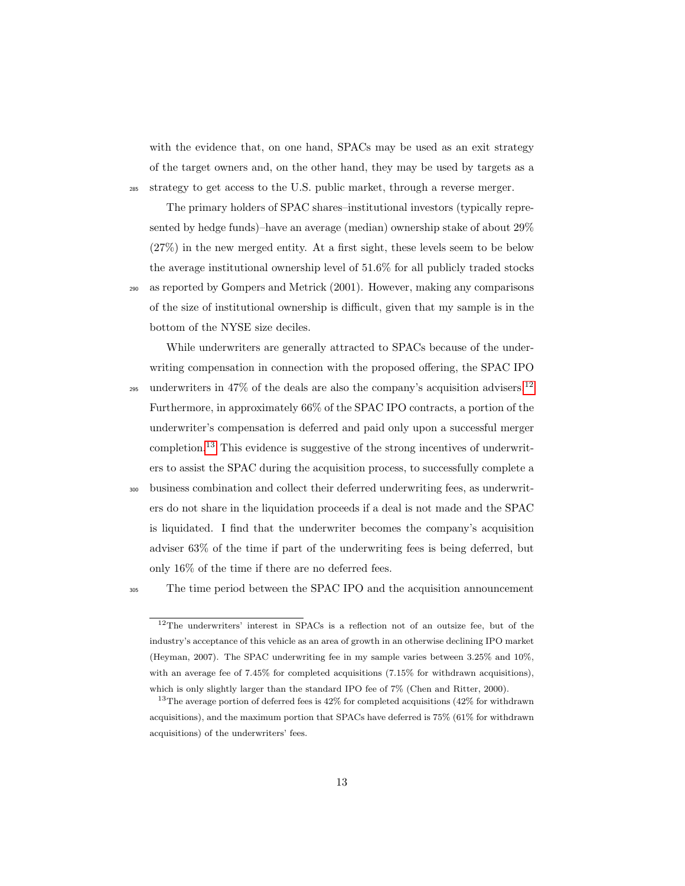with the evidence that, on one hand, SPACs may be used as an exit strategy of the target owners and, on the other hand, they may be used by targets as a <sup>285</sup> strategy to get access to the U.S. public market, through a reverse merger.

The primary holders of SPAC shares–institutional investors (typically represented by hedge funds)–have an average (median) ownership stake of about 29% (27%) in the new merged entity. At a first sight, these levels seem to be below the average institutional ownership level of 51.6% for all publicly traded stocks <sup>290</sup> as reported by Gompers and Metrick (2001). However, making any comparisons of the size of institutional ownership is difficult, given that my sample is in the bottom of the NYSE size deciles.

While underwriters are generally attracted to SPACs because of the underwriting compensation in connection with the proposed offering, the SPAC IPO

- underwriters in  $47\%$  of the deals are also the company's acquisition advisers.<sup>[12](#page-12-0)</sup> 295 Furthermore, in approximately 66% of the SPAC IPO contracts, a portion of the underwriter's compensation is deferred and paid only upon a successful merger completion.<sup>[13](#page-12-1)</sup> This evidence is suggestive of the strong incentives of underwriters to assist the SPAC during the acquisition process, to successfully complete a
- <sup>300</sup> business combination and collect their deferred underwriting fees, as underwriters do not share in the liquidation proceeds if a deal is not made and the SPAC is liquidated. I find that the underwriter becomes the company's acquisition adviser 63% of the time if part of the underwriting fees is being deferred, but only 16% of the time if there are no deferred fees.

<sup>305</sup> The time period between the SPAC IPO and the acquisition announcement

<span id="page-12-0"></span><sup>12</sup>The underwriters' interest in SPACs is a reflection not of an outsize fee, but of the industry's acceptance of this vehicle as an area of growth in an otherwise declining IPO market (Heyman, 2007). The SPAC underwriting fee in my sample varies between 3.25% and 10%, with an average fee of 7.45% for completed acquisitions (7.15% for withdrawn acquisitions), which is only slightly larger than the standard IPO fee of 7% (Chen and Ritter, 2000).

<span id="page-12-1"></span><sup>&</sup>lt;sup>13</sup>The average portion of deferred fees is  $42\%$  for completed acquisitions ( $42\%$  for withdrawn acquisitions), and the maximum portion that SPACs have deferred is 75% (61% for withdrawn acquisitions) of the underwriters' fees.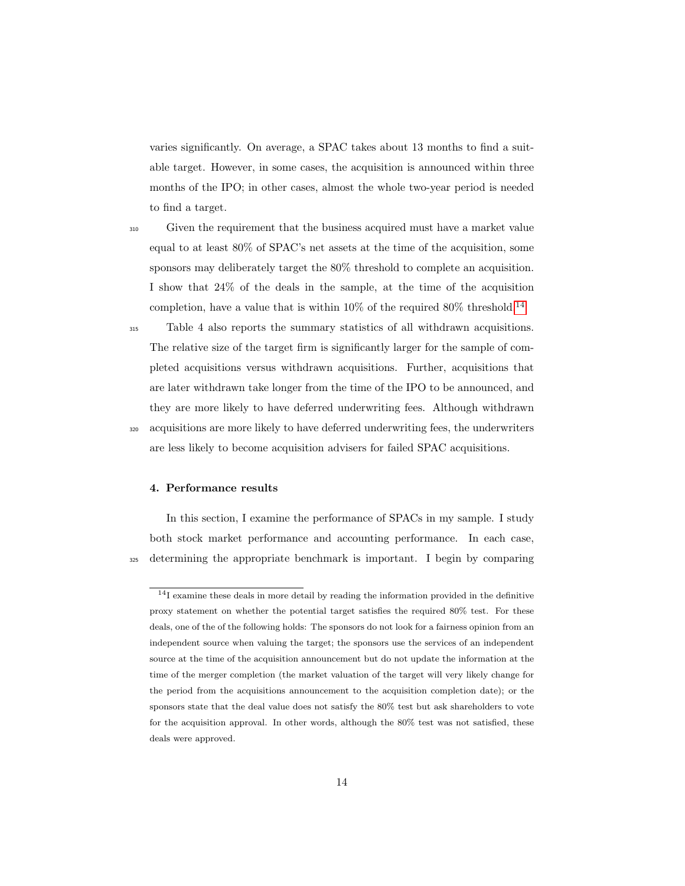varies significantly. On average, a SPAC takes about 13 months to find a suitable target. However, in some cases, the acquisition is announced within three months of the IPO; in other cases, almost the whole two-year period is needed to find a target.

<sup>310</sup> Given the requirement that the business acquired must have a market value equal to at least 80% of SPAC's net assets at the time of the acquisition, some sponsors may deliberately target the 80% threshold to complete an acquisition. I show that 24% of the deals in the sample, at the time of the acquisition completion, have a value that is within  $10\%$  of the required 80% threshold.<sup>[14](#page-13-0)</sup>

<sup>315</sup> Table 4 also reports the summary statistics of all withdrawn acquisitions. The relative size of the target firm is significantly larger for the sample of completed acquisitions versus withdrawn acquisitions. Further, acquisitions that are later withdrawn take longer from the time of the IPO to be announced, and they are more likely to have deferred underwriting fees. Although withdrawn <sup>320</sup> acquisitions are more likely to have deferred underwriting fees, the underwriters are less likely to become acquisition advisers for failed SPAC acquisitions.

#### 4. Performance results

In this section, I examine the performance of SPACs in my sample. I study both stock market performance and accounting performance. In each case, <sup>325</sup> determining the appropriate benchmark is important. I begin by comparing

<span id="page-13-0"></span><sup>14</sup>I examine these deals in more detail by reading the information provided in the definitive proxy statement on whether the potential target satisfies the required 80% test. For these deals, one of the of the following holds: The sponsors do not look for a fairness opinion from an independent source when valuing the target; the sponsors use the services of an independent source at the time of the acquisition announcement but do not update the information at the time of the merger completion (the market valuation of the target will very likely change for the period from the acquisitions announcement to the acquisition completion date); or the sponsors state that the deal value does not satisfy the 80% test but ask shareholders to vote for the acquisition approval. In other words, although the 80% test was not satisfied, these deals were approved.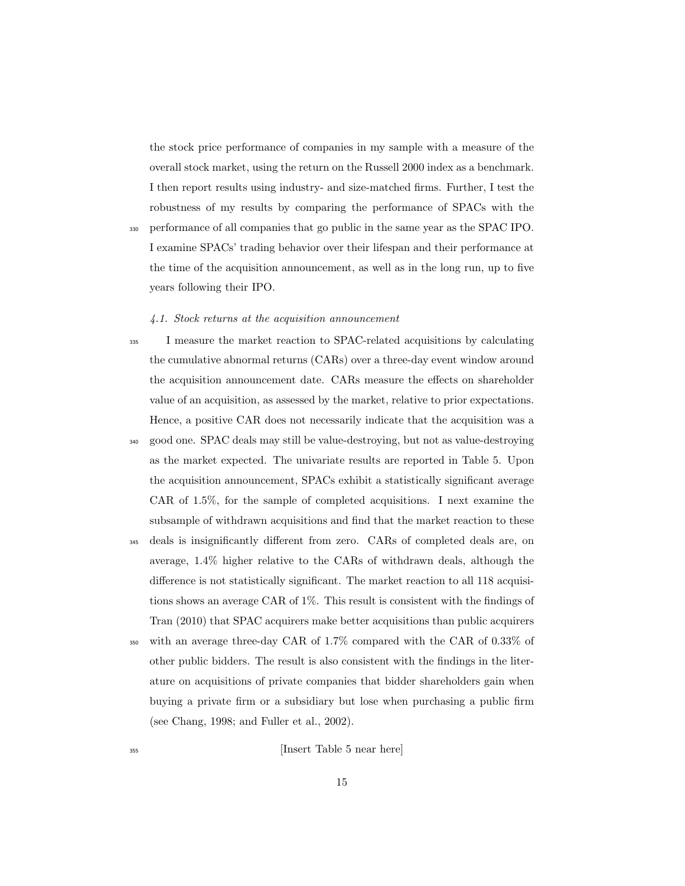the stock price performance of companies in my sample with a measure of the overall stock market, using the return on the Russell 2000 index as a benchmark. I then report results using industry- and size-matched firms. Further, I test the robustness of my results by comparing the performance of SPACs with the

<sup>330</sup> performance of all companies that go public in the same year as the SPAC IPO. I examine SPACs' trading behavior over their lifespan and their performance at the time of the acquisition announcement, as well as in the long run, up to five years following their IPO.

#### 4.1. Stock returns at the acquisition announcement

- <sup>335</sup> I measure the market reaction to SPAC-related acquisitions by calculating the cumulative abnormal returns (CARs) over a three-day event window around the acquisition announcement date. CARs measure the effects on shareholder value of an acquisition, as assessed by the market, relative to prior expectations. Hence, a positive CAR does not necessarily indicate that the acquisition was a
	- <sup>340</sup> good one. SPAC deals may still be value-destroying, but not as value-destroying as the market expected. The univariate results are reported in Table 5. Upon the acquisition announcement, SPACs exhibit a statistically significant average CAR of 1.5%, for the sample of completed acquisitions. I next examine the subsample of withdrawn acquisitions and find that the market reaction to these
	- <sup>345</sup> deals is insignificantly different from zero. CARs of completed deals are, on average, 1.4% higher relative to the CARs of withdrawn deals, although the difference is not statistically significant. The market reaction to all 118 acquisitions shows an average CAR of 1%. This result is consistent with the findings of Tran (2010) that SPAC acquirers make better acquisitions than public acquirers
	- <sup>350</sup> with an average three-day CAR of 1.7% compared with the CAR of 0.33% of other public bidders. The result is also consistent with the findings in the literature on acquisitions of private companies that bidder shareholders gain when buying a private firm or a subsidiary but lose when purchasing a public firm (see Chang, 1998; and Fuller et al., 2002).

<sup>355</sup> [Insert Table 5 near here]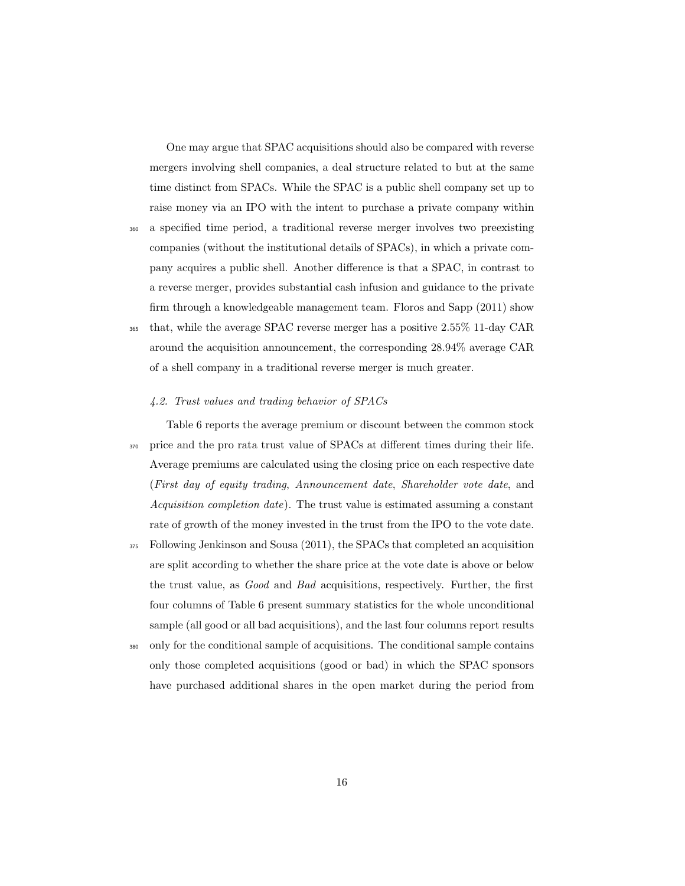One may argue that SPAC acquisitions should also be compared with reverse mergers involving shell companies, a deal structure related to but at the same time distinct from SPACs. While the SPAC is a public shell company set up to raise money via an IPO with the intent to purchase a private company within

<sup>360</sup> a specified time period, a traditional reverse merger involves two preexisting companies (without the institutional details of SPACs), in which a private company acquires a public shell. Another difference is that a SPAC, in contrast to a reverse merger, provides substantial cash infusion and guidance to the private firm through a knowledgeable management team. Floros and Sapp (2011) show <sup>365</sup> that, while the average SPAC reverse merger has a positive 2.55% 11-day CAR around the acquisition announcement, the corresponding 28.94% average CAR

of a shell company in a traditional reverse merger is much greater.

- 
- 4.2. Trust values and trading behavior of SPACs

Table 6 reports the average premium or discount between the common stock <sup>370</sup> price and the pro rata trust value of SPACs at different times during their life. Average premiums are calculated using the closing price on each respective date (First day of equity trading, Announcement date, Shareholder vote date, and Acquisition completion date). The trust value is estimated assuming a constant rate of growth of the money invested in the trust from the IPO to the vote date.

- <sup>375</sup> Following Jenkinson and Sousa (2011), the SPACs that completed an acquisition are split according to whether the share price at the vote date is above or below the trust value, as Good and Bad acquisitions, respectively. Further, the first four columns of Table 6 present summary statistics for the whole unconditional sample (all good or all bad acquisitions), and the last four columns report results
- <sup>380</sup> only for the conditional sample of acquisitions. The conditional sample contains only those completed acquisitions (good or bad) in which the SPAC sponsors have purchased additional shares in the open market during the period from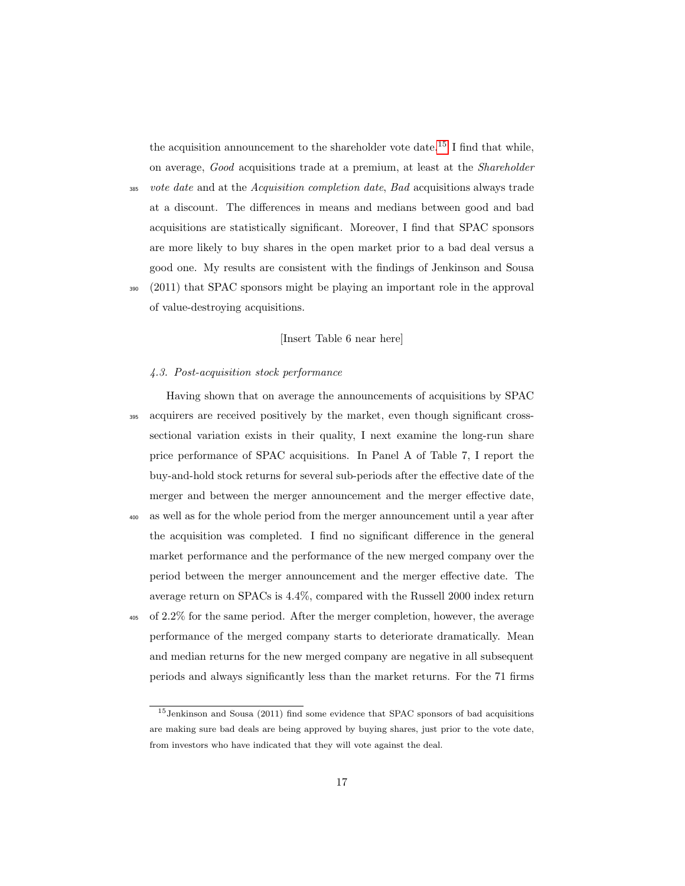the acquisition announcement to the shareholder vote date.<sup>[15](#page-16-0)</sup> I find that while, on average, Good acquisitions trade at a premium, at least at the Shareholder

- $385$  vote date and at the Acquisition completion date, Bad acquisitions always trade at a discount. The differences in means and medians between good and bad acquisitions are statistically significant. Moreover, I find that SPAC sponsors are more likely to buy shares in the open market prior to a bad deal versus a good one. My results are consistent with the findings of Jenkinson and Sousa
- <sup>390</sup> (2011) that SPAC sponsors might be playing an important role in the approval of value-destroying acquisitions.

#### [Insert Table 6 near here]

#### 4.3. Post-acquisition stock performance

- Having shown that on average the announcements of acquisitions by SPAC <sup>395</sup> acquirers are received positively by the market, even though significant crosssectional variation exists in their quality, I next examine the long-run share price performance of SPAC acquisitions. In Panel A of Table 7, I report the buy-and-hold stock returns for several sub-periods after the effective date of the merger and between the merger announcement and the merger effective date, <sup>400</sup> as well as for the whole period from the merger announcement until a year after the acquisition was completed. I find no significant difference in the general
- market performance and the performance of the new merged company over the period between the merger announcement and the merger effective date. The average return on SPACs is 4.4%, compared with the Russell 2000 index return
- <sup>405</sup> of 2.2% for the same period. After the merger completion, however, the average performance of the merged company starts to deteriorate dramatically. Mean and median returns for the new merged company are negative in all subsequent periods and always significantly less than the market returns. For the 71 firms

<span id="page-16-0"></span><sup>15</sup>Jenkinson and Sousa (2011) find some evidence that SPAC sponsors of bad acquisitions are making sure bad deals are being approved by buying shares, just prior to the vote date, from investors who have indicated that they will vote against the deal.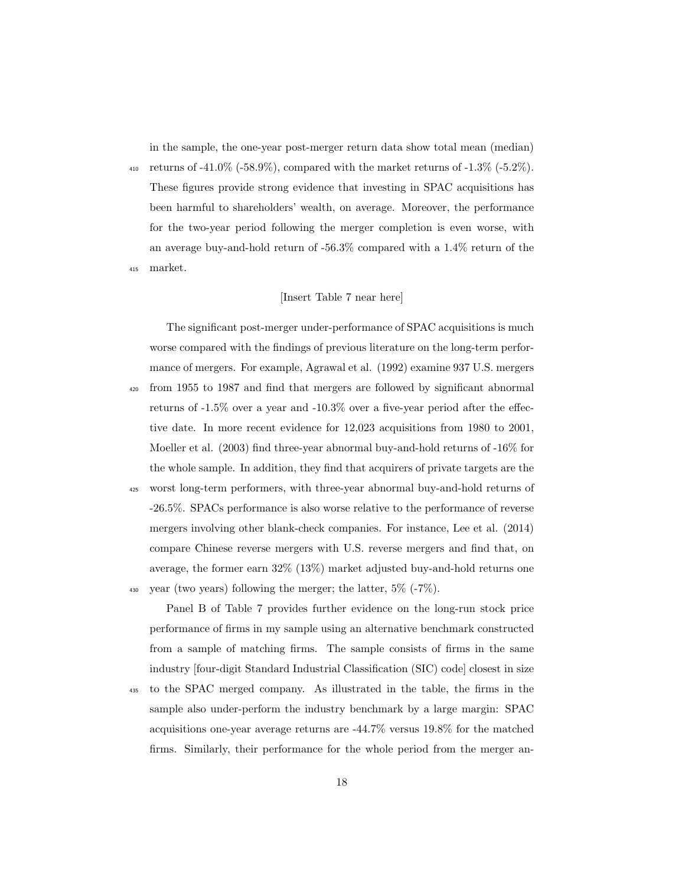in the sample, the one-year post-merger return data show total mean (median) 410 returns of  $-41.0\%$  ( $-58.9\%$ ), compared with the market returns of  $-1.3\%$  ( $-5.2\%$ ). These figures provide strong evidence that investing in SPAC acquisitions has been harmful to shareholders' wealth, on average. Moreover, the performance for the two-year period following the merger completion is even worse, with an average buy-and-hold return of -56.3% compared with a 1.4% return of the <sup>415</sup> market.

## [Insert Table 7 near here]

The significant post-merger under-performance of SPAC acquisitions is much worse compared with the findings of previous literature on the long-term performance of mergers. For example, Agrawal et al. (1992) examine 937 U.S. mergers <sup>420</sup> from 1955 to 1987 and find that mergers are followed by significant abnormal returns of -1.5% over a year and -10.3% over a five-year period after the effective date. In more recent evidence for 12,023 acquisitions from 1980 to 2001, Moeller et al. (2003) find three-year abnormal buy-and-hold returns of -16% for the whole sample. In addition, they find that acquirers of private targets are the

<sup>425</sup> worst long-term performers, with three-year abnormal buy-and-hold returns of -26.5%. SPACs performance is also worse relative to the performance of reverse mergers involving other blank-check companies. For instance, Lee et al. (2014) compare Chinese reverse mergers with U.S. reverse mergers and find that, on average, the former earn 32% (13%) market adjusted buy-and-hold returns one

430 year (two years) following the merger; the latter,  $5\%$  (-7%).

Panel B of Table 7 provides further evidence on the long-run stock price performance of firms in my sample using an alternative benchmark constructed from a sample of matching firms. The sample consists of firms in the same industry [four-digit Standard Industrial Classification (SIC) code] closest in size

<sup>435</sup> to the SPAC merged company. As illustrated in the table, the firms in the sample also under-perform the industry benchmark by a large margin: SPAC acquisitions one-year average returns are -44.7% versus 19.8% for the matched firms. Similarly, their performance for the whole period from the merger an-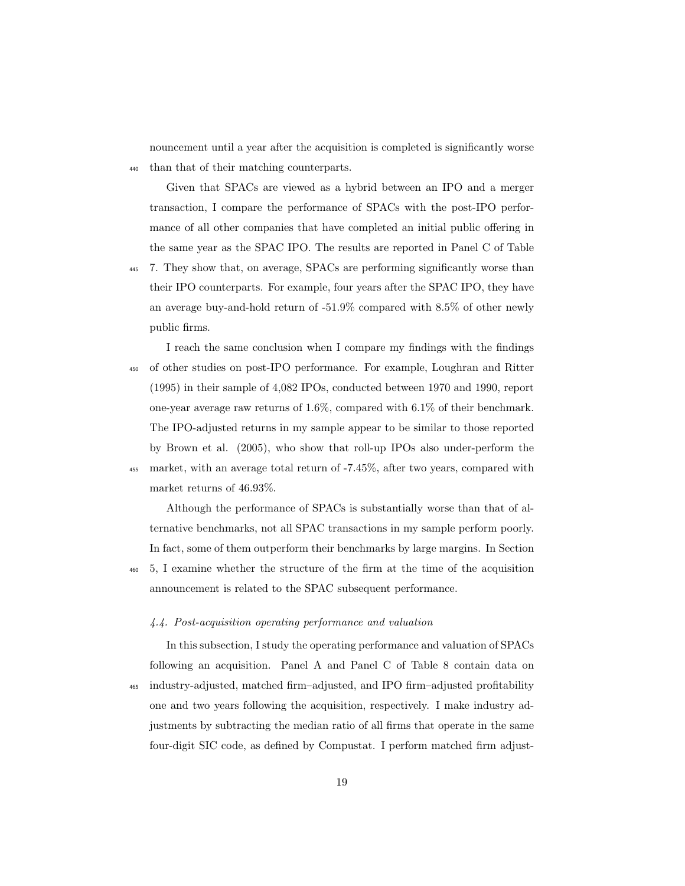nouncement until a year after the acquisition is completed is significantly worse <sup>440</sup> than that of their matching counterparts.

Given that SPACs are viewed as a hybrid between an IPO and a merger transaction, I compare the performance of SPACs with the post-IPO performance of all other companies that have completed an initial public offering in the same year as the SPAC IPO. The results are reported in Panel C of Table

- 7. They show that, on average, SPACs are performing significantly worse than their IPO counterparts. For example, four years after the SPAC IPO, they have an average buy-and-hold return of -51.9% compared with 8.5% of other newly public firms.
- I reach the same conclusion when I compare my findings with the findings <sup>450</sup> of other studies on post-IPO performance. For example, Loughran and Ritter (1995) in their sample of 4,082 IPOs, conducted between 1970 and 1990, report one-year average raw returns of 1.6%, compared with 6.1% of their benchmark. The IPO-adjusted returns in my sample appear to be similar to those reported by Brown et al. (2005), who show that roll-up IPOs also under-perform the <sup>455</sup> market, with an average total return of -7.45%, after two years, compared with market returns of 46.93%.

Although the performance of SPACs is substantially worse than that of alternative benchmarks, not all SPAC transactions in my sample perform poorly. In fact, some of them outperform their benchmarks by large margins. In Section

<sup>460</sup> 5, I examine whether the structure of the firm at the time of the acquisition announcement is related to the SPAC subsequent performance.

## 4.4. Post-acquisition operating performance and valuation

In this subsection, I study the operating performance and valuation of SPACs following an acquisition. Panel A and Panel C of Table 8 contain data on <sup>465</sup> industry-adjusted, matched firm–adjusted, and IPO firm–adjusted profitability one and two years following the acquisition, respectively. I make industry adjustments by subtracting the median ratio of all firms that operate in the same four-digit SIC code, as defined by Compustat. I perform matched firm adjust-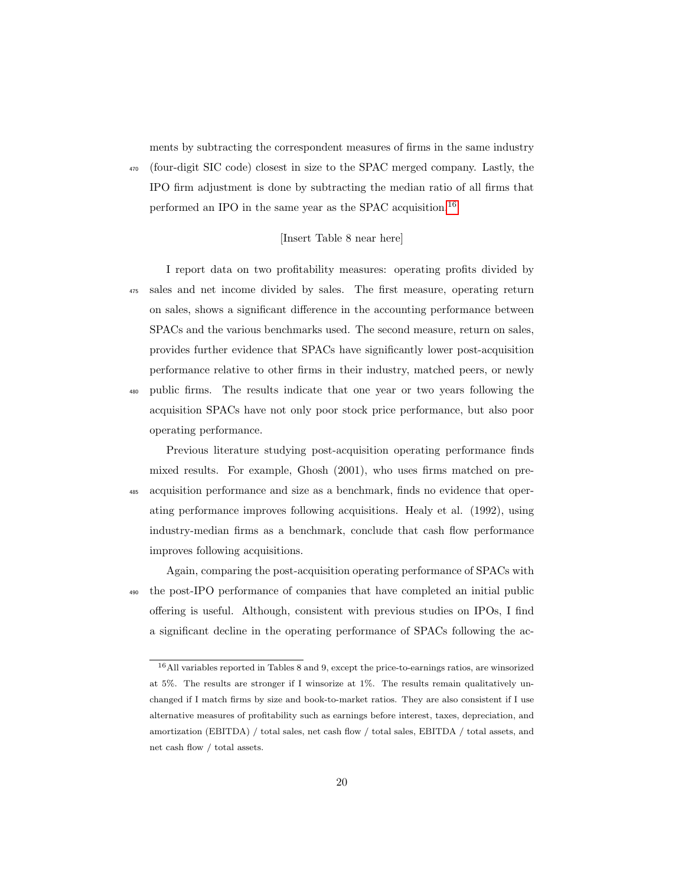ments by subtracting the correspondent measures of firms in the same industry <sup>470</sup> (four-digit SIC code) closest in size to the SPAC merged company. Lastly, the IPO firm adjustment is done by subtracting the median ratio of all firms that performed an IPO in the same year as the SPAC acquisition.[16](#page-19-0)

#### [Insert Table 8 near here]

I report data on two profitability measures: operating profits divided by <sup>475</sup> sales and net income divided by sales. The first measure, operating return on sales, shows a significant difference in the accounting performance between SPACs and the various benchmarks used. The second measure, return on sales, provides further evidence that SPACs have significantly lower post-acquisition performance relative to other firms in their industry, matched peers, or newly <sup>480</sup> public firms. The results indicate that one year or two years following the acquisition SPACs have not only poor stock price performance, but also poor operating performance.

Previous literature studying post-acquisition operating performance finds mixed results. For example, Ghosh (2001), who uses firms matched on pre-<sup>485</sup> acquisition performance and size as a benchmark, finds no evidence that operating performance improves following acquisitions. Healy et al. (1992), using industry-median firms as a benchmark, conclude that cash flow performance improves following acquisitions.

Again, comparing the post-acquisition operating performance of SPACs with <sup>490</sup> the post-IPO performance of companies that have completed an initial public offering is useful. Although, consistent with previous studies on IPOs, I find a significant decline in the operating performance of SPACs following the ac-

<span id="page-19-0"></span><sup>16</sup>All variables reported in Tables 8 and 9, except the price-to-earnings ratios, are winsorized at 5%. The results are stronger if I winsorize at 1%. The results remain qualitatively unchanged if I match firms by size and book-to-market ratios. They are also consistent if I use alternative measures of profitability such as earnings before interest, taxes, depreciation, and amortization (EBITDA) / total sales, net cash flow / total sales, EBITDA / total assets, and net cash flow / total assets.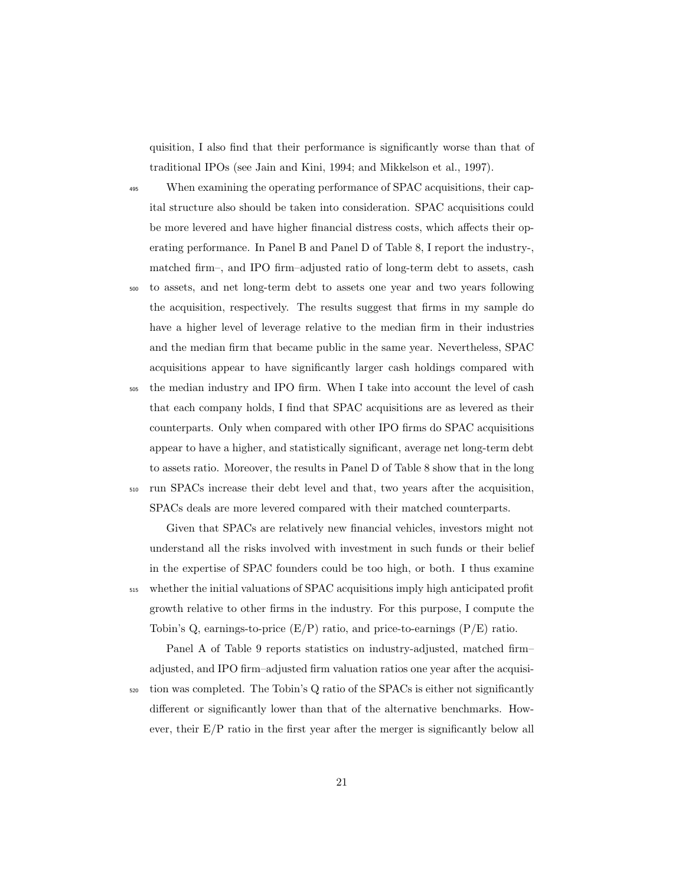quisition, I also find that their performance is significantly worse than that of traditional IPOs (see Jain and Kini, 1994; and Mikkelson et al., 1997).

<sup>495</sup> When examining the operating performance of SPAC acquisitions, their capital structure also should be taken into consideration. SPAC acquisitions could be more levered and have higher financial distress costs, which affects their operating performance. In Panel B and Panel D of Table 8, I report the industry-, matched firm–, and IPO firm–adjusted ratio of long-term debt to assets, cash

<sup>500</sup> to assets, and net long-term debt to assets one year and two years following the acquisition, respectively. The results suggest that firms in my sample do have a higher level of leverage relative to the median firm in their industries and the median firm that became public in the same year. Nevertheless, SPAC acquisitions appear to have significantly larger cash holdings compared with

<sup>505</sup> the median industry and IPO firm. When I take into account the level of cash that each company holds, I find that SPAC acquisitions are as levered as their counterparts. Only when compared with other IPO firms do SPAC acquisitions appear to have a higher, and statistically significant, average net long-term debt to assets ratio. Moreover, the results in Panel D of Table 8 show that in the long

<sup>510</sup> run SPACs increase their debt level and that, two years after the acquisition, SPACs deals are more levered compared with their matched counterparts.

Given that SPACs are relatively new financial vehicles, investors might not understand all the risks involved with investment in such funds or their belief in the expertise of SPAC founders could be too high, or both. I thus examine <sup>515</sup> whether the initial valuations of SPAC acquisitions imply high anticipated profit growth relative to other firms in the industry. For this purpose, I compute the Tobin's Q, earnings-to-price  $(E/P)$  ratio, and price-to-earnings  $(P/E)$  ratio.

Panel A of Table 9 reports statistics on industry-adjusted, matched firm– adjusted, and IPO firm–adjusted firm valuation ratios one year after the acquisi-

 $520$  tion was completed. The Tobin's Q ratio of the SPACs is either not significantly different or significantly lower than that of the alternative benchmarks. However, their  $E/P$  ratio in the first year after the merger is significantly below all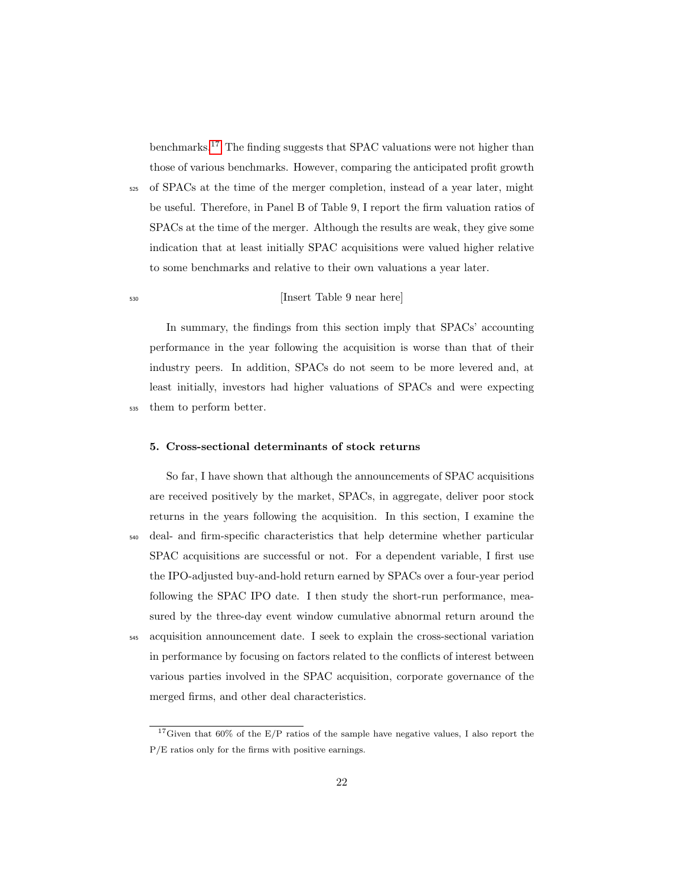benchmarks.[17](#page-21-0) The finding suggests that SPAC valuations were not higher than those of various benchmarks. However, comparing the anticipated profit growth

<sup>525</sup> of SPACs at the time of the merger completion, instead of a year later, might be useful. Therefore, in Panel B of Table 9, I report the firm valuation ratios of SPACs at the time of the merger. Although the results are weak, they give some indication that at least initially SPAC acquisitions were valued higher relative to some benchmarks and relative to their own valuations a year later.

## <sup>530</sup> [Insert Table 9 near here]

In summary, the findings from this section imply that SPACs' accounting performance in the year following the acquisition is worse than that of their industry peers. In addition, SPACs do not seem to be more levered and, at least initially, investors had higher valuations of SPACs and were expecting <sup>535</sup> them to perform better.

#### 5. Cross-sectional determinants of stock returns

So far, I have shown that although the announcements of SPAC acquisitions are received positively by the market, SPACs, in aggregate, deliver poor stock returns in the years following the acquisition. In this section, I examine the <sup>540</sup> deal- and firm-specific characteristics that help determine whether particular SPAC acquisitions are successful or not. For a dependent variable, I first use the IPO-adjusted buy-and-hold return earned by SPACs over a four-year period following the SPAC IPO date. I then study the short-run performance, measured by the three-day event window cumulative abnormal return around the <sup>545</sup> acquisition announcement date. I seek to explain the cross-sectional variation in performance by focusing on factors related to the conflicts of interest between various parties involved in the SPAC acquisition, corporate governance of the merged firms, and other deal characteristics.

<span id="page-21-0"></span><sup>&</sup>lt;sup>17</sup>Given that  $60\%$  of the E/P ratios of the sample have negative values, I also report the P/E ratios only for the firms with positive earnings.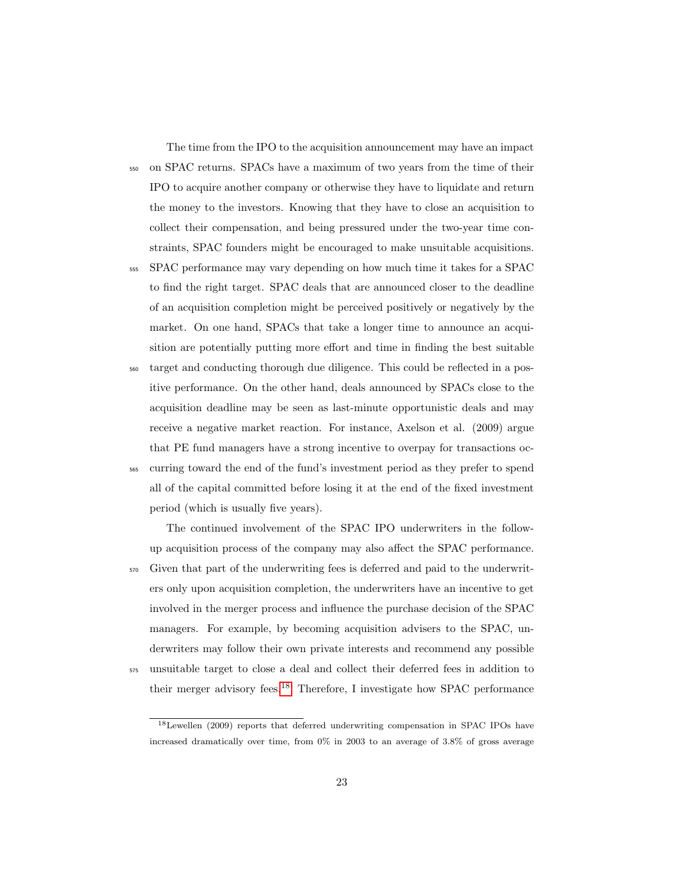The time from the IPO to the acquisition announcement may have an impact

<sup>550</sup> on SPAC returns. SPACs have a maximum of two years from the time of their IPO to acquire another company or otherwise they have to liquidate and return the money to the investors. Knowing that they have to close an acquisition to collect their compensation, and being pressured under the two-year time constraints, SPAC founders might be encouraged to make unsuitable acquisitions.

- <sup>555</sup> SPAC performance may vary depending on how much time it takes for a SPAC to find the right target. SPAC deals that are announced closer to the deadline of an acquisition completion might be perceived positively or negatively by the market. On one hand, SPACs that take a longer time to announce an acquisition are potentially putting more effort and time in finding the best suitable
- <sup>560</sup> target and conducting thorough due diligence. This could be reflected in a positive performance. On the other hand, deals announced by SPACs close to the acquisition deadline may be seen as last-minute opportunistic deals and may receive a negative market reaction. For instance, Axelson et al. (2009) argue that PE fund managers have a strong incentive to overpay for transactions oc-<sup>565</sup> curring toward the end of the fund's investment period as they prefer to spend all of the capital committed before losing it at the end of the fixed investment

period (which is usually five years).

The continued involvement of the SPAC IPO underwriters in the followup acquisition process of the company may also affect the SPAC performance. <sup>570</sup> Given that part of the underwriting fees is deferred and paid to the underwriters only upon acquisition completion, the underwriters have an incentive to get involved in the merger process and influence the purchase decision of the SPAC managers. For example, by becoming acquisition advisers to the SPAC, underwriters may follow their own private interests and recommend any possible <sup>575</sup> unsuitable target to close a deal and collect their deferred fees in addition to their merger advisory fees.<sup>[18](#page-22-0)</sup> Therefore, I investigate how SPAC performance

<span id="page-22-0"></span><sup>18</sup>Lewellen (2009) reports that deferred underwriting compensation in SPAC IPOs have increased dramatically over time, from 0% in 2003 to an average of 3.8% of gross average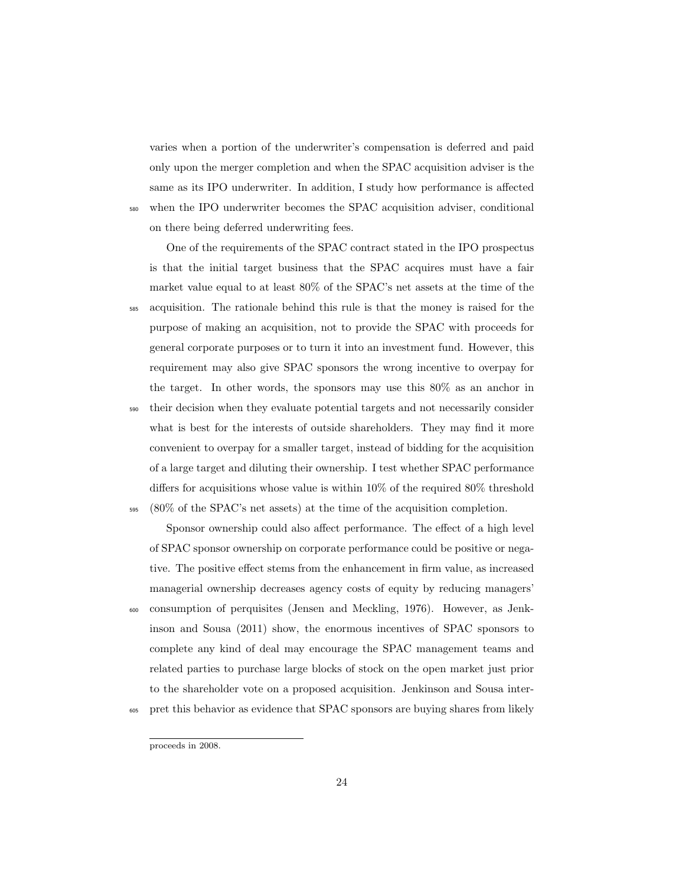varies when a portion of the underwriter's compensation is deferred and paid only upon the merger completion and when the SPAC acquisition adviser is the same as its IPO underwriter. In addition, I study how performance is affected <sup>580</sup> when the IPO underwriter becomes the SPAC acquisition adviser, conditional on there being deferred underwriting fees.

One of the requirements of the SPAC contract stated in the IPO prospectus is that the initial target business that the SPAC acquires must have a fair market value equal to at least 80% of the SPAC's net assets at the time of the <sup>585</sup> acquisition. The rationale behind this rule is that the money is raised for the purpose of making an acquisition, not to provide the SPAC with proceeds for general corporate purposes or to turn it into an investment fund. However, this requirement may also give SPAC sponsors the wrong incentive to overpay for the target. In other words, the sponsors may use this 80% as an anchor in <sup>590</sup> their decision when they evaluate potential targets and not necessarily consider what is best for the interests of outside shareholders. They may find it more convenient to overpay for a smaller target, instead of bidding for the acquisition of a large target and diluting their ownership. I test whether SPAC performance differs for acquisitions whose value is within 10% of the required 80% threshold  $595 \times (80\% \text{ of the SPAC's net assets})$  at the time of the acquisition completion.

Sponsor ownership could also affect performance. The effect of a high level of SPAC sponsor ownership on corporate performance could be positive or negative. The positive effect stems from the enhancement in firm value, as increased managerial ownership decreases agency costs of equity by reducing managers' <sup>600</sup> consumption of perquisites (Jensen and Meckling, 1976). However, as Jenkinson and Sousa (2011) show, the enormous incentives of SPAC sponsors to complete any kind of deal may encourage the SPAC management teams and related parties to purchase large blocks of stock on the open market just prior to the shareholder vote on a proposed acquisition. Jenkinson and Sousa inter-<sup>605</sup> pret this behavior as evidence that SPAC sponsors are buying shares from likely

proceeds in 2008.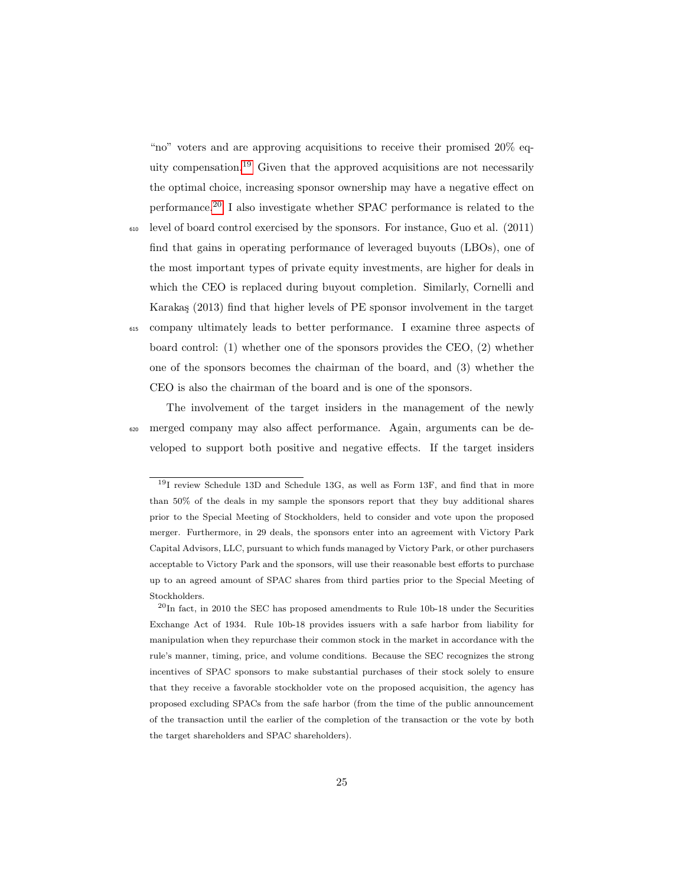"no" voters and are approving acquisitions to receive their promised 20% equity compensation.[19](#page-24-0) Given that the approved acquisitions are not necessarily the optimal choice, increasing sponsor ownership may have a negative effect on performance.[20](#page-24-1) I also investigate whether SPAC performance is related to the

<sup>610</sup> level of board control exercised by the sponsors. For instance, Guo et al. (2011) find that gains in operating performance of leveraged buyouts (LBOs), one of the most important types of private equity investments, are higher for deals in which the CEO is replaced during buyout completion. Similarly, Cornelli and Karakaş (2013) find that higher levels of PE sponsor involvement in the target <sup>615</sup> company ultimately leads to better performance. I examine three aspects of board control: (1) whether one of the sponsors provides the CEO, (2) whether one of the sponsors becomes the chairman of the board, and (3) whether the CEO is also the chairman of the board and is one of the sponsors.

The involvement of the target insiders in the management of the newly <sup>620</sup> merged company may also affect performance. Again, arguments can be developed to support both positive and negative effects. If the target insiders

<span id="page-24-0"></span><sup>19</sup>I review Schedule 13D and Schedule 13G, as well as Form 13F, and find that in more than 50% of the deals in my sample the sponsors report that they buy additional shares prior to the Special Meeting of Stockholders, held to consider and vote upon the proposed merger. Furthermore, in 29 deals, the sponsors enter into an agreement with Victory Park Capital Advisors, LLC, pursuant to which funds managed by Victory Park, or other purchasers acceptable to Victory Park and the sponsors, will use their reasonable best efforts to purchase up to an agreed amount of SPAC shares from third parties prior to the Special Meeting of Stockholders.

<span id="page-24-1"></span> $^{20}$ In fact, in 2010 the SEC has proposed amendments to Rule 10b-18 under the Securities Exchange Act of 1934. Rule 10b-18 provides issuers with a safe harbor from liability for manipulation when they repurchase their common stock in the market in accordance with the rule's manner, timing, price, and volume conditions. Because the SEC recognizes the strong incentives of SPAC sponsors to make substantial purchases of their stock solely to ensure that they receive a favorable stockholder vote on the proposed acquisition, the agency has proposed excluding SPACs from the safe harbor (from the time of the public announcement of the transaction until the earlier of the completion of the transaction or the vote by both the target shareholders and SPAC shareholders).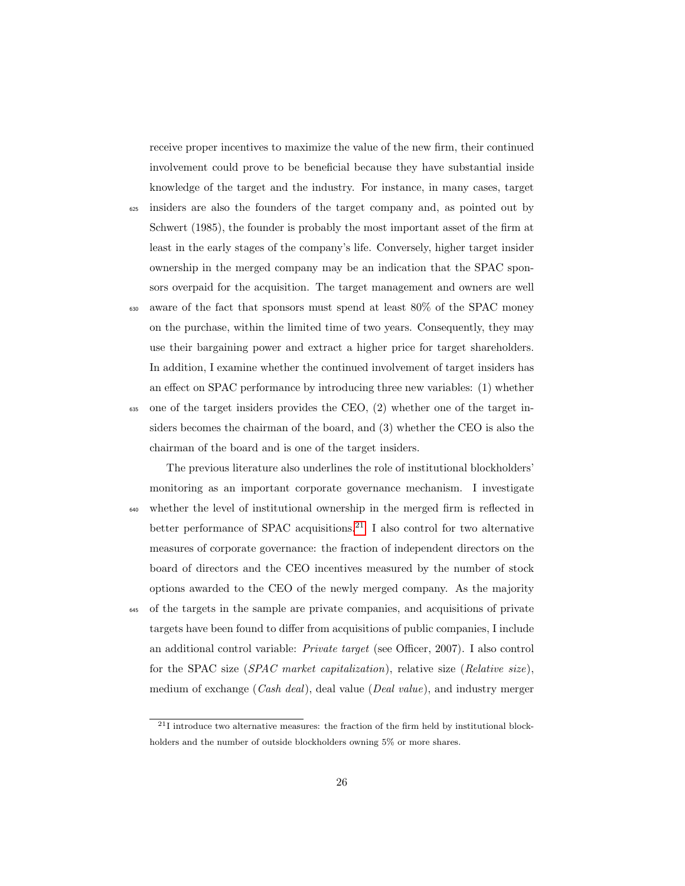receive proper incentives to maximize the value of the new firm, their continued involvement could prove to be beneficial because they have substantial inside knowledge of the target and the industry. For instance, in many cases, target

- <sup>625</sup> insiders are also the founders of the target company and, as pointed out by Schwert (1985), the founder is probably the most important asset of the firm at least in the early stages of the company's life. Conversely, higher target insider ownership in the merged company may be an indication that the SPAC sponsors overpaid for the acquisition. The target management and owners are well
- <sup>630</sup> aware of the fact that sponsors must spend at least 80% of the SPAC money on the purchase, within the limited time of two years. Consequently, they may use their bargaining power and extract a higher price for target shareholders. In addition, I examine whether the continued involvement of target insiders has an effect on SPAC performance by introducing three new variables: (1) whether  $\epsilon_{35}$  one of the target insiders provides the CEO, (2) whether one of the target insiders becomes the chairman of the board, and (3) whether the CEO is also the

chairman of the board and is one of the target insiders.

The previous literature also underlines the role of institutional blockholders' monitoring as an important corporate governance mechanism. I investigate <sup>640</sup> whether the level of institutional ownership in the merged firm is reflected in better performance of SPAC acquisitions.<sup>[21](#page-25-0)</sup> I also control for two alternative measures of corporate governance: the fraction of independent directors on the board of directors and the CEO incentives measured by the number of stock options awarded to the CEO of the newly merged company. As the majority <sup>645</sup> of the targets in the sample are private companies, and acquisitions of private targets have been found to differ from acquisitions of public companies, I include an additional control variable: Private target (see Officer, 2007). I also control for the SPAC size (SPAC market capitalization), relative size (Relative size), medium of exchange (Cash deal), deal value (Deal value), and industry merger

<span id="page-25-0"></span> $21$ I introduce two alternative measures: the fraction of the firm held by institutional blockholders and the number of outside blockholders owning 5% or more shares.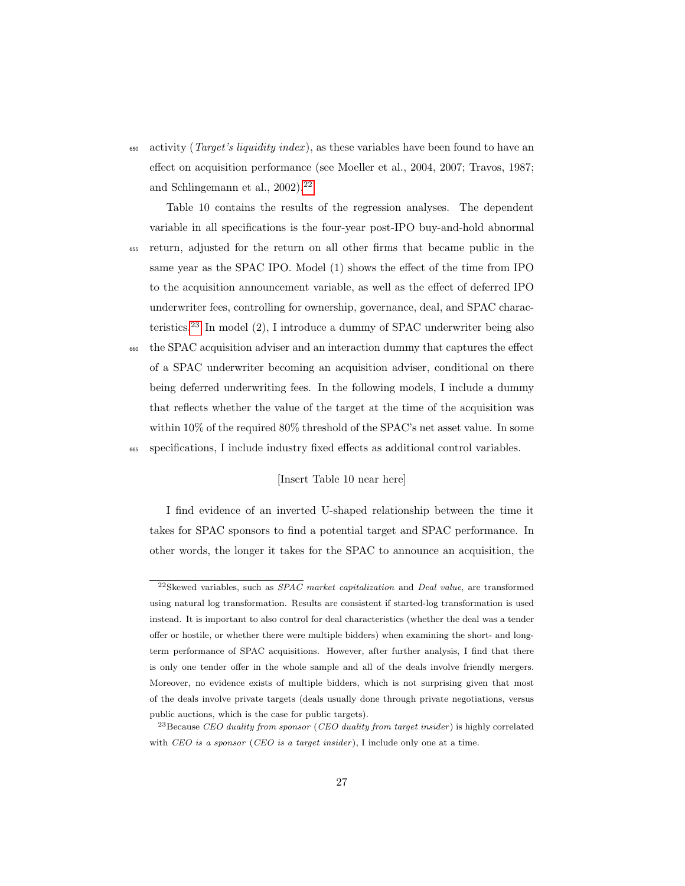$\epsilon_{650}$  activity (*Target's liquidity index*), as these variables have been found to have an effect on acquisition performance (see Moeller et al., 2004, 2007; Travos, 1987; and Schlingemann et al., 2002).<sup>[22](#page-26-0)</sup>

Table 10 contains the results of the regression analyses. The dependent variable in all specifications is the four-year post-IPO buy-and-hold abnormal <sup>655</sup> return, adjusted for the return on all other firms that became public in the

same year as the SPAC IPO. Model (1) shows the effect of the time from IPO to the acquisition announcement variable, as well as the effect of deferred IPO underwriter fees, controlling for ownership, governance, deal, and SPAC characteristics.[23](#page-26-1) In model (2), I introduce a dummy of SPAC underwriter being also

<sup>660</sup> the SPAC acquisition adviser and an interaction dummy that captures the effect of a SPAC underwriter becoming an acquisition adviser, conditional on there being deferred underwriting fees. In the following models, I include a dummy that reflects whether the value of the target at the time of the acquisition was within 10% of the required 80% threshold of the SPAC's net asset value. In some <sup>665</sup> specifications, I include industry fixed effects as additional control variables.

#### [Insert Table 10 near here]

I find evidence of an inverted U-shaped relationship between the time it takes for SPAC sponsors to find a potential target and SPAC performance. In other words, the longer it takes for the SPAC to announce an acquisition, the

<span id="page-26-0"></span> $^{22}$ Skewed variables, such as *SPAC market capitalization* and *Deal value*, are transformed using natural log transformation. Results are consistent if started-log transformation is used instead. It is important to also control for deal characteristics (whether the deal was a tender offer or hostile, or whether there were multiple bidders) when examining the short- and longterm performance of SPAC acquisitions. However, after further analysis, I find that there is only one tender offer in the whole sample and all of the deals involve friendly mergers. Moreover, no evidence exists of multiple bidders, which is not surprising given that most of the deals involve private targets (deals usually done through private negotiations, versus public auctions, which is the case for public targets).

<span id="page-26-1"></span><sup>&</sup>lt;sup>23</sup> Because CEO duality from sponsor (CEO duality from target insider) is highly correlated with  $CEO$  is a sponsor (CEO is a target insider), I include only one at a time.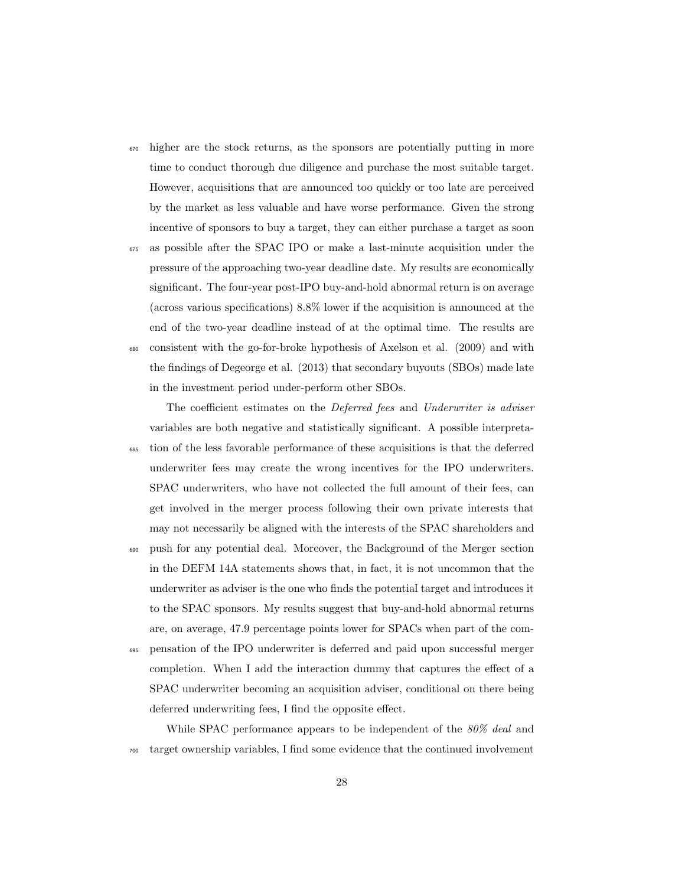- <sup>670</sup> higher are the stock returns, as the sponsors are potentially putting in more time to conduct thorough due diligence and purchase the most suitable target. However, acquisitions that are announced too quickly or too late are perceived by the market as less valuable and have worse performance. Given the strong incentive of sponsors to buy a target, they can either purchase a target as soon
- <sup>675</sup> as possible after the SPAC IPO or make a last-minute acquisition under the pressure of the approaching two-year deadline date. My results are economically significant. The four-year post-IPO buy-and-hold abnormal return is on average (across various specifications) 8.8% lower if the acquisition is announced at the end of the two-year deadline instead of at the optimal time. The results are <sup>680</sup> consistent with the go-for-broke hypothesis of Axelson et al. (2009) and with the findings of Degeorge et al. (2013) that secondary buyouts (SBOs) made late in the investment period under-perform other SBOs.

The coefficient estimates on the *Deferred fees* and *Underwriter is adviser* variables are both negative and statistically significant. A possible interpreta-

- <sup>685</sup> tion of the less favorable performance of these acquisitions is that the deferred underwriter fees may create the wrong incentives for the IPO underwriters. SPAC underwriters, who have not collected the full amount of their fees, can get involved in the merger process following their own private interests that may not necessarily be aligned with the interests of the SPAC shareholders and
- <sup>690</sup> push for any potential deal. Moreover, the Background of the Merger section in the DEFM 14A statements shows that, in fact, it is not uncommon that the underwriter as adviser is the one who finds the potential target and introduces it to the SPAC sponsors. My results suggest that buy-and-hold abnormal returns are, on average, 47.9 percentage points lower for SPACs when part of the com-
- <sup>695</sup> pensation of the IPO underwriter is deferred and paid upon successful merger completion. When I add the interaction dummy that captures the effect of a SPAC underwriter becoming an acquisition adviser, conditional on there being deferred underwriting fees, I find the opposite effect.

While SPAC performance appears to be independent of the 80% deal and <sup>700</sup> target ownership variables, I find some evidence that the continued involvement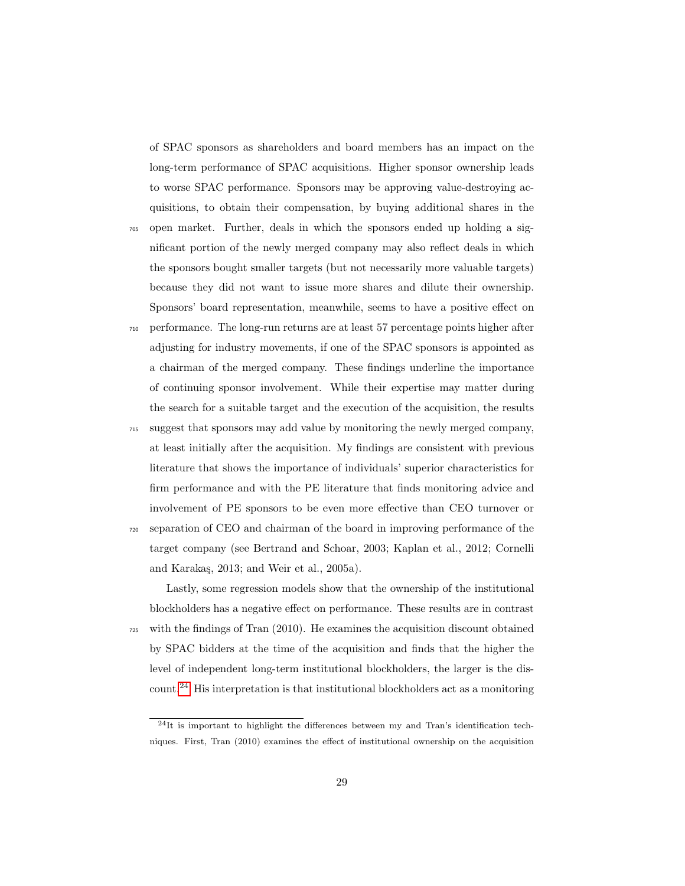of SPAC sponsors as shareholders and board members has an impact on the long-term performance of SPAC acquisitions. Higher sponsor ownership leads to worse SPAC performance. Sponsors may be approving value-destroying acquisitions, to obtain their compensation, by buying additional shares in the

- <sup>705</sup> open market. Further, deals in which the sponsors ended up holding a significant portion of the newly merged company may also reflect deals in which the sponsors bought smaller targets (but not necessarily more valuable targets) because they did not want to issue more shares and dilute their ownership. Sponsors' board representation, meanwhile, seems to have a positive effect on
- <sup>710</sup> performance. The long-run returns are at least 57 percentage points higher after adjusting for industry movements, if one of the SPAC sponsors is appointed as a chairman of the merged company. These findings underline the importance of continuing sponsor involvement. While their expertise may matter during the search for a suitable target and the execution of the acquisition, the results

<sup>715</sup> suggest that sponsors may add value by monitoring the newly merged company, at least initially after the acquisition. My findings are consistent with previous literature that shows the importance of individuals' superior characteristics for firm performance and with the PE literature that finds monitoring advice and involvement of PE sponsors to be even more effective than CEO turnover or

<sup>720</sup> separation of CEO and chairman of the board in improving performance of the target company (see Bertrand and Schoar, 2003; Kaplan et al., 2012; Cornelli and Karakaş, 2013; and Weir et al., 2005a).

Lastly, some regression models show that the ownership of the institutional blockholders has a negative effect on performance. These results are in contrast <sup>725</sup> with the findings of Tran (2010). He examines the acquisition discount obtained by SPAC bidders at the time of the acquisition and finds that the higher the level of independent long-term institutional blockholders, the larger is the discount.[24](#page-28-0) His interpretation is that institutional blockholders act as a monitoring

<span id="page-28-0"></span> $^{24}$ It is important to highlight the differences between my and Tran's identification techniques. First, Tran (2010) examines the effect of institutional ownership on the acquisition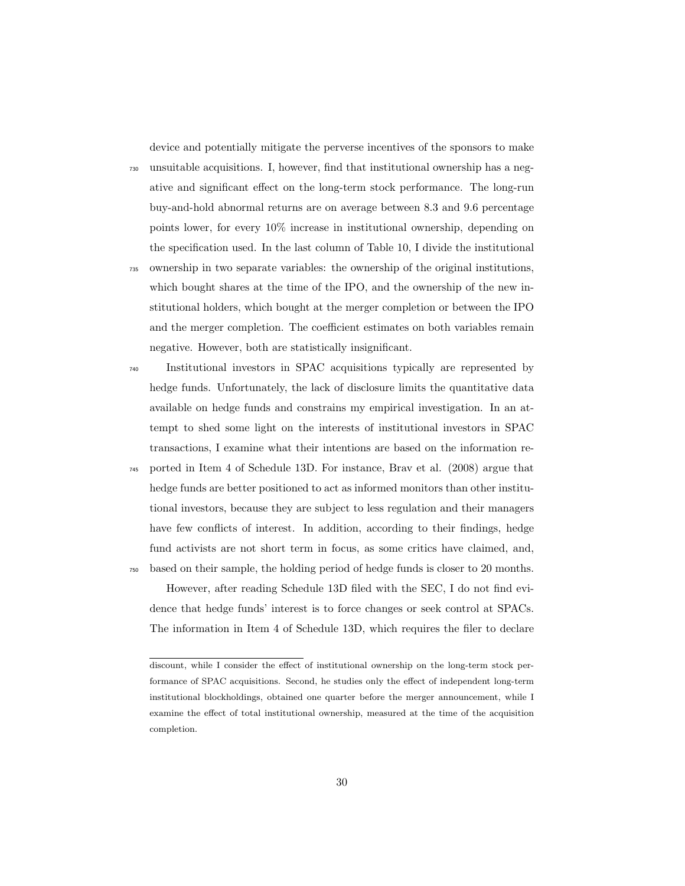device and potentially mitigate the perverse incentives of the sponsors to make

<sup>730</sup> unsuitable acquisitions. I, however, find that institutional ownership has a negative and significant effect on the long-term stock performance. The long-run buy-and-hold abnormal returns are on average between 8.3 and 9.6 percentage points lower, for every 10% increase in institutional ownership, depending on the specification used. In the last column of Table 10, I divide the institutional

- <sup>735</sup> ownership in two separate variables: the ownership of the original institutions, which bought shares at the time of the IPO, and the ownership of the new institutional holders, which bought at the merger completion or between the IPO and the merger completion. The coefficient estimates on both variables remain negative. However, both are statistically insignificant.
- <sup>740</sup> Institutional investors in SPAC acquisitions typically are represented by hedge funds. Unfortunately, the lack of disclosure limits the quantitative data available on hedge funds and constrains my empirical investigation. In an attempt to shed some light on the interests of institutional investors in SPAC transactions, I examine what their intentions are based on the information re-
- <sup>745</sup> ported in Item 4 of Schedule 13D. For instance, Brav et al. (2008) argue that hedge funds are better positioned to act as informed monitors than other institutional investors, because they are subject to less regulation and their managers have few conflicts of interest. In addition, according to their findings, hedge fund activists are not short term in focus, as some critics have claimed, and, <sup>750</sup> based on their sample, the holding period of hedge funds is closer to 20 months.

However, after reading Schedule 13D filed with the SEC, I do not find evidence that hedge funds' interest is to force changes or seek control at SPACs. The information in Item 4 of Schedule 13D, which requires the filer to declare

discount, while I consider the effect of institutional ownership on the long-term stock performance of SPAC acquisitions. Second, he studies only the effect of independent long-term institutional blockholdings, obtained one quarter before the merger announcement, while I examine the effect of total institutional ownership, measured at the time of the acquisition completion.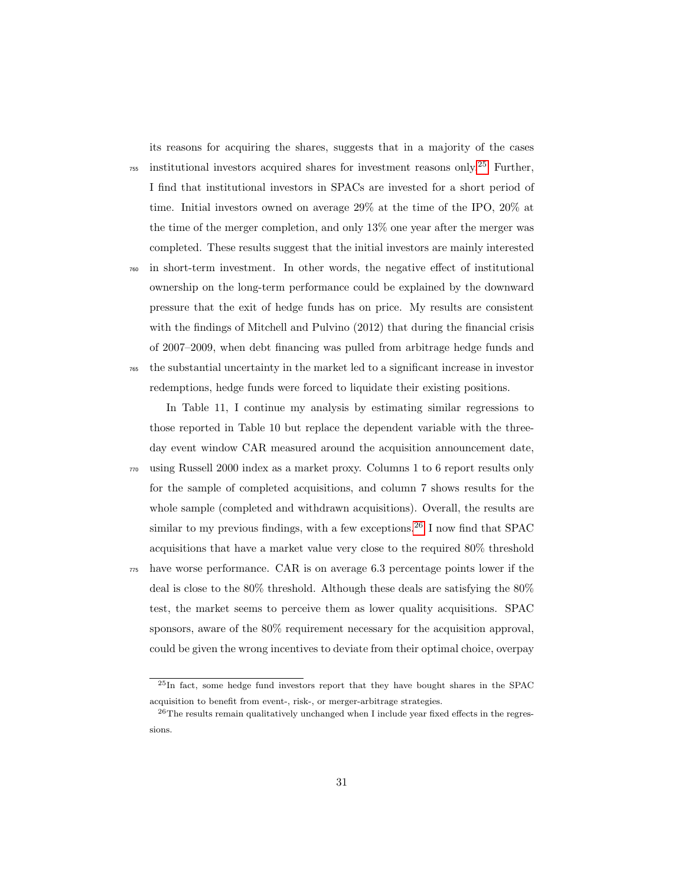its reasons for acquiring the shares, suggests that in a majority of the cases

 $\frac{755}{755}$  institutional investors acquired shares for investment reasons only.<sup>[25](#page-30-0)</sup> Further, I find that institutional investors in SPACs are invested for a short period of time. Initial investors owned on average 29% at the time of the IPO, 20% at the time of the merger completion, and only 13% one year after the merger was completed. These results suggest that the initial investors are mainly interested

<sup>760</sup> in short-term investment. In other words, the negative effect of institutional ownership on the long-term performance could be explained by the downward pressure that the exit of hedge funds has on price. My results are consistent with the findings of Mitchell and Pulvino (2012) that during the financial crisis of 2007–2009, when debt financing was pulled from arbitrage hedge funds and <sup>765</sup> the substantial uncertainty in the market led to a significant increase in investor

redemptions, hedge funds were forced to liquidate their existing positions.

In Table 11, I continue my analysis by estimating similar regressions to those reported in Table 10 but replace the dependent variable with the threeday event window CAR measured around the acquisition announcement date,

<sup>770</sup> using Russell 2000 index as a market proxy. Columns 1 to 6 report results only for the sample of completed acquisitions, and column 7 shows results for the whole sample (completed and withdrawn acquisitions). Overall, the results are similar to my previous findings, with a few exceptions.<sup>[26](#page-30-1)</sup> I now find that SPAC acquisitions that have a market value very close to the required 80% threshold <sup>775</sup> have worse performance. CAR is on average 6.3 percentage points lower if the deal is close to the 80% threshold. Although these deals are satisfying the 80% test, the market seems to perceive them as lower quality acquisitions. SPAC sponsors, aware of the 80% requirement necessary for the acquisition approval,

could be given the wrong incentives to deviate from their optimal choice, overpay

<span id="page-30-0"></span><sup>25</sup>In fact, some hedge fund investors report that they have bought shares in the SPAC acquisition to benefit from event-, risk-, or merger-arbitrage strategies.

<span id="page-30-1"></span> $^{26}\mathrm{The}$  results remain qualitatively unchanged when I include year fixed effects in the regressions.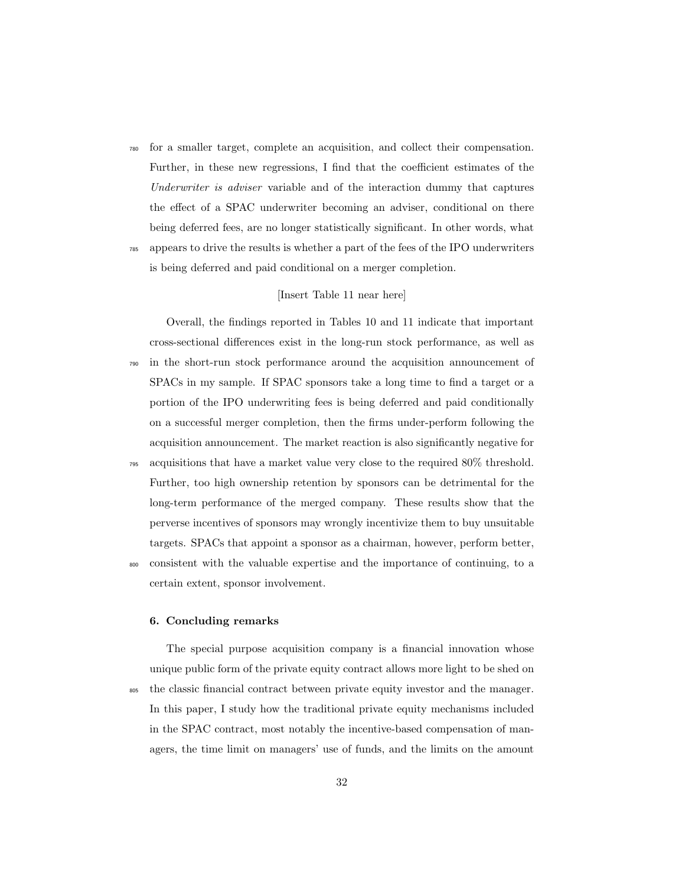<sup>780</sup> for a smaller target, complete an acquisition, and collect their compensation. Further, in these new regressions, I find that the coefficient estimates of the Underwriter is adviser variable and of the interaction dummy that captures the effect of a SPAC underwriter becoming an adviser, conditional on there being deferred fees, are no longer statistically significant. In other words, what <sup>785</sup> appears to drive the results is whether a part of the fees of the IPO underwriters

is being deferred and paid conditional on a merger completion.

# [Insert Table 11 near here]

Overall, the findings reported in Tables 10 and 11 indicate that important cross-sectional differences exist in the long-run stock performance, as well as <sup>790</sup> in the short-run stock performance around the acquisition announcement of SPACs in my sample. If SPAC sponsors take a long time to find a target or a portion of the IPO underwriting fees is being deferred and paid conditionally on a successful merger completion, then the firms under-perform following the acquisition announcement. The market reaction is also significantly negative for

- <sup>795</sup> acquisitions that have a market value very close to the required 80% threshold. Further, too high ownership retention by sponsors can be detrimental for the long-term performance of the merged company. These results show that the perverse incentives of sponsors may wrongly incentivize them to buy unsuitable targets. SPACs that appoint a sponsor as a chairman, however, perform better,
- <sup>800</sup> consistent with the valuable expertise and the importance of continuing, to a certain extent, sponsor involvement.

## 6. Concluding remarks

The special purpose acquisition company is a financial innovation whose unique public form of the private equity contract allows more light to be shed on <sup>805</sup> the classic financial contract between private equity investor and the manager. In this paper, I study how the traditional private equity mechanisms included in the SPAC contract, most notably the incentive-based compensation of managers, the time limit on managers' use of funds, and the limits on the amount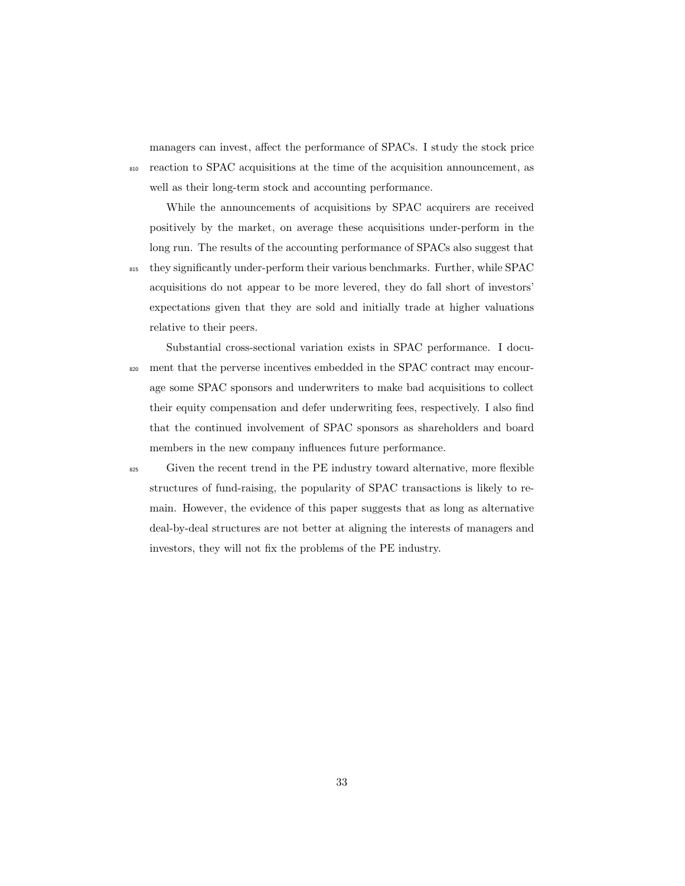managers can invest, affect the performance of SPACs. I study the stock price <sup>810</sup> reaction to SPAC acquisitions at the time of the acquisition announcement, as well as their long-term stock and accounting performance.

While the announcements of acquisitions by SPAC acquirers are received positively by the market, on average these acquisitions under-perform in the long run. The results of the accounting performance of SPACs also suggest that <sup>815</sup> they significantly under-perform their various benchmarks. Further, while SPAC acquisitions do not appear to be more levered, they do fall short of investors' expectations given that they are sold and initially trade at higher valuations relative to their peers.

- Substantial cross-sectional variation exists in SPAC performance. I docu-<sup>820</sup> ment that the perverse incentives embedded in the SPAC contract may encourage some SPAC sponsors and underwriters to make bad acquisitions to collect their equity compensation and defer underwriting fees, respectively. I also find that the continued involvement of SPAC sponsors as shareholders and board members in the new company influences future performance.
- <sup>825</sup> Given the recent trend in the PE industry toward alternative, more flexible structures of fund-raising, the popularity of SPAC transactions is likely to remain. However, the evidence of this paper suggests that as long as alternative deal-by-deal structures are not better at aligning the interests of managers and investors, they will not fix the problems of the PE industry.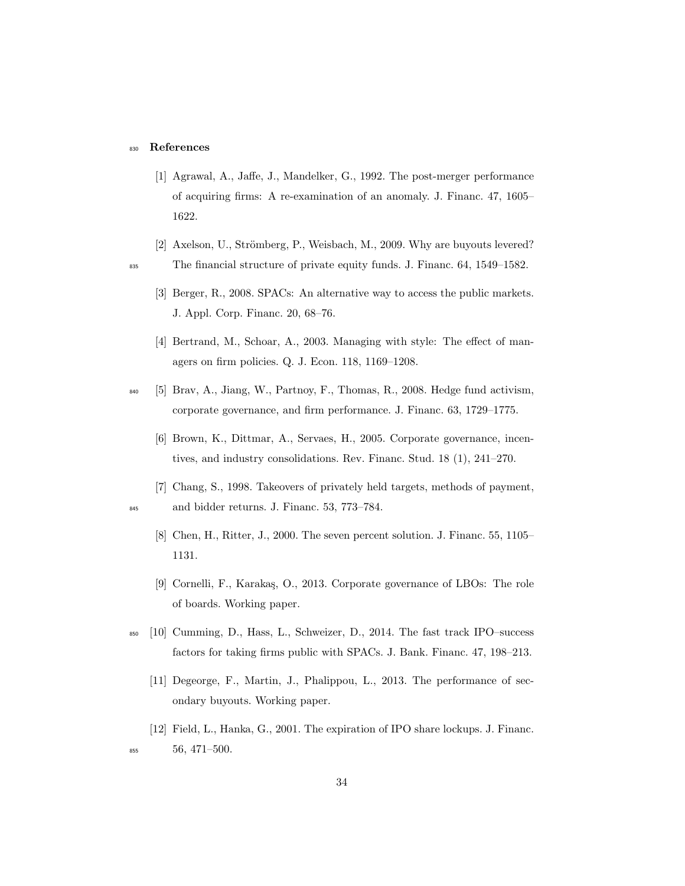#### <sup>830</sup> References

- [1] Agrawal, A., Jaffe, J., Mandelker, G., 1992. The post-merger performance of acquiring firms: A re-examination of an anomaly. J. Financ. 47, 1605– 1622.
- [2] Axelson, U., Strömberg, P., Weisbach, M., 2009. Why are buyouts levered? <sup>835</sup> The financial structure of private equity funds. J. Financ. 64, 1549–1582.
	- [3] Berger, R., 2008. SPACs: An alternative way to access the public markets. J. Appl. Corp. Financ. 20, 68–76.
	- [4] Bertrand, M., Schoar, A., 2003. Managing with style: The effect of managers on firm policies. Q. J. Econ. 118, 1169–1208.
- <sup>840</sup> [5] Brav, A., Jiang, W., Partnoy, F., Thomas, R., 2008. Hedge fund activism, corporate governance, and firm performance. J. Financ. 63, 1729–1775.
	- [6] Brown, K., Dittmar, A., Servaes, H., 2005. Corporate governance, incentives, and industry consolidations. Rev. Financ. Stud. 18 (1), 241–270.
- [7] Chang, S., 1998. Takeovers of privately held targets, methods of payment, <sup>845</sup> and bidder returns. J. Financ. 53, 773–784.
	- [8] Chen, H., Ritter, J., 2000. The seven percent solution. J. Financ. 55, 1105– 1131.
	- [9] Cornelli, F., Karakaş, O., 2013. Corporate governance of LBOs: The role of boards. Working paper.
- <sup>850</sup> [10] Cumming, D., Hass, L., Schweizer, D., 2014. The fast track IPO–success factors for taking firms public with SPACs. J. Bank. Financ. 47, 198–213.
	- [11] Degeorge, F., Martin, J., Phalippou, L., 2013. The performance of secondary buyouts. Working paper.
- [12] Field, L., Hanka, G., 2001. The expiration of IPO share lockups. J. Financ. <sup>855</sup> 56, 471–500.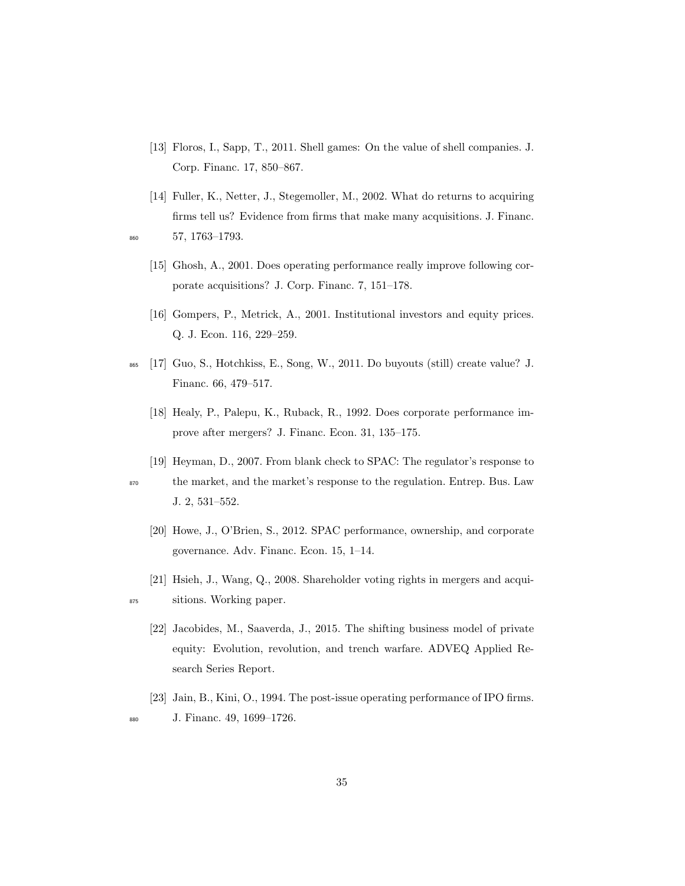- [13] Floros, I., Sapp, T., 2011. Shell games: On the value of shell companies. J. Corp. Financ. 17, 850–867.
- [14] Fuller, K., Netter, J., Stegemoller, M., 2002. What do returns to acquiring firms tell us? Evidence from firms that make many acquisitions. J. Financ. <sup>860</sup> 57, 1763–1793.
	- [15] Ghosh, A., 2001. Does operating performance really improve following corporate acquisitions? J. Corp. Financ. 7, 151–178.
	- [16] Gompers, P., Metrick, A., 2001. Institutional investors and equity prices. Q. J. Econ. 116, 229–259.
- <sup>865</sup> [17] Guo, S., Hotchkiss, E., Song, W., 2011. Do buyouts (still) create value? J. Financ. 66, 479–517.
	- [18] Healy, P., Palepu, K., Ruback, R., 1992. Does corporate performance improve after mergers? J. Financ. Econ. 31, 135–175.
	- [19] Heyman, D., 2007. From blank check to SPAC: The regulator's response to

- <sup>870</sup> the market, and the market's response to the regulation. Entrep. Bus. Law J. 2, 531–552.
	- [20] Howe, J., O'Brien, S., 2012. SPAC performance, ownership, and corporate governance. Adv. Financ. Econ. 15, 1–14.
- [21] Hsieh, J., Wang, Q., 2008. Shareholder voting rights in mergers and acqui-<sup>875</sup> sitions. Working paper.
	- [22] Jacobides, M., Saaverda, J., 2015. The shifting business model of private equity: Evolution, revolution, and trench warfare. ADVEQ Applied Research Series Report.
- [23] Jain, B., Kini, O., 1994. The post-issue operating performance of IPO firms. <sup>880</sup> J. Financ. 49, 1699–1726.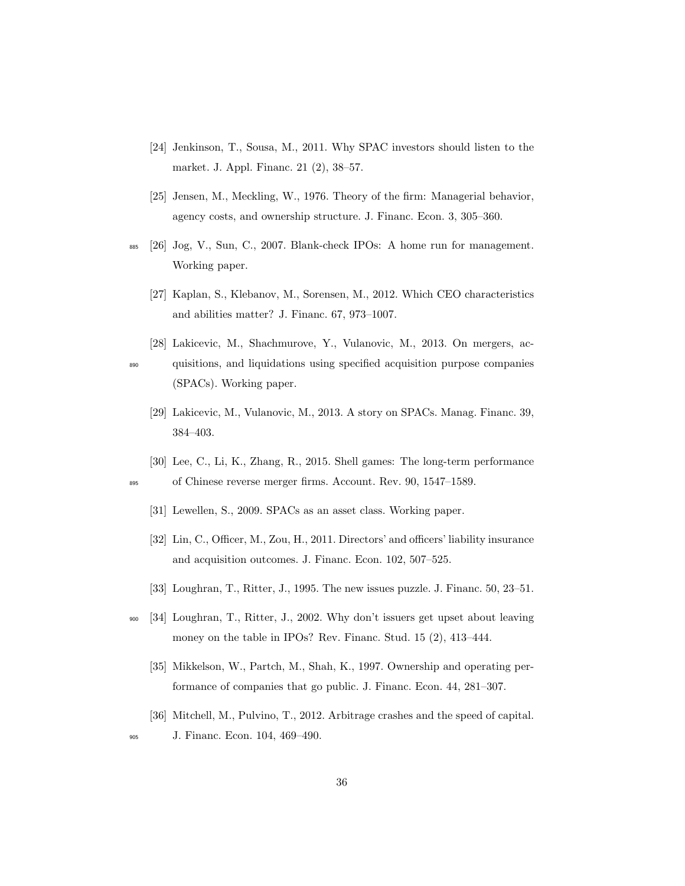- [24] Jenkinson, T., Sousa, M., 2011. Why SPAC investors should listen to the market. J. Appl. Financ. 21 (2), 38–57.
- [25] Jensen, M., Meckling, W., 1976. Theory of the firm: Managerial behavior, agency costs, and ownership structure. J. Financ. Econ. 3, 305–360.
- <sup>885</sup> [26] Jog, V., Sun, C., 2007. Blank-check IPOs: A home run for management. Working paper.
	- [27] Kaplan, S., Klebanov, M., Sorensen, M., 2012. Which CEO characteristics and abilities matter? J. Financ. 67, 973–1007.
- [28] Lakicevic, M., Shachmurove, Y., Vulanovic, M., 2013. On mergers, ac-<sup>890</sup> quisitions, and liquidations using specified acquisition purpose companies (SPACs). Working paper.
	- [29] Lakicevic, M., Vulanovic, M., 2013. A story on SPACs. Manag. Financ. 39, 384–403.
- [30] Lee, C., Li, K., Zhang, R., 2015. Shell games: The long-term performance <sup>895</sup> of Chinese reverse merger firms. Account. Rev. 90, 1547–1589.
	- [31] Lewellen, S., 2009. SPACs as an asset class. Working paper.
	- [32] Lin, C., Officer, M., Zou, H., 2011. Directors' and officers' liability insurance and acquisition outcomes. J. Financ. Econ. 102, 507–525.
	- [33] Loughran, T., Ritter, J., 1995. The new issues puzzle. J. Financ. 50, 23–51.
- <sup>900</sup> [34] Loughran, T., Ritter, J., 2002. Why don't issuers get upset about leaving money on the table in IPOs? Rev. Financ. Stud. 15 (2), 413–444.
	- [35] Mikkelson, W., Partch, M., Shah, K., 1997. Ownership and operating performance of companies that go public. J. Financ. Econ. 44, 281–307.
	- [36] Mitchell, M., Pulvino, T., 2012. Arbitrage crashes and the speed of capital.
- <sup>905</sup> J. Financ. Econ. 104, 469–490.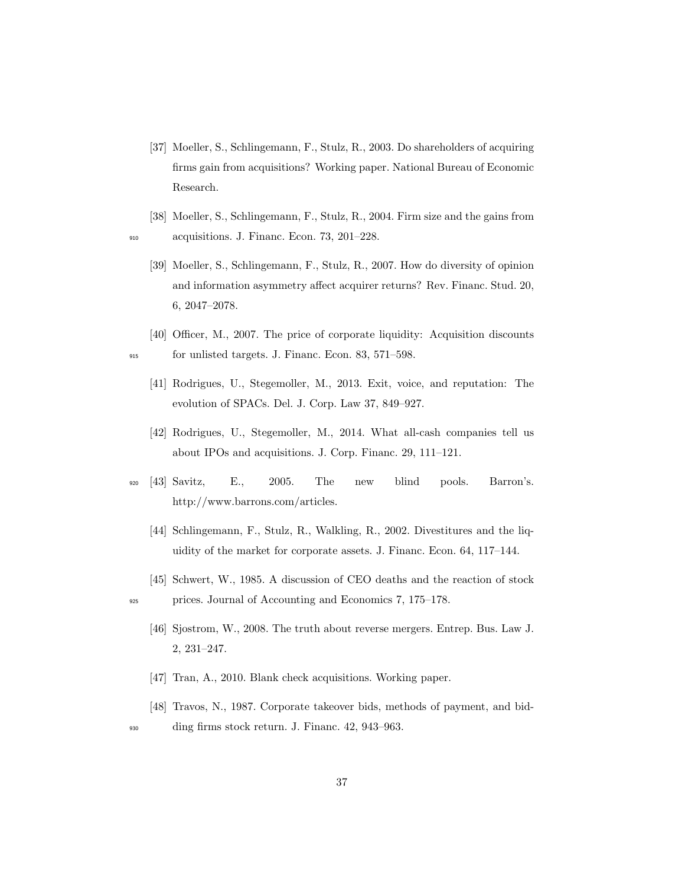- [37] Moeller, S., Schlingemann, F., Stulz, R., 2003. Do shareholders of acquiring firms gain from acquisitions? Working paper. National Bureau of Economic Research.
- [38] Moeller, S., Schlingemann, F., Stulz, R., 2004. Firm size and the gains from <sup>910</sup> acquisitions. J. Financ. Econ. 73, 201–228.
	- [39] Moeller, S., Schlingemann, F., Stulz, R., 2007. How do diversity of opinion and information asymmetry affect acquirer returns? Rev. Financ. Stud. 20, 6, 2047–2078.
- [40] Officer, M., 2007. The price of corporate liquidity: Acquisition discounts <sup>915</sup> for unlisted targets. J. Financ. Econ. 83, 571–598.
	- [41] Rodrigues, U., Stegemoller, M., 2013. Exit, voice, and reputation: The evolution of SPACs. Del. J. Corp. Law 37, 849–927.
	- [42] Rodrigues, U., Stegemoller, M., 2014. What all-cash companies tell us about IPOs and acquisitions. J. Corp. Financ. 29, 111–121.
- <sup>920</sup> [43] Savitz, E., 2005. The new blind pools. Barron's. http://www.barrons.com/articles.
	- [44] Schlingemann, F., Stulz, R., Walkling, R., 2002. Divestitures and the liquidity of the market for corporate assets. J. Financ. Econ. 64, 117–144.
- [45] Schwert, W., 1985. A discussion of CEO deaths and the reaction of stock <sup>925</sup> prices. Journal of Accounting and Economics 7, 175–178.
	- [46] Sjostrom, W., 2008. The truth about reverse mergers. Entrep. Bus. Law J. 2, 231–247.
	- [47] Tran, A., 2010. Blank check acquisitions. Working paper.
	- [48] Travos, N., 1987. Corporate takeover bids, methods of payment, and bid-

<sup>930</sup> ding firms stock return. J. Financ. 42, 943–963.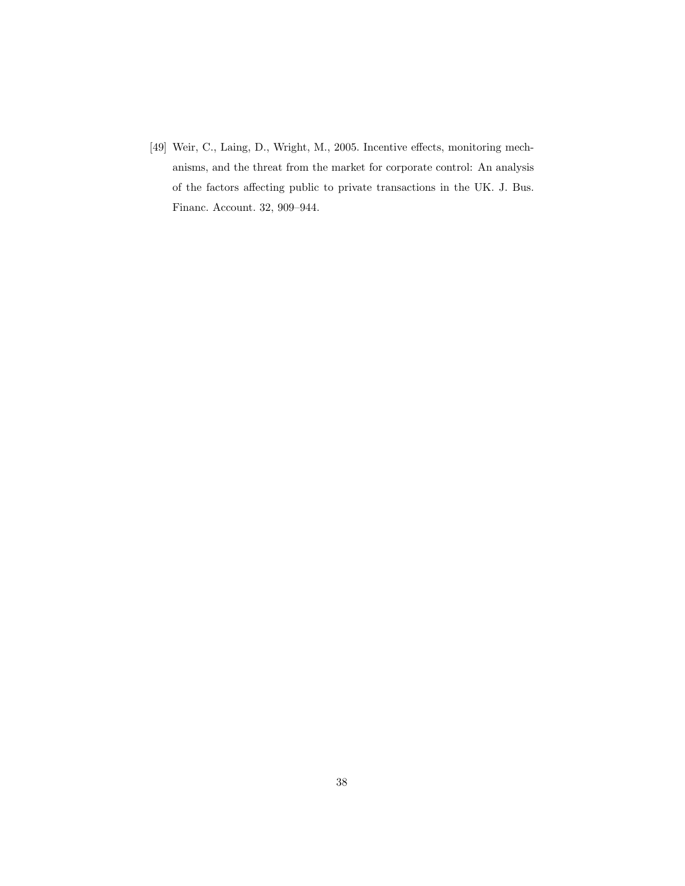[49] Weir, C., Laing, D., Wright, M., 2005. Incentive effects, monitoring mechanisms, and the threat from the market for corporate control: An analysis of the factors affecting public to private transactions in the UK. J. Bus. Financ. Account. 32, 909–944.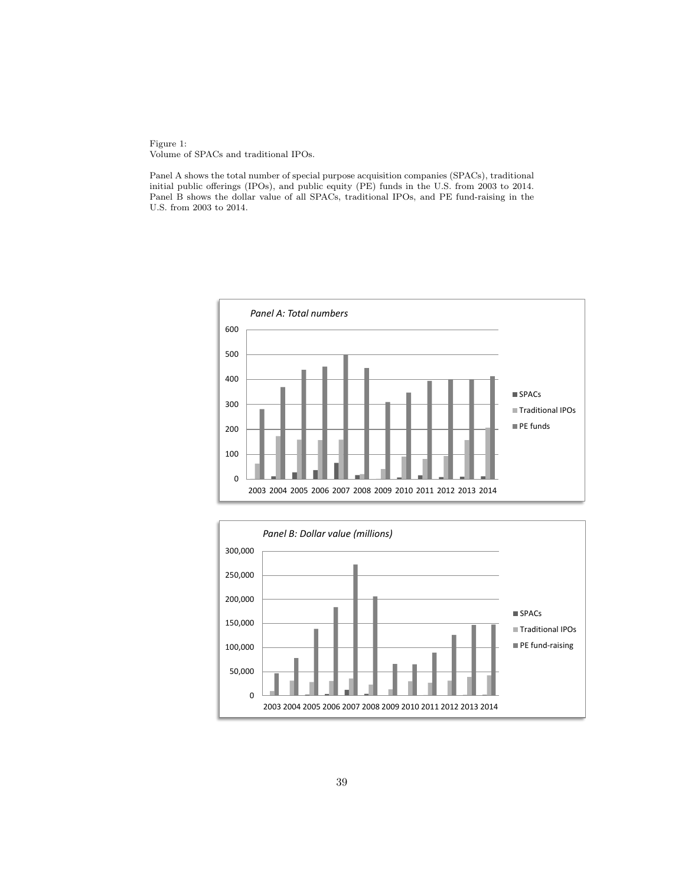Figure 1: Volume of SPACs and traditional IPOs.

Panel A shows the total number of special purpose acquisition companies (SPACs), traditional initial public offerings (IPOs), and public equity (PE) funds in the U.S. from 2003 to 2014. Panel B shows the dollar value of all SPACs, traditional IPOs, and PE fund-raising in the U.S. from 2003 to 2014.



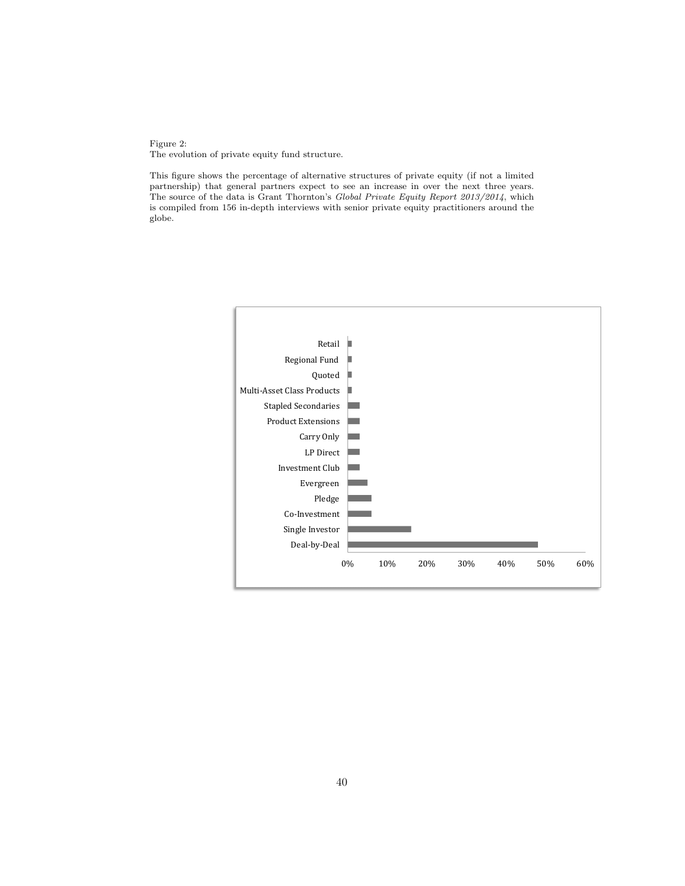Figure 2: The evolution of private equity fund structure.

This figure shows the percentage of alternative structures of private equity (if not a limited partnership) that general partners expect to see an increase in over the next three years. The source of the data is Grant Thornton's Global Private Equity Report 2013/2014, which is compiled from 156 in-depth interviews with senior private equity practitioners around the globe.

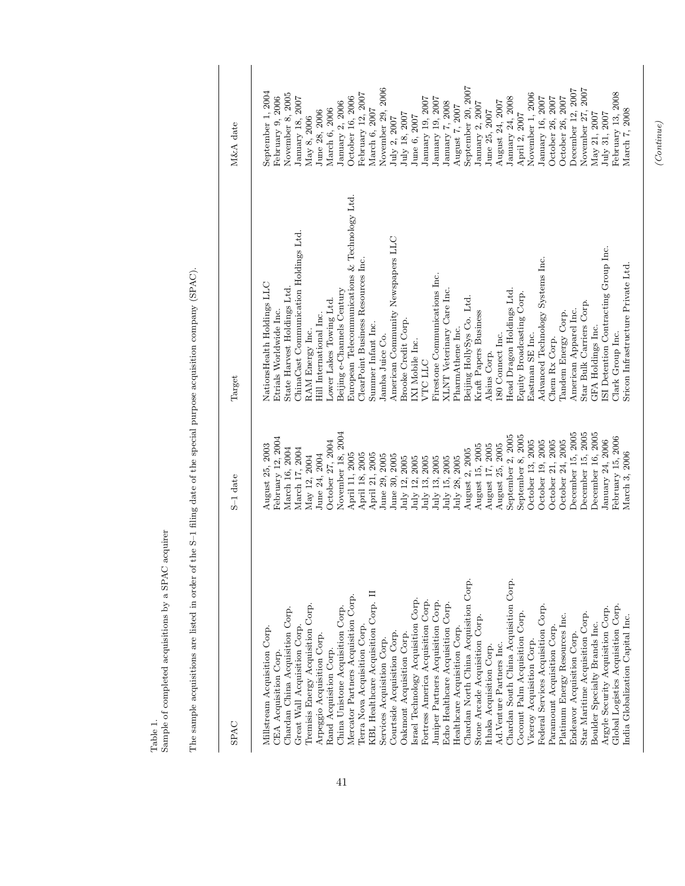Table 1.  $\label{eq:sampled}$  Sample of completed acquisitions by a<br>  $\text{SPAC}$  acquirer Sample of completed acquisitions by a SPAC acquirer

The sample acquisitions are listed in order of the S-1 filing date of the special purpose acquisition company (SPAC). The sample acquisitions are listed in order of the S–1 filing date of the special purpose acquisition company (SPAC).

| SPAC                                  | S-1 date             | Target                                        | M&A date           |
|---------------------------------------|----------------------|-----------------------------------------------|--------------------|
| Chardan South China Acquisition Corp. | November 18, 2004    | European Telecommunications & Technology Ltd. | September 20, 2007 |
| Chardan North China Acquisition Corp. | December 15, 2005    | ChinaCast Communication Holdings Ltd.         | November 29, 2006  |
| Mercator Partners Acquisition Corp.   | December 15, 2005    | American Community Newspapers LLC             | December 12, 2007  |
| KBL Healthcare Acquisition Corp. II   | September 2, 2005    | Advanced Technology Systems Inc.              | November 27, 2007  |
| Israel Technology Acquisition Corp.   | September 8, 2005    | ClearPoint Business Resources Inc.            | September 1, 2004  |
| Fortress America Acquisition Corp.    | February 12, 2004    | Firestone Communications Inc.                 | November 8, 2005   |
| Juniper Partners Acquisition Corp.    | October 24, 2005     | NationsHealth Holdings LLC                    | February 12, 2007  |
| Echo Healthcare Acquisition Corp.     | October 13, 2005     | State Harvest Holdings Ltd.                   | November 1, 2006   |
| Tremisis Energy Acquisition Corp.     | October 21, 2005     | Beijing e-Channels Century                    | February 9, 2006   |
| Federal Services Acquisition Corp.    | October 27, 2004     | <b>XLNT</b> Veterinary Care Inc.              | October 16, 2006   |
| China Unistone Acquisition Corp.      | October 19, 2005     | Head Dragon Holdings Ltd.                     | January 24, 2008   |
| Chardan China Acquisition Corp.       | August 25, 2005      | Equity Broadcasting Corp.                     | January 18, 2007   |
| Coconut Palm Acquisition Corp.        | August 25, 2003      | Lower Lakes Towing Ltd.                       | January 16, 2007   |
| Star Maritime Acquisition Corp.       | August 15, 2005      | Beijing HollySys Co. Ltd.                     | January 19, 2007   |
| Platinum Energy Resources Inc.        | August 17, 2005      | Star Bulk Carriers Corp.                      | January 19, 2007   |
| Stone Arcade Acquisition Corp.        | March 16, 2004       | American Apparel Inc.                         | October 26, 2007   |
| Terra Nova Acquisition Corp.          | March 17, 2004       | Etrials Worldwide Inc.                        | October 26, 2007   |
| Millstream Acquisition Corp.          | August 2, 2005       | Kraft Papers Business                         | August 24, 2007    |
| Paramount Acquisition Corp.           | April 11, 2005       | Tandem Energy Corp.                           | January 2, 2006    |
| Great Wall Acquisition Corp           | April 18, 2005       | Hill International Inc.                       | January 7, 2008    |
| Healthcare Acquisition Corp.          | April 21, 2005       | Brooke Credit Corp.                           | January 2, 2007    |
| Courtside Acquisition Corp.           | June 24, 2004        | Summer Infant Inc.                            | August 7, 2007     |
| Arpeggio Acquisition Corp.            | May 12, 2004         | PharmAthene Inc.                              | March 6, 2006      |
| Oakmont Acquisition Corp.             | June 29, 2005        | RAM Energy Inc.                               | March 6, 2007      |
| Endeavor Acquisition Corp             | June 30, 2005        | 180 Connect Inc.                              | June 25, 2007      |
| Services Acquisition Corp.            | $\rm{July}$ 13, 2005 | Eastman SE Inc.                               | June 28, 2006      |
| Viceroy Acquisition Corp.             | July 28, 2005        | Jamba Juice Co.                               | July 18, 2007      |
| Ad. Venture Partners Inc.             | July 12, 2005        | Chem Rx Corp.                                 | April 2, 2007      |
| Ithaka Acquisition Corp.              | July 12, 2005        | IXI Mobile Inc.                               | June 6, 2007       |
| Rand Acquisition Corp.                | July 13, 2005        | Alsius Corp.                                  | May 8, 2006        |
| <b>CEA Acquisition Corp</b>           | July 15, 2005        | VTC LLC                                       | July 2, 2007       |
| Global Logistics Acquisition Corp.    | December 16, 2005    | ISI Detention Contracting Group Inc.          | February 13, 2008  |
| Argyle Security Acquisition Corp.     | February 15, 2006    | Sricon Infrastructure Private Ltd             | March 7, 2008      |
| india Globalization Capital Inc.      | January 24, 2006     | GFA Holdings Inc.                             | July 31, 2007      |
| Boulder Specialty Brands Inc.         | March 3, 2006        | Clark Group Inc.                              | May 21, 2007       |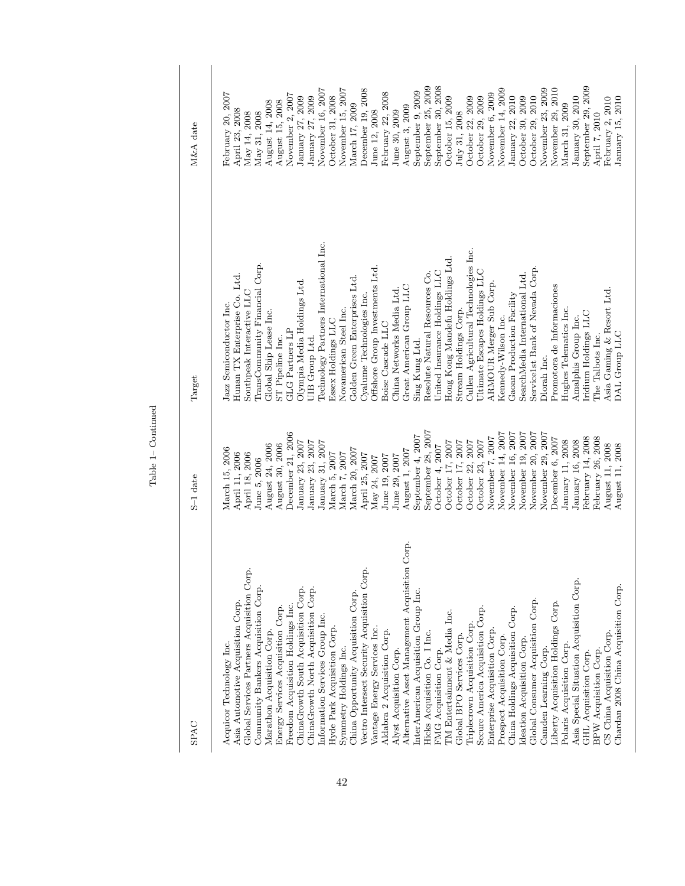| <b>SPAC</b>                                                                                                                                                                                                                                                                                                                                                                                                                                                                                                                                                                                                                                                                                                                                                                                                                                                                                                                                                                                                                                                                                                                                                                                                                                                                  | S-1 date                                                                                                                                                                                                                                                                                                                                                                                                                                                                                                                                                                                                                                                                                                             | Target                                                                                                                                                                                                                                                                                                                                                                                                                                                                                                                                                                                                                                                                                                                                                                                                                                                                                                                                                                                                                                     | M&A date                                                                                                                                                                                                                                                                                                                                                                                                                                                                                                                                                                                                                                                                                                                      |
|------------------------------------------------------------------------------------------------------------------------------------------------------------------------------------------------------------------------------------------------------------------------------------------------------------------------------------------------------------------------------------------------------------------------------------------------------------------------------------------------------------------------------------------------------------------------------------------------------------------------------------------------------------------------------------------------------------------------------------------------------------------------------------------------------------------------------------------------------------------------------------------------------------------------------------------------------------------------------------------------------------------------------------------------------------------------------------------------------------------------------------------------------------------------------------------------------------------------------------------------------------------------------|----------------------------------------------------------------------------------------------------------------------------------------------------------------------------------------------------------------------------------------------------------------------------------------------------------------------------------------------------------------------------------------------------------------------------------------------------------------------------------------------------------------------------------------------------------------------------------------------------------------------------------------------------------------------------------------------------------------------|--------------------------------------------------------------------------------------------------------------------------------------------------------------------------------------------------------------------------------------------------------------------------------------------------------------------------------------------------------------------------------------------------------------------------------------------------------------------------------------------------------------------------------------------------------------------------------------------------------------------------------------------------------------------------------------------------------------------------------------------------------------------------------------------------------------------------------------------------------------------------------------------------------------------------------------------------------------------------------------------------------------------------------------------|-------------------------------------------------------------------------------------------------------------------------------------------------------------------------------------------------------------------------------------------------------------------------------------------------------------------------------------------------------------------------------------------------------------------------------------------------------------------------------------------------------------------------------------------------------------------------------------------------------------------------------------------------------------------------------------------------------------------------------|
| Corp.<br>Alternative Asset Management Acquisition<br>Vectro Intersect Security Acquisition Corp.<br>Global Services Partners Acquisition Corp.<br>Asia Special Situation Acquisition Corp.<br>Community Bankers Acquisition Corp.<br>ChinaGrowth South Acquisition Corp.<br>ChinaGrowth North Acquisition Corp.<br>InterAmerican Acquisition Group Inc.<br>China Opportunity Acquisition Corp.<br>Global Consumer Acquisition Corp.<br>Asia Automotive Acquisition Corp.<br>Liberty Acquisition Holdings Corp.<br>Freedom Acquisition Holdings Inc.<br>Energy Services Acquisition Corp.<br>Secure America Acquisition Corp.<br>China Holdings Acquisition Corp.<br>TM Entertainment & Media Inc.<br>Information Services Group Inc.<br>Triplecrown Acquisition Corp.<br>Hyde Park Acquisition Corp.<br>Vantage Energy Services Inc.<br>Aldabra 2 Acquisition Corp.<br>Enterprise Acquisition Corp.<br>Marathon Acquisition Corp.<br>Hicks Acquisition Co. I Inc.<br>Global BPO Services Corp.<br>Prospect Acquisition Corp.<br>Ideation Acquisition Corp.<br>Polaris Acquisition Corp.<br>Acquicor Technology Inc.<br>Symmetry Holdings Inc.<br>Alyst Acquisition Corp.<br>Camden Learning Corp.<br>FMG Acquisition Corp.<br>BPW Acquisition Corp.<br>GHL Acquisition Corp. | September 28, 2007<br>November 14, 2007<br>November 20, 2007<br>December 21, 2006<br>November 16, 2007<br>November 19, 2007<br>November 29, 2007<br>September 4, 2007<br>February 14, 2008<br>February 26, 2008<br>November 7, 2007<br>December 6, 2007<br>January 11, 2008<br>January 16, 2008<br>January 23, 2007<br>January 23, 2007<br>October 23, 2007<br>January 31, 2007<br>October 17, 2007<br>October 17, 2007<br>October 22, 2007<br>August 30, 2006<br>August 24, 2006<br>October 4, 2007<br>March 15, 2006<br>March 20, 2007<br>August 1, 2007<br>April 11, 2006<br>March 5, 2007<br>March 7, 2007<br>April 25, 2007<br>April 18, 2006<br>June 19, 2007<br>June 29, 2007<br>May 24, 2007<br>June 5, 2006 | Technology Partners International Inc.<br>Cullen Agricultural Technologies Inc.<br>Hong Kong Mandefu Holdings Ltd.<br>TransCommunity Financial Corp.<br>Offshore Group Investments Ltd.<br>Service1st Bank of Nevada Corp.<br>United Insurance Holdings LLC<br>Ultimate Escapes Holdings LLC<br>Resolute Natural Resources Co.<br>SearchMedia International Ltd.<br>Hunan TX Enterprise Co. Ltd.<br>Golden Green Enterprises Ltd.<br>Olympia Media Holdings Ltd.<br>ARMOUR Merger Sub Corp.<br>Great American Group LLC<br>Promotora de Informaciones<br>China Networks Media Ltd.<br>Southpeak Interactive LLC<br>Gaoan Production Facility<br>Cyalume Technologies Inc.<br>Jazz Semiconductor Inc.<br>Stream Holdings Corp.<br>Novamerican Steel Inc.<br>Hughes Telematics Inc.<br>Global Ship Lease Inc.<br>Iridium Holdings LLC<br>Kennedy-Wilson Inc.<br>Amalphis Group Inc.<br>Essex Holdings LLC<br>Boise Cascade LLC<br>GLG Partners LP<br>The Talbots Inc.<br>ST Pipeline Inc.<br>UIB Group Ltd.<br>Sing Kung Ltd.<br>Dlorah Inc. | September 25, 2009<br>September 30, 2008<br>September 29, 2009<br>November 15, 2007<br>November 23, 2009<br>November 29, 2010<br>November 16, 2007<br>November 14, 2009<br>December 19, 2008<br>September 9, 2009<br>November 6, 2009<br>February 22, 2008<br>February 20, 2007<br>November 2, 2007<br>October 31, 2008<br>October 29, 2010<br>October 15, 2009<br>October 22, 2009<br>October 29, 2009<br>January 22, 2010<br>October 30, 2009<br>January 27, 2009<br>January 27, 2009<br>January 30, 2010<br>August 15, 2008<br>August 14, 2008<br>March 17, 2009<br>March 31, 2009<br>August 3, 2009<br>April 23, 2008<br>June 12, 2008<br>June 30, 2009<br>July 31, 2008<br>May 31, 2008<br>May 14, 2008<br>April 7, 2010 |
| Chardan 2008 China Acquisition Corp.<br>CS China Acquisition Corp.                                                                                                                                                                                                                                                                                                                                                                                                                                                                                                                                                                                                                                                                                                                                                                                                                                                                                                                                                                                                                                                                                                                                                                                                           | August 11, 2008<br>August 11, 2008                                                                                                                                                                                                                                                                                                                                                                                                                                                                                                                                                                                                                                                                                   | Asia Gaming & Resort Ltd.<br>DAL Group LLC                                                                                                                                                                                                                                                                                                                                                                                                                                                                                                                                                                                                                                                                                                                                                                                                                                                                                                                                                                                                 | January 15, 2010<br>February 2, 2010                                                                                                                                                                                                                                                                                                                                                                                                                                                                                                                                                                                                                                                                                          |

Table 1– Continued Table 1– Continued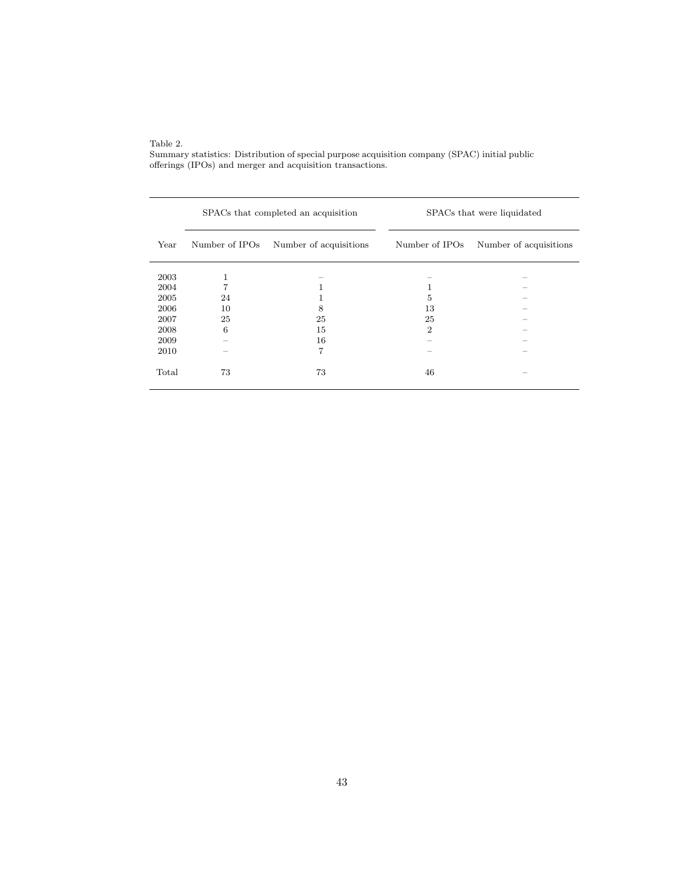Table 2.

Summary statistics: Distribution of special purpose acquisition company (SPAC) initial public offerings (IPOs) and merger and acquisition transactions.

|       |    | SPACs that completed an acquisition   |                | SPACs that were liquidated |
|-------|----|---------------------------------------|----------------|----------------------------|
| Year  |    | Number of IPOs Number of acquisitions | Number of IPOs | Number of acquisitions     |
| 2003  | 1  |                                       |                |                            |
| 2004  | 7  | 1                                     | 1              |                            |
| 2005  | 24 |                                       | 5              |                            |
| 2006  | 10 | 8                                     | 13             |                            |
| 2007  | 25 | 25                                    | 25             |                            |
| 2008  | 6  | 15                                    | $\overline{2}$ |                            |
| 2009  |    | 16                                    |                |                            |
| 2010  |    | 7                                     |                |                            |
| Total | 73 | 73                                    | 46             |                            |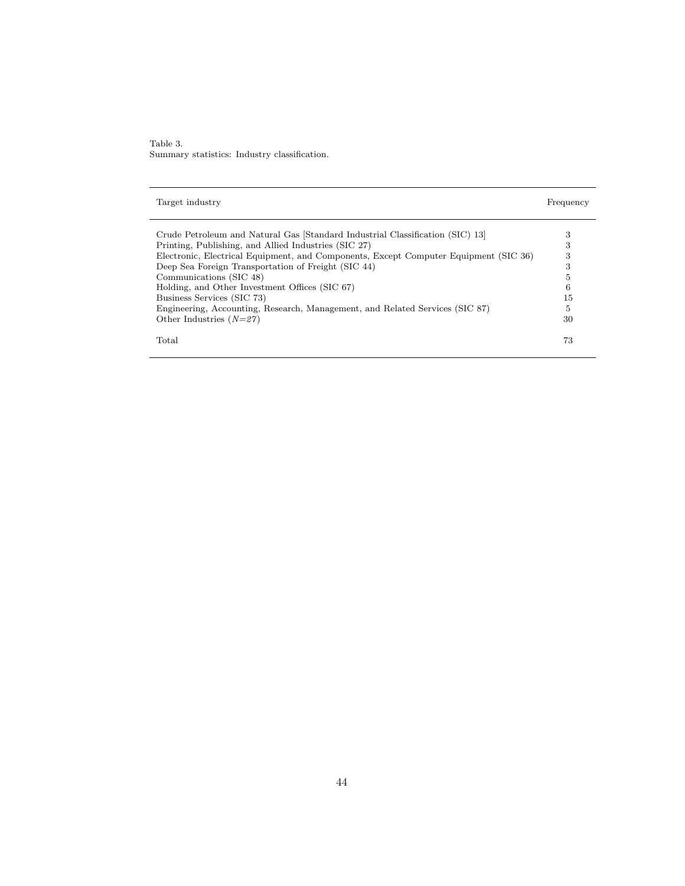Table 3. Summary statistics: Industry classification.

| Target industry                                                                      | Frequency |
|--------------------------------------------------------------------------------------|-----------|
|                                                                                      |           |
| Crude Petroleum and Natural Gas Standard Industrial Classification (SIC) 13          | 3         |
| Printing, Publishing, and Allied Industries (SIC 27)                                 | 3         |
| Electronic, Electrical Equipment, and Components, Except Computer Equipment (SIC 36) | 3         |
| Deep Sea Foreign Transportation of Freight (SIC 44)                                  | 3         |
| Communications (SIC 48)                                                              | 5         |
| Holding, and Other Investment Offices (SIC 67)                                       | 6         |
| Business Services (SIC 73)                                                           | 15        |
| Engineering, Accounting, Research, Management, and Related Services (SIC 87)         | 5         |
| Other Industries $(N=27)$                                                            | 30        |
| Total                                                                                | 73        |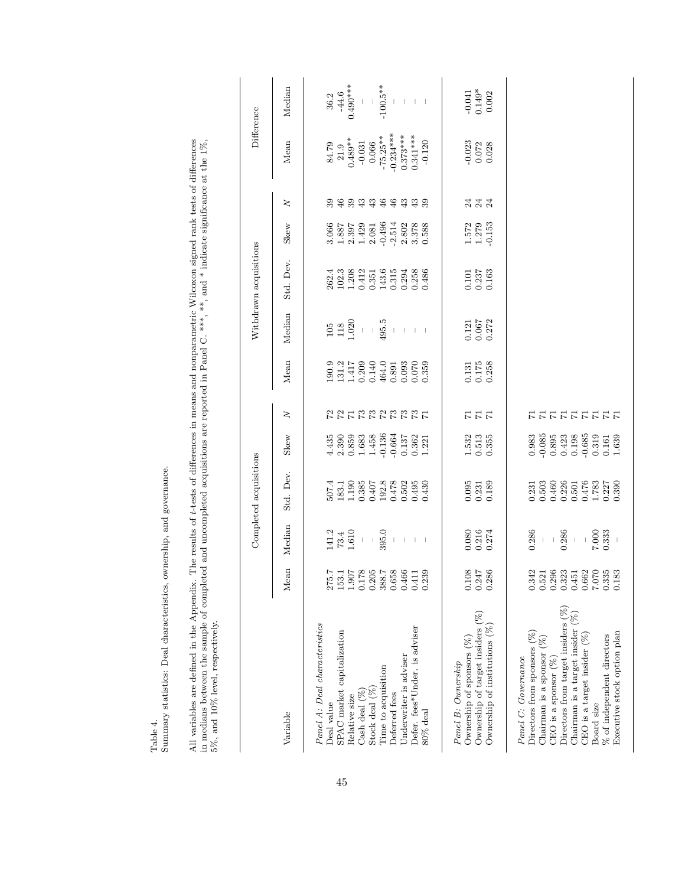| nership, and governance.<br>$\frac{3}{3}$<br>Ī |
|------------------------------------------------|
| ľ                                              |
| å                                              |
| $\overline{\phantom{a}}$<br>j                  |
| $-10+1$<br>$\frac{1}{2}$                       |

All variables are defined in the Appendix. The results of t-tests of differences in means and nonparametric Wilcoxon signed rank tests of differences in medians between the sample of completed and uncompleted acquisitions All variables are defined in the Appendix. The results of t-tests of differences in means and nonparametric Wilcoxon signed rank tests of differences in medians between the sample of completed and uncompleted acquisitions are reported in Panel C. \*\*\*, \*\*, and \* indicate significance at the 1%, 5%, and 10% level, respectively.

|                                                           |                                                                                                                         |                                                          | Completed acquisitions                                                                                                                     |                                                                                                                      |           |                                                                                                                                                                                                                                                                            |                                                        | Withdrawn acquisitions                                                |                                                                                   |                                                                                                                                                                                                                                                                                                                                                                                                                                                               | Difference                              |                               |
|-----------------------------------------------------------|-------------------------------------------------------------------------------------------------------------------------|----------------------------------------------------------|--------------------------------------------------------------------------------------------------------------------------------------------|----------------------------------------------------------------------------------------------------------------------|-----------|----------------------------------------------------------------------------------------------------------------------------------------------------------------------------------------------------------------------------------------------------------------------------|--------------------------------------------------------|-----------------------------------------------------------------------|-----------------------------------------------------------------------------------|---------------------------------------------------------------------------------------------------------------------------------------------------------------------------------------------------------------------------------------------------------------------------------------------------------------------------------------------------------------------------------------------------------------------------------------------------------------|-----------------------------------------|-------------------------------|
| Variable                                                  | Mean                                                                                                                    | Median                                                   | Std. Dev.                                                                                                                                  | Skew                                                                                                                 | $\geq$    | Mean                                                                                                                                                                                                                                                                       | Median                                                 | Std. Dev.                                                             | Skew                                                                              | $\geq$                                                                                                                                                                                                                                                                                                                                                                                                                                                        | Mean                                    | Median                        |
| Panel A: Deal characteristics                             |                                                                                                                         |                                                          |                                                                                                                                            |                                                                                                                      |           |                                                                                                                                                                                                                                                                            |                                                        |                                                                       |                                                                                   |                                                                                                                                                                                                                                                                                                                                                                                                                                                               |                                         |                               |
| Deal value                                                |                                                                                                                         | $\begin{array}{c} 141.2 \\ 73.4 \\ 1.610 \\ \end{array}$ | $\begin{array}{l} 507.4 \\ 183.1 \\ 1.190 \\ 0.385 \\ 0.407 \\ 0.478 \\ 0.478 \\ 0.502 \\ 0.503 \\ 0.614 \\ 0.624 \\ 0.603 \\ \end{array}$ |                                                                                                                      |           | $\begin{array}{l} 190.9\\131.2\\1.417\\0.209\\0.464\\0.891\\0.000\\0.000\\0.000\\0.000\\0.000\\0.000\\0.000\\0.000\\0.000\\0.000\\0.000\\0.000\\0.000\\0.000\\0.000\\0.000\\0.000\\0.000\\0.000\\0.000\\0.000\\0.000\\0.000\\0.000\\0.000\\0.000\\0.000\\0.000\\0.000\\0.$ | $105$<br>$118$<br>$1020$                               |                                                                       |                                                                                   | 89                                                                                                                                                                                                                                                                                                                                                                                                                                                            | 84.79                                   | 36.2                          |
| SPAC market capitalization                                | $\begin{array}{l} 275.7 \\ 153.1 \\ 1.907 \\ 0.178 \\ 0.205 \\ 0.388.7 \\ 0.658 \\ 0.6466 \\ 0.411 \\ \end{array}$      |                                                          |                                                                                                                                            | $\begin{array}{l} 4.435 \\ 2.390 \\ 0.859 \\ 1.683 \\ 1.458 \\ 1.456 \\ 1.364 \\ 1.37 \\ 1.321 \\ 1.221 \end{array}$ | 225222222 |                                                                                                                                                                                                                                                                            |                                                        | 262.4<br>102.3<br>1.208<br>1.208<br>0.315<br>0.315<br>0.2948<br>0.486 | $\begin{array}{c} 3.066 \\ 1.887 \\ 2.397 \\ 2.429 \\ 1.429 \\ 2.081 \end{array}$ | $\begin{array}{c} \mathfrak{S} \\ \mathfrak{S} \\ \mathfrak{S} \\ \mathfrak{S} \\ \mathfrak{S} \\ \mathfrak{S} \\ \mathfrak{S} \\ \mathfrak{S} \\ \mathfrak{S} \\ \mathfrak{S} \\ \mathfrak{S} \\ \mathfrak{S} \\ \mathfrak{S} \\ \mathfrak{S} \\ \mathfrak{S} \\ \mathfrak{S} \\ \mathfrak{S} \\ \mathfrak{S} \\ \mathfrak{S} \\ \mathfrak{S} \\ \mathfrak{S} \\ \mathfrak{S} \\ \mathfrak{S} \\ \mathfrak{S} \\ \mathfrak{S} \\ \mathfrak{S} \\ \mathfrak{$ | $21.9$                                  | $-44.6$                       |
| Relative size                                             |                                                                                                                         |                                                          |                                                                                                                                            |                                                                                                                      |           |                                                                                                                                                                                                                                                                            |                                                        |                                                                       |                                                                                   |                                                                                                                                                                                                                                                                                                                                                                                                                                                               | $0.489**$                               | $0.490***$                    |
| Cash deal (%                                              |                                                                                                                         |                                                          |                                                                                                                                            |                                                                                                                      |           |                                                                                                                                                                                                                                                                            |                                                        |                                                                       |                                                                                   |                                                                                                                                                                                                                                                                                                                                                                                                                                                               | $-0.031$<br>0.066                       |                               |
| Stock deal (%)                                            |                                                                                                                         | $\bar{\bar{1}}$                                          |                                                                                                                                            |                                                                                                                      |           |                                                                                                                                                                                                                                                                            | $\bar{\bar{1}}$                                        |                                                                       |                                                                                   |                                                                                                                                                                                                                                                                                                                                                                                                                                                               |                                         |                               |
| Time to acquisition                                       |                                                                                                                         | 395.0                                                    |                                                                                                                                            |                                                                                                                      |           |                                                                                                                                                                                                                                                                            | 495.5                                                  |                                                                       | $-0.496$<br>$-2.514$<br>$-2.802$<br>$-3.388$<br>$-0.588$                          |                                                                                                                                                                                                                                                                                                                                                                                                                                                               | $-75.25***$<br>-0.234 ***<br>0.373 **** | $-100.5***$                   |
| Deferred fees                                             |                                                                                                                         | $\,$ $\,$                                                |                                                                                                                                            |                                                                                                                      |           |                                                                                                                                                                                                                                                                            |                                                        |                                                                       |                                                                                   |                                                                                                                                                                                                                                                                                                                                                                                                                                                               |                                         |                               |
| Underwriter is adviser                                    |                                                                                                                         | $\vert$                                                  |                                                                                                                                            |                                                                                                                      |           |                                                                                                                                                                                                                                                                            | $\vert$                                                |                                                                       |                                                                                   |                                                                                                                                                                                                                                                                                                                                                                                                                                                               |                                         |                               |
| Defer. fees*Under. is adviser                             |                                                                                                                         | $\vert \cdot \vert$                                      |                                                                                                                                            |                                                                                                                      |           |                                                                                                                                                                                                                                                                            | $\vert \cdot \vert$                                    |                                                                       |                                                                                   |                                                                                                                                                                                                                                                                                                                                                                                                                                                               | $0.341***$                              | $\vert$                       |
| $80\%$ deal                                               | 0.239                                                                                                                   |                                                          | 0.430                                                                                                                                      |                                                                                                                      |           |                                                                                                                                                                                                                                                                            |                                                        |                                                                       |                                                                                   |                                                                                                                                                                                                                                                                                                                                                                                                                                                               | $-0.120$                                |                               |
|                                                           |                                                                                                                         |                                                          |                                                                                                                                            |                                                                                                                      |           |                                                                                                                                                                                                                                                                            |                                                        |                                                                       |                                                                                   |                                                                                                                                                                                                                                                                                                                                                                                                                                                               |                                         |                               |
| Panel B: Ownership                                        |                                                                                                                         |                                                          |                                                                                                                                            |                                                                                                                      |           |                                                                                                                                                                                                                                                                            |                                                        |                                                                       |                                                                                   |                                                                                                                                                                                                                                                                                                                                                                                                                                                               |                                         |                               |
| Ownership of sponsors (%)                                 | $\begin{array}{c} 0.108 \\ 0.247 \\ 0.286 \end{array}$                                                                  | $\begin{array}{c} 0.080 \\ 0.216 \\ 0.274 \end{array}$   | $\begin{array}{c} 0.095 \\ 0.231 \\ 0.189 \end{array}$                                                                                     | $\begin{array}{c} 1.532 \\ 0.513 \\ 0.355 \end{array}$                                                               | 777       | $\begin{array}{c} 0.131 \\ 0.175 \\ 0.258 \end{array}$                                                                                                                                                                                                                     | $\begin{array}{c} 0.121 \\ 0.067 \\ 0.272 \end{array}$ | $\begin{array}{c} 0.101 \\ 0.237 \\ 0.163 \end{array}$                | $1.572$<br>$1.279$<br>$-0.153$                                                    | $\frac{4}{3}$ $\frac{4}{3}$                                                                                                                                                                                                                                                                                                                                                                                                                                   | $-0.023$<br>$0.072$<br>$0.028$          | $-0.041$<br>$0.149*$<br>0.002 |
| Ownership of target insiders (%)                          |                                                                                                                         |                                                          |                                                                                                                                            |                                                                                                                      |           |                                                                                                                                                                                                                                                                            |                                                        |                                                                       |                                                                                   |                                                                                                                                                                                                                                                                                                                                                                                                                                                               |                                         |                               |
| Ownership of institutions $(\%$                           |                                                                                                                         |                                                          |                                                                                                                                            |                                                                                                                      |           |                                                                                                                                                                                                                                                                            |                                                        |                                                                       |                                                                                   |                                                                                                                                                                                                                                                                                                                                                                                                                                                               |                                         |                               |
| Panel C: Governance                                       |                                                                                                                         |                                                          |                                                                                                                                            |                                                                                                                      |           |                                                                                                                                                                                                                                                                            |                                                        |                                                                       |                                                                                   |                                                                                                                                                                                                                                                                                                                                                                                                                                                               |                                         |                               |
| Directors from sponsors $(\%)$                            |                                                                                                                         | 0.286                                                    |                                                                                                                                            |                                                                                                                      |           |                                                                                                                                                                                                                                                                            |                                                        |                                                                       |                                                                                   |                                                                                                                                                                                                                                                                                                                                                                                                                                                               |                                         |                               |
| Chairman is a sponsor $(\%)$                              |                                                                                                                         |                                                          |                                                                                                                                            |                                                                                                                      |           |                                                                                                                                                                                                                                                                            |                                                        |                                                                       |                                                                                   |                                                                                                                                                                                                                                                                                                                                                                                                                                                               |                                         |                               |
| $CEO$ is a sponsor $(\%)$                                 |                                                                                                                         |                                                          |                                                                                                                                            |                                                                                                                      |           |                                                                                                                                                                                                                                                                            |                                                        |                                                                       |                                                                                   |                                                                                                                                                                                                                                                                                                                                                                                                                                                               |                                         |                               |
| Directors from target insiders $(\%)$                     |                                                                                                                         | 0.286                                                    |                                                                                                                                            |                                                                                                                      |           |                                                                                                                                                                                                                                                                            |                                                        |                                                                       |                                                                                   |                                                                                                                                                                                                                                                                                                                                                                                                                                                               |                                         |                               |
| Chairman is a target insider $(\%)$                       |                                                                                                                         |                                                          |                                                                                                                                            |                                                                                                                      |           |                                                                                                                                                                                                                                                                            |                                                        |                                                                       |                                                                                   |                                                                                                                                                                                                                                                                                                                                                                                                                                                               |                                         |                               |
| CEO is a target insider $(%$                              |                                                                                                                         |                                                          |                                                                                                                                            |                                                                                                                      |           |                                                                                                                                                                                                                                                                            |                                                        |                                                                       |                                                                                   |                                                                                                                                                                                                                                                                                                                                                                                                                                                               |                                         |                               |
| Board size                                                | $\begin{array}{c} 0.342 \\ 0.521 \\ 0.296 \\ 0.323 \\ 0.662 \\ 0.652 \\ 0.708 \\ 0.83 \\ 0.183 \\ 0.183 \\ \end{array}$ | 7.000<br>0.333                                           | $\begin{array}{c} 0.231 \\ 0.503 \\ 0.460 \\ 0.226 \\ 0.501 \\ 0.501 \\ 0.478 \\ 0.237 \\ 0.330 \\ 0.330 \end{array}$                      | $\begin{array}{c} 0.983 \\ -0.085 \\ 0.423 \\ 0.198 \\ -0.685 \\ 0.198 \\ -0.631 \\ -0.639 \\ 1.639 \end{array}$     |           |                                                                                                                                                                                                                                                                            |                                                        |                                                                       |                                                                                   |                                                                                                                                                                                                                                                                                                                                                                                                                                                               |                                         |                               |
| Executive stock option plan<br>% of independent directors |                                                                                                                         |                                                          |                                                                                                                                            |                                                                                                                      |           |                                                                                                                                                                                                                                                                            |                                                        |                                                                       |                                                                                   |                                                                                                                                                                                                                                                                                                                                                                                                                                                               |                                         |                               |
|                                                           |                                                                                                                         |                                                          |                                                                                                                                            |                                                                                                                      |           |                                                                                                                                                                                                                                                                            |                                                        |                                                                       |                                                                                   |                                                                                                                                                                                                                                                                                                                                                                                                                                                               |                                         |                               |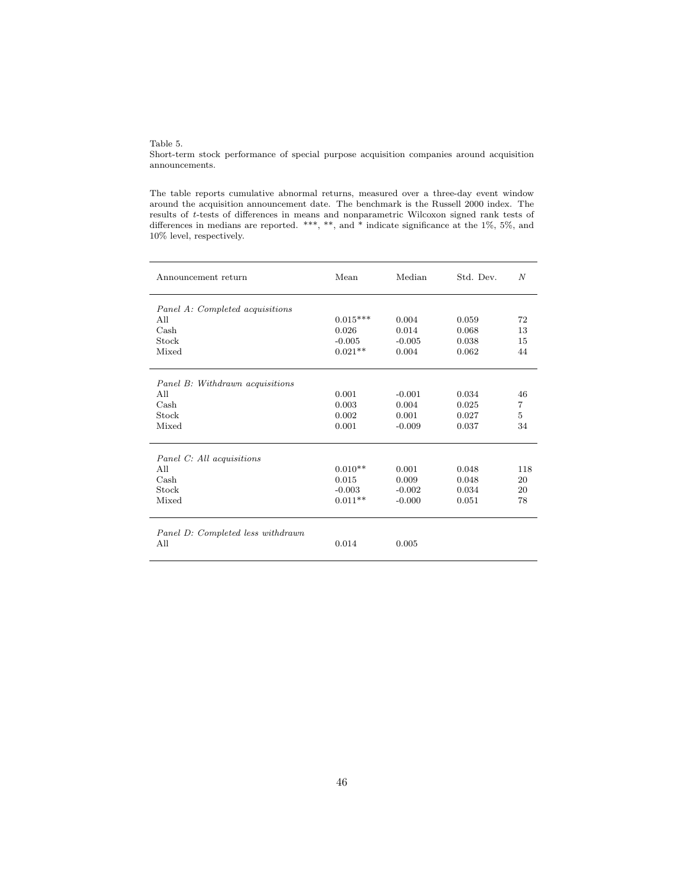Table 5.

Short-term stock performance of special purpose acquisition companies around acquisition announcements.

The table reports cumulative abnormal returns, measured over a three-day event window around the acquisition announcement date. The benchmark is the Russell 2000 index. The results of t-tests of differences in means and nonparametric Wilcoxon signed rank tests of differences in medians are reported. \*\*\*, \*\*, and \* indicate significance at the 1%, 5%, and 10% level, respectively.

| Announcement return               | Mean       | Median   | Std. Dev. | N              |
|-----------------------------------|------------|----------|-----------|----------------|
| Panel A: Completed acquisitions   |            |          |           |                |
| All                               | $0.015***$ | 0.004    | 0.059     | 72             |
| $\operatorname{Cash}$             | 0.026      | 0.014    | 0.068     | 13             |
| Stock                             | $-0.005$   | $-0.005$ | 0.038     | 15             |
| Mixed                             | $0.021**$  | 0.004    | 0.062     | 44             |
| Panel B: Withdrawn acquisitions   |            |          |           |                |
| All                               | 0.001      | $-0.001$ | 0.034     | 46             |
| Cash                              | 0.003      | 0.004    | 0.025     | $\overline{7}$ |
| Stock                             | 0.002      | 0.001    | 0.027     | 5              |
| Mixed                             | 0.001      | $-0.009$ | 0.037     | 34             |
| Panel C: All acquisitions         |            |          |           |                |
| All                               | $0.010**$  | 0.001    | 0.048     | 118            |
| $\operatorname{Cash}$             | 0.015      | 0.009    | 0.048     | 20             |
| Stock                             | $-0.003$   | $-0.002$ | 0.034     | 20             |
| Mixed                             | $0.011**$  | $-0.000$ | 0.051     | 78             |
| Panel D: Completed less withdrawn |            |          |           |                |
| All                               | 0.014      | 0.005    |           |                |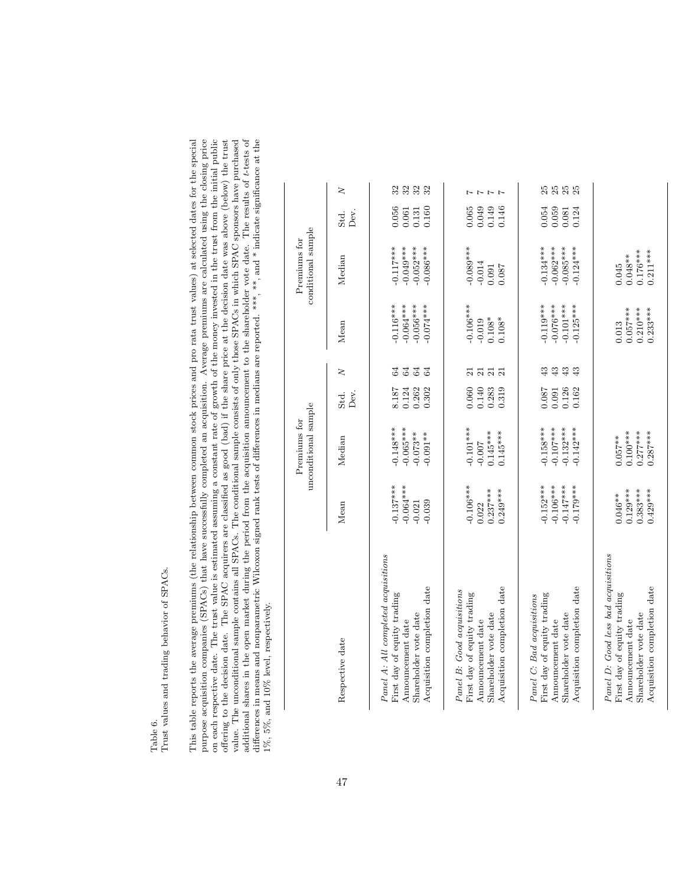Table 6.<br>Trust values and trading behavior of SPACs. Trust values and trading behavior of SPACs.

purpose acquisition companies (SPACs) that have successfully completed an acquisition. Average premiums are calculated using the closing price<br>on each respective date. The trust value is estimated assuming a constant rate additional shares in the open market during the period from the acquisition announcement to the shareholder vote date. The results of t-tests of differences in means and nonparametric Wilcoxon signed rank tests of differen This table reports the average premiums (the relationship between common stock prices and pro rata trust values) at selected dates for the special offering to the decision date. The SPAC acquirers are classified as good (bad) if the share price at the decision date was above (below) the trust value. The unconditional sample contains all SPACs. The conditional sample consists of only those SPACs in which SPAC sponsors have purchased This table reports the average premiums (the relationship between common stock prices and pro rata trust values) at selected dates for the special purpose acquisition companies (SPACs) that have successfully completed an acquisition. Average premiums are calculated using the closing price on each respective date. The trust value is estimated assuming a constant rate of growth of the money invested in the trust from the initial public offering to the decision date. The SPAC acquirers are classified as good (bad) if the share price at the decision date was above (below) the trust value. The unconditional sample contains all SPACs. The conditional sample consists of only those SPACs in which SPAC sponsors have purchased additional shares in the open market during the period from the acquisition announcement to the shareholder vote date. The results of t-tests of differences in means and nonparametric Wilcoxon signed rank tests of differences in medians are reported. \*\*\*, \*\*, and \* indicate significance at the 1%, 5%, and 10% level, respectively. 1%, 5%, and 10% level, respectively.

|                                                                                                                                                 |                                                          | unconditional sample<br>Premiums for                     |                                  |                                                                                |                                                          | conditional sample<br>Premiums for                       |                                      |                        |
|-------------------------------------------------------------------------------------------------------------------------------------------------|----------------------------------------------------------|----------------------------------------------------------|----------------------------------|--------------------------------------------------------------------------------|----------------------------------------------------------|----------------------------------------------------------|--------------------------------------|------------------------|
| Respective date                                                                                                                                 | Mean                                                     | Median                                                   | Dev.<br>Std.                     | $\geq$                                                                         | Mean                                                     | Median                                                   | Std.<br>Dev.                         | $\geq$                 |
| Panel A: All completed acquisitions<br>Acquisition completion date<br>First day of equity trading<br>Shareholder vote date<br>Announcement date | $-0.137***$<br>$-0.064***$<br>$-0.021$<br>$-0.039$       | $-0.148***$<br>$-0.065***$<br>$-0.073**$<br>$-0.091**$   | 0.124<br>8.187<br>0.262<br>0.302 | 64<br>$\mathfrak{A}$<br>64<br>$\mathfrak{A}$                                   | $-0.116***$<br>$-0.064***$<br>$-0.056***$<br>$-0.074***$ | $-0.117***$<br>$-0.049***$<br>$-0.052***$<br>$-0.086***$ | 0.056<br>0.160<br>0.061<br>0.131     | 32<br>323              |
| Acquisition completion date<br>Panel B: Good acquisitions<br>First day of equity trading<br>Shareholder vote date<br>Announcement date          | $-0.106***$<br>$0.237***$<br>$0.249***$<br>0.022         | $-0.101***$<br>$0.145***$<br>$0.145***$<br>$-0.007$      | 0.060<br>0.140<br>0.283<br>0.319 | ಸ<br>$\overline{\mathbf{z}}$<br>$\overline{\Omega}$<br>$\overline{\mathbf{z}}$ | $-0.106***$<br>$0.108*$<br>$0.108*$<br>$-0.019$          | $-0.089***$<br>$-0.014$<br>0.087<br>0.091                | 0.065<br>0.049<br>0.149<br>0.146     | $-1$<br>$\overline{z}$ |
| Acquisition completion date<br>First day of equity trading<br>Panel C: Bad acquisitions<br>Shareholder vote date<br>Announcement date           | $-0.152***$<br>$-0.106***$<br>$-0.147***$<br>$-0.179***$ | $-0.158***$<br>$-0.107***$<br>$-0.132***$<br>$-0.142***$ | 0.087<br>0.126<br>0.162<br>0.091 | 43<br>₩<br>43<br>43                                                            | $-0.119***$<br>$-0.076***$<br>$-0.101***$<br>$-0.125***$ | $-0.134***$<br>$-0.062***$<br>$-0.085***$<br>$-0.124***$ | 0.054<br>$0.059$<br>$0.081$<br>0.124 | 25<br><b>25 25</b>     |
| Panel D: Good less bad acquisitions<br>Acquisition completion date<br>First day of equity trading<br>Shareholder vote date<br>Announcement date | $0.383***$<br>$0.129***$<br>$0.429***$<br>$0.046**$      | $0.100***$<br>$0.277***$<br>$0.287***$<br>$0.057***$     |                                  |                                                                                | $0.057***$<br>$0.210***$<br>$0.233***$<br>0.013          | $0.176***$<br>$0.211***$<br>$0.048***$<br>0.045          |                                      |                        |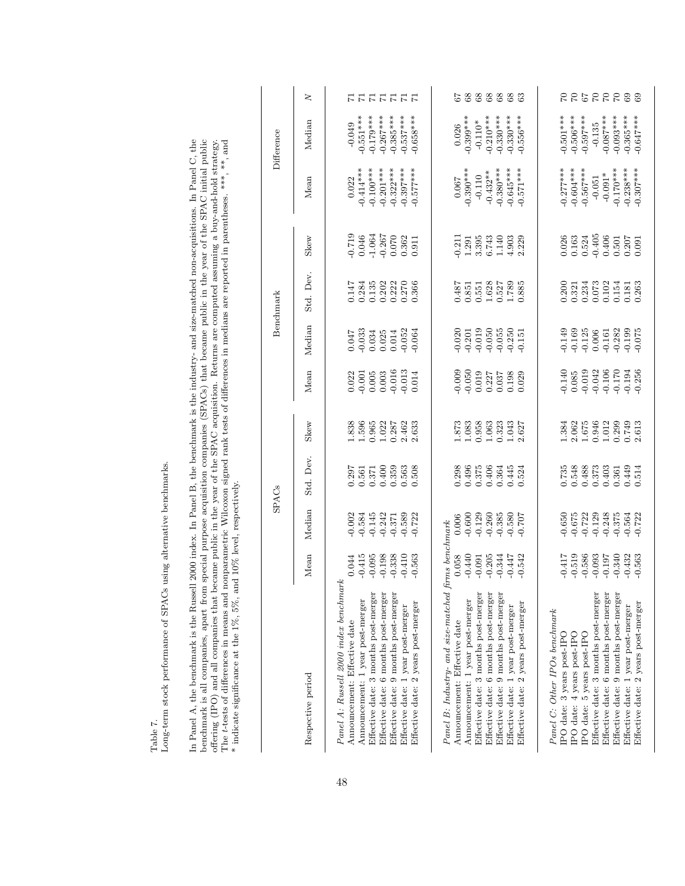|                                                                                                                                                   |                               |                                  | <b>SPACs</b>                |                                                                                   |                                                                         |                                                                 | Benchmark                                                               |                                                                                                          |                                     | Difference                             |           |
|---------------------------------------------------------------------------------------------------------------------------------------------------|-------------------------------|----------------------------------|-----------------------------|-----------------------------------------------------------------------------------|-------------------------------------------------------------------------|-----------------------------------------------------------------|-------------------------------------------------------------------------|----------------------------------------------------------------------------------------------------------|-------------------------------------|----------------------------------------|-----------|
| Respective period                                                                                                                                 | Mean                          | Median                           | Std. Dev.                   | Skew                                                                              | Mean                                                                    | Median                                                          | Std. Dev.                                                               | Skew                                                                                                     | Mean                                | Median                                 | $\geq$    |
| Panel A: Russell 2000 index benchmark<br>Effective date: 3 months post-merger<br>Announcement: 1 year post-merger<br>Announcement: Effective date | $-0.415$<br>$-0.095$<br>0.044 | $-0.002$<br>$-0.145$<br>$-0.584$ | 0.297<br>0.561<br>0.371     | 1.838<br>1.596<br>0.965                                                           | 0.022<br>$-0.001$                                                       | 0.047                                                           | 0.147<br>0.284<br>0.135                                                 | $\begin{array}{r} -0.719 \\ 0.046 \\ -1.064 \\ -0.267 \\ 0.070 \\ 0.362 \\ 0.362 \\ 0.11 \\ \end{array}$ | $-0.414***$<br>$-0.100***$<br>0.022 | $-0.551***$<br>$-0.179***$<br>$-0.049$ | ロコココココ    |
| Effective date: 6 months post-merger<br>Effective date: 9 months post-merger                                                                      | $-0.198$<br>$-0.338$          | $-0.242$<br>$-0.371$             | $0.359$<br>$0.563$<br>0.400 | $\begin{array}{c} 1.022 \\ 0.287 \\ 2.462 \\ 2.633 \end{array}$                   | $\begin{array}{c} 0.005 \\ 0.003 \\ -0.016 \\ \hline 0.013 \end{array}$ | $\begin{array}{c} 0.033 \\ 0.034 \\ 0.025 \\ 0.014 \end{array}$ | $0.222$<br>$0.270$<br>0.202                                             |                                                                                                          | $-0.322***$<br>$-0.201***$          | $-0.267***$<br>$-0.385***$             |           |
| Effective date: 2 years post-merger<br>Effective date: 1 year post-merger                                                                         | $-0.410$<br>$-0.563$          | $-0.589$<br>$-0.722$             | 0.508                       |                                                                                   | 0.014                                                                   | $-0.052$<br>$-0.064$                                            | 0.366                                                                   |                                                                                                          | $-0.397***$<br>$-0.577***$          | $-0.537***$<br>$-0.658***$             |           |
| Panel B: Industry- and size-matched firms benchmark                                                                                               |                               |                                  |                             |                                                                                   |                                                                         |                                                                 |                                                                         |                                                                                                          |                                     |                                        |           |
| Announcement: 1 year post-merger<br>Announcement: Effective date                                                                                  | $-0.440$<br>0.058             | $-0.600$<br>0.006                | 0.298<br>0.496              | 1.873<br>1.083                                                                    | $-0.009$<br>$-0.050$                                                    | $-0.020$<br>$-0.201$                                            | 0.487<br>0.851                                                          | $-0.211$<br>1.291                                                                                        | $-0.390***$<br>0.067                | $-0.399***$<br>0.026                   |           |
| Effective date: 3 months post-merger<br>Effective date: 6 months post-merger                                                                      | $-0.205$<br>$-0.091$          | $-0.260$<br>$-0.129$             | 0.375<br>0.406              | 0.958<br>1.063                                                                    | 0.019<br>0.227                                                          | $-0.019$<br>$-0.050$                                            | 1.628<br>0.551                                                          | $3.395$<br>$6.743$                                                                                       | $-0.432***$<br>$-0.110$             | $-0.210***$<br>$-0.110*$               |           |
| Effective date: 9 months post-merger                                                                                                              | $-0.344$                      | $-0.385$                         | 0.364                       | 0.323                                                                             | 0.037                                                                   | $-0.055$                                                        | 0.527                                                                   | 1.140                                                                                                    | $-0.380***$                         | $-0.330***$                            | 688888    |
| Effective date: 2 years post-merger<br>Effective date: 1 year post-merger                                                                         | $-0.447$<br>$-0.542$          | $-0.580$<br>$-0.707$             | 0.445<br>0.524              | 1.043<br>2.627                                                                    | 0.029<br>0.198                                                          | $-0.250$<br>$-0.151$                                            | 1.789<br>0.885                                                          | 4.903<br>2.229                                                                                           | $-0.645***$<br>$-0.571***$          | $-0.330***$<br>$-0.556***$             | 63        |
| Panel C: Other IPOs benchmark                                                                                                                     |                               |                                  |                             |                                                                                   |                                                                         |                                                                 |                                                                         |                                                                                                          |                                     |                                        |           |
| IPO date: 4 years post-IPO<br>IPO date: 3 years post-IPO                                                                                          | $-0.417$<br>$-0.519$          | 0.650<br>$-0.675$                | 0.548<br>0.735              | 1.384<br>2.062                                                                    | $-0.140$<br>$0.085$                                                     | $-0.149$<br>$-0.169$                                            | 0.200<br>0.321                                                          | $\begin{array}{c} 0.026 \\ 0.163 \\ 0.524 \end{array}$                                                   | $-0.277***$<br>$-0.604***$          | $-0.501***$<br>$-0.506***$             |           |
| IPO date: 5 years post-IPO                                                                                                                        | $-0.586$                      | $-0.722$                         | 0.488                       |                                                                                   |                                                                         | $-0.125$<br>$0.006$                                             | 0.234                                                                   |                                                                                                          | $-0.567***$                         | $-0.597***$                            |           |
| Effective date: 3 months post-merger                                                                                                              | $-0.093$                      | $-0.129$                         | 0.373                       |                                                                                   |                                                                         |                                                                 |                                                                         |                                                                                                          | $-0.051$                            | $-0.135$                               |           |
| Effective date: 6 months post-merger<br>Effective date: 9 months post-merger                                                                      | $-0.340$<br>$-0.197$          | $-0.248$<br>$-0.375$             | 0.403<br>0.361              |                                                                                   |                                                                         |                                                                 |                                                                         |                                                                                                          | $-0.170***$<br>$-0.091*$            | $-0.087***$<br>$-0.093***$             |           |
| Effective date: 2 years post-merger<br>Effective date: 1 year post-merger                                                                         | $-0.432$<br>$-0.563$          | $-0.564$<br>$-0.722$             | 0.449<br>0.514              | $\begin{array}{c} 1.675 \\ 0.946 \\ 1.012 \\ 0.299 \\ 0.749 \\ 0.749 \end{array}$ | $-0.019$<br>$-0.042$<br>$-0.106$<br>$-0.170$<br>$-0.194$<br>$-0.256$    | $-0.161$<br>$-0.282$<br>$-0.199$<br>$-0.075$                    | $\begin{array}{c} 0.073 \\ 0.102 \\ 0.154 \\ 0.181 \\ 0.03 \end{array}$ | $\begin{array}{r} 160 \\ -0.501 \\ 0.501 \\ 0.207 \\ 0.091 \\ \end{array}$                               | $-0.238***$<br>$-0.307***$          | $-0.365***$<br>$-0.647***$             | 669993399 |
|                                                                                                                                                   |                               |                                  |                             |                                                                                   |                                                                         |                                                                 |                                                                         |                                                                                                          |                                     |                                        |           |

Table 7.  $\label{eq:2}$  Long-term stock performance of SPACs using alternative benchmarks. Long-term stock performance of SPACs using alternative benchmarks.

In Panel A, the benchmark is the Russell 2000 index. In Panel B, the benchmark is the industry- and size-matched non-acquisitions. In Panel C, the benchmark is all companies, apart from special purpose acquisition compani benchmark is all companies, apart from special purpose acquisition companies (SPACs) that became public in the year of the SPAC initial public The t-tests of differences in means and nonparametric Wilcoxon signed rank tests of differences in medians are reported in parentheses. \*\*\*, and offering (IPO) and all companies that became public in the year of the SPAC acquisition. Returns are computed assuming a buy-and-hold strategy. \* indicate significance at the 1%, 5%, and 10% level, respectively.

In Panel A, the benchmark is the Russell 2000 index. In Panel B, the benchmark is the industry- and size-matched non-acquisitions. In Panel C, the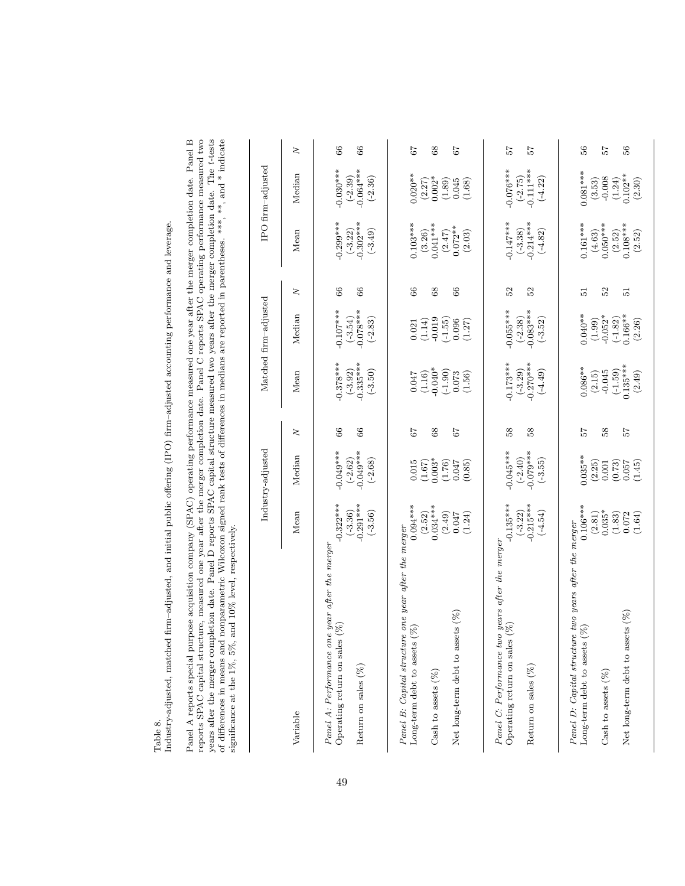Table 8.<br>Industry-adjusted, matched firm-adjusted, and initial public offering (IPO) firm-adjusted accounting performance and leverage. Industry-adjusted, matched firm–adjusted, and initial public offering (IPO) firm–adjusted accounting performance and leverage. Panel A reports special purpose acquisition company (SPAC) operating performance measured one year after the merger completion date. Panel B reports SPAC capital structure, measured one year after the merger completion da of differences in means and nonparametric Wilcoxon signed rank tests of differences in medians are reported in parentheses. \*\*\*, \*\*, and \* indicate significance at the 1%, 5%, and 10% level, respectively. Panel A reports special purpose acquisition company (SPAC) operating performance measured one year after the merger completion date. Panel B reports SPAC capital structure, measured one year after the merger completion date. Panel C reports SPAC operating performance measured two years after the merger completion date. Panel D reports SPAC capital structure measured two years after the merger completion date. The t-tests of differences in means and nonparametric Wilcoxon signed rank tests of differences in medians are reported in parentheses. \*\*\*, \*\*, and \* indicate significance at the 1%, 5%, and 10% level, respectively.

|                                                                                                                                                                 |                                                                               | Industry-adjusted                                                |                           |                                                                                                  | Matched firm-adjusted                                                |                           |                                                                                                  | IPO firm-adjusted                                                 |                         |
|-----------------------------------------------------------------------------------------------------------------------------------------------------------------|-------------------------------------------------------------------------------|------------------------------------------------------------------|---------------------------|--------------------------------------------------------------------------------------------------|----------------------------------------------------------------------|---------------------------|--------------------------------------------------------------------------------------------------|-------------------------------------------------------------------|-------------------------|
| Variable                                                                                                                                                        | Mean                                                                          | Median                                                           | $\geq$                    | Mean                                                                                             | Median                                                               | $\geq$                    | Mean                                                                                             | Median                                                            | $\geq$                  |
| Panel A: Performance one year after the merger<br>$(\%)$<br>Operating return on sales<br>Return on sales $(\% )$                                                | $-0.322***$<br>$(-3.36)$<br>$-0.291***$<br>$(-3.56)$                          | $0.049***$<br>$(-2.62)$<br>-0.049***<br>$(-2.68)$                | 89<br>66                  | $-0.378***$<br>$(-3.92)$<br>$-0.335***$<br>$(-3.50)$                                             | $-0.107***$<br>$-0.078***$<br>$(-3.54)$<br>$(-2.83)$                 | 66<br>66                  | $0.299***$<br>$\begin{array}{c} (-3.22) \\ -0.302*** \end{array}$<br>$(-3.49)$                   | $-0.030***$<br>$(-2.39)$<br>-0.064***<br>$(-2.36)$                | 66<br>66                |
| Panel B: Capital structure one year after the merger<br>Net long-term debt to assets (%)<br>$\mathcal{S}$<br>Long-term debt to assets<br>Cash to assets $(\%)$  | $0.094***$<br>$0.034***$<br>$\left( 2.52\right)$<br>(2.49)<br>(1.24)<br>0.047 | $0.003*$<br>0.015<br>(1.76)<br>0.047<br>(1.67)<br>(0.85)         | $\mathbf{68}$<br>79<br>67 | $-0.040*$<br>$\begin{array}{c} (-1.90) \\ 0.073 \end{array}$<br>(1.16)<br>(1.56)<br>0.047        | $-0.019$<br>$(-1.55)$<br>0.096<br>(1.14)<br>(1.27)<br>0.021          | 66<br>66<br>68            | $0.103***$<br>$\begin{array}{c} (3.26) \\ 0.041*** \end{array}$<br>$(2.47)$<br>0.072**<br>(2.03) | $0.020**$<br>$0.002*$<br>(2.27)<br>(1.89)<br>0.045<br>(1.68)      | 67<br>$8^{\circ}$<br>67 |
| Panel C: Performance two years after the merger<br>$(\%)$<br>Operating return on sales<br>Return on sales (%)                                                   | $(-3.22)$<br>$-0.215***$<br>$-0.135***$<br>$(-4.54)$                          | $(-2.40)$<br>-0.079***<br>$-0.045***$<br>$(-3.55)$               | 58<br>38                  | $-0.173***$<br>$(-3.29)$<br>-0.270***<br>$(-4.49)$                                               | $-0.055***$<br>$-0.083***$<br>$(-2.38)$<br>$(-3.52)$                 | 52<br>52                  | $-0.147***$<br>$(-3.38)$<br>$-0.214***$<br>$(-4.82)$                                             | $-0.076***$<br>$(-2.75)$<br>-0.111***<br>$(-4.22)$                | 25<br>25                |
| Panel D: Capital structure two years after the merger<br>Net long-term debt to assets (%)<br>$\mathcal{S}$<br>Long-term debt to assets<br>Cash to assets $(\%)$ | $0.106***$<br>$0.035*$<br>(2.81)<br>(1.83)<br>0.072<br>(1.64)                 | $0.035***$<br>(2.25)<br>$\binom{0.73}{0.057}$<br>(1.45)<br>0.001 | 38<br>75<br>75            | $\begin{array}{c} (-1.59) \\ 0.135*** \end{array}$<br>$0.086***$<br>$-0.045$<br>(2.49)<br>(2.15) | $0.040**$<br>$0.166**$<br>$-0.052*$<br>$(-1.82)$<br>(1.99)<br>(2.26) | 23<br>$\overline{5}$<br>5 | $0.161***$<br>$0.108***$<br>$0.050***$<br>$\left( 2.52\right)$<br>$\left( 4.63\right)$<br>(2.52) | $0.081***$<br>$(1.24)$<br>0.102**<br>$-0.008$<br>(3.53)<br>(2.30) | 25<br>86<br>S6          |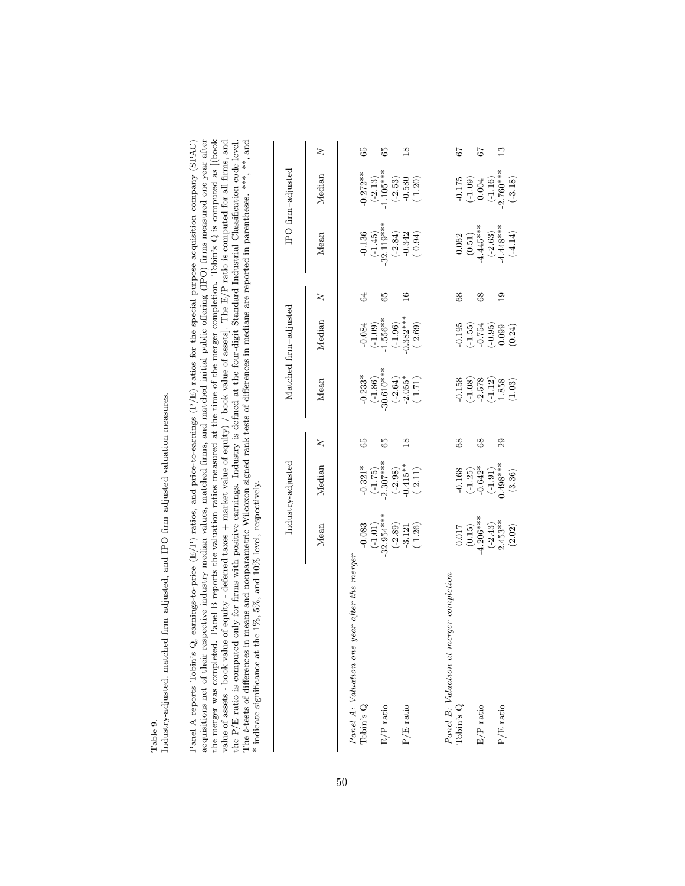Table 9.<br>Industry-adjusted, matched firm–adjusted, and IPO firm–adjusted valuation measures. Industry-adjusted, matched firm–adjusted, and IPO firm–adjusted valuation measures. Panel A reports Tohin's Q, earnings-to-price (E/P) ratios, and price-to-earnings (P/E) ratios for the special purpose acquisition company (SPAC) acquisitions net of their respective industry median values, matched firms, acquisitions net of their respective industry median values, matched firms, and matched initial public offering (IPO) firms measured one year after the merger was completed. Panel B reports the valuation ratios measured at the time of the merger completion. Tobin's Q is computed as [(book value of assets - book value of equity - deferred taxes + market value of equity) / book value of assets]. The E/P ratio is computed for all firms, and The *t*-tests of differences in means and nonparametric Wilcoxon signed rank tests of differences in medians are reported in parentheses. \*\*\*, \*\*\*, and Panel A reports Tobin's Q, earnings-to-price (E/P) ratios, and price-to-earnings (P/E) ratios for the special purpose acquisition company (SPAC) the P/E ratio is computed only for firms with positive earnings. Industry is defined at the four-digit Standard Industrial Classification code level. \* indicate significance at the 1%, 5%, and 10% level, respectively.

|                                                 |                                                                                        | Industry-adjusted                                                                              |               |                                                                                  | Matched firm-adjusted                                                                 |            |                                                                            | IPO firm-adjusted                                                            |                |
|-------------------------------------------------|----------------------------------------------------------------------------------------|------------------------------------------------------------------------------------------------|---------------|----------------------------------------------------------------------------------|---------------------------------------------------------------------------------------|------------|----------------------------------------------------------------------------|------------------------------------------------------------------------------|----------------|
|                                                 | Mean                                                                                   | Median                                                                                         | ξ             | Mean                                                                             | Median                                                                                | 2          | Mean                                                                       | Median                                                                       | 2              |
| year after the merge.<br>Panel A: Valuation one |                                                                                        |                                                                                                |               |                                                                                  |                                                                                       |            |                                                                            |                                                                              |                |
| Tobin's $Q$                                     |                                                                                        |                                                                                                | 65            |                                                                                  |                                                                                       |            |                                                                            |                                                                              | 65             |
|                                                 |                                                                                        |                                                                                                |               |                                                                                  |                                                                                       |            |                                                                            |                                                                              |                |
| $\rm E/P$ ratio                                 |                                                                                        |                                                                                                | 59            |                                                                                  |                                                                                       | 65         |                                                                            |                                                                              | 3              |
|                                                 |                                                                                        |                                                                                                |               |                                                                                  |                                                                                       |            |                                                                            |                                                                              |                |
| $P/E$ ratio                                     |                                                                                        |                                                                                                | $\frac{8}{1}$ |                                                                                  |                                                                                       |            |                                                                            |                                                                              | $\frac{8}{18}$ |
|                                                 | $-0.083$<br>$(-1.01)$<br>$-32.954***$<br>$-32.89)$<br>$-3.121$<br>$-3.121$<br>$-1.26)$ | $-0.321$ *<br>$(-1.75)$<br>$-2.307$ ***<br>$(-2.96)$<br>$(-2.98)$<br>$(-2.15)$ **<br>$(-2.11)$ |               | $-0.233*$<br>$(-1.86)$<br>$-30.610**$<br>$-2.655*$<br>$-2.055*$<br>$(-1.71)$     | $-0.084$<br>$(-1.09)$<br>$-1.556**$<br>$-1.96$<br>$(-1.96)$<br>$(-1.96)$<br>$(-2.69)$ |            | $-0.136$<br>$(-1.45)$<br>$-32.119***$<br>$-0.342$<br>$-0.342$<br>$-0.342$  | $-0.272**$<br>$(-2.13)$<br>$1.105***$<br>$(-2.53)$<br>$(-2.53)$<br>$(-1.20)$ |                |
|                                                 |                                                                                        |                                                                                                |               |                                                                                  |                                                                                       |            |                                                                            |                                                                              |                |
| Panel B: Valuation at merger completion         |                                                                                        |                                                                                                |               |                                                                                  |                                                                                       |            |                                                                            |                                                                              |                |
| $\Delta \text{D}$ $\Omega$                      |                                                                                        |                                                                                                | $^{\rm 8}$    |                                                                                  |                                                                                       | $^{88}$    |                                                                            |                                                                              | 57             |
|                                                 |                                                                                        |                                                                                                |               |                                                                                  |                                                                                       |            |                                                                            |                                                                              |                |
| $\rm E/P$ ratio                                 |                                                                                        |                                                                                                | $^{\rm 8}$    |                                                                                  |                                                                                       | $^{\circ}$ |                                                                            |                                                                              | 7              |
|                                                 |                                                                                        |                                                                                                |               |                                                                                  |                                                                                       |            |                                                                            |                                                                              |                |
| P/E ratio                                       |                                                                                        |                                                                                                | $^{29}$       |                                                                                  |                                                                                       | ≘          |                                                                            |                                                                              | ≌              |
|                                                 | $0.017$<br>$(0.15)$<br>$4.206***$<br>$(-2.43)$<br>$2.453**$<br>(2.02)                  | $-0.168$<br>$(-1.25)$<br>$-0.642$ <sup>*</sup><br>$-1.91)$<br>$(-1.91)$<br>$(3.36)$            |               | $-0.158$<br>$(-1.08)$<br>$-2.578$<br>$(-1.12)$<br>$1.858$<br>$1.858$<br>$(1.03)$ | $-0.195$<br>$(-1.55)$<br>$-0.754$<br>$-0.099$<br>$-0.099$<br>$-0.099$                 |            | $0.062$<br>$(0.51)$<br>$4.445***$<br>$(-2.63)$<br>$(-4.48***$<br>$(-4.14)$ | $-0.175$<br>$(-1.09)$<br>$0.004$<br>$(-1.16)$<br>$(-1.16)$<br>$(-3.18)$      |                |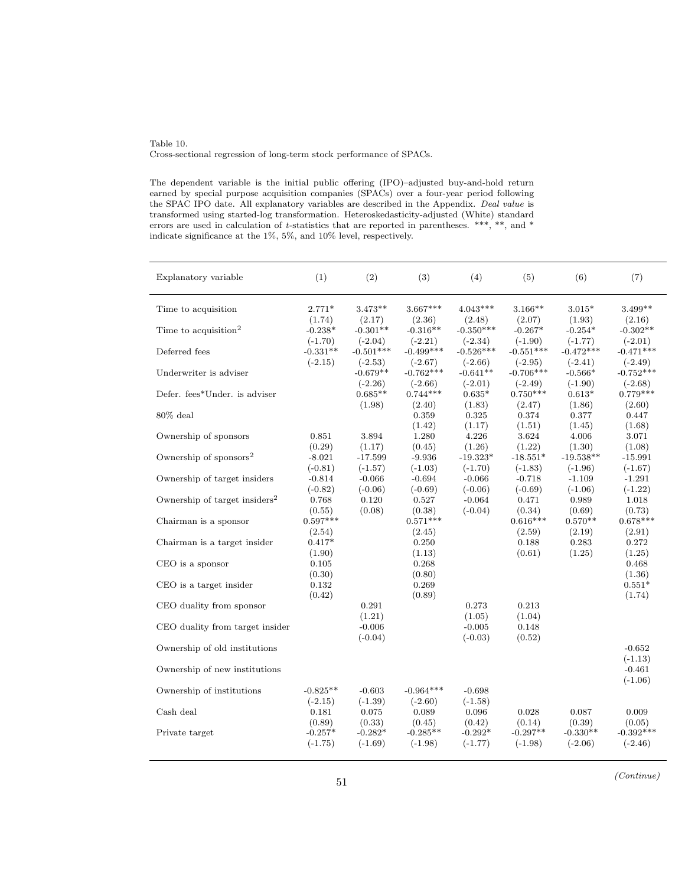#### Table 10. Cross-sectional regression of long-term stock performance of SPACs.

The dependent variable is the initial public offering (IPO)–adjusted buy-and-hold return earned by special purpose acquisition companies (SPACs) over a four-year period following the SPAC IPO date. All explanatory variables are described in the Appendix. Deal value is transformed using started-log transformation. Heteroskedasticity-adjusted (White) standard errors are used in calculation of t-statistics that are reported in parentheses. \*\*\*, \*\*, and \* indicate significance at the 1%, 5%, and 10% level, respectively.

| Explanatory variable                      | (1)                     | (2)                      | (3)                       | (4)                       | (5)                       | (6)                       | (7)                           |
|-------------------------------------------|-------------------------|--------------------------|---------------------------|---------------------------|---------------------------|---------------------------|-------------------------------|
| Time to acquisition                       | $2.771*$                | $3.473**$                | $3.667***$                | $4.043***$                | $3.166**$                 | $3.015*$                  | $3.499**$                     |
| Time to acquisition <sup>2</sup>          | (1.74)<br>$-0.238*$     | (2.17)<br>$-0.301**$     | (2.36)<br>$-0.316**$      | (2.48)<br>$-0.350***$     | (2.07)<br>$-0.267*$       | (1.93)<br>$-0.254*$       | (2.16)<br>$-0.302**$          |
| Deferred fees                             | $(-1.70)$<br>$-0.331**$ | $(-2.04)$<br>$-0.501***$ | $(-2.21)$<br>$-0.499***$  | $(-2.34)$<br>$-0.526***$  | $(-1.90)$<br>$-0.551***$  | $(-1.77)$<br>$-0.472***$  | $(-2.01)$<br>$-0.471***$      |
| Underwriter is adviser                    | $(-2.15)$               | $(-2.53)$<br>$-0.679**$  | $(-2.67)$<br>$-0.762***$  | $(-2.66)$<br>$-0.641**$   | $(-2.95)$<br>$-0.706***$  | $(-2.41)$<br>$-0.566*$    | $(-2.49)$<br>$-0.752***$      |
| Defer. fees*Under. is adviser             |                         | $(-2.26)$<br>$0.685**$   | $(-2.66)$<br>$0.744***$   | $(-2.01)$<br>$0.635*$     | $(-2.49)$<br>$0.750***$   | $(-1.90)$<br>$0.613*$     | $(-2.68)$<br>$0.779***$       |
| $80\%$ deal                               |                         | (1.98)                   | (2.40)<br>0.359           | (1.83)<br>0.325           | (2.47)<br>0.374           | (1.86)<br>0.377           | (2.60)<br>0.447               |
| Ownership of sponsors                     | 0.851<br>(0.29)         | 3.894<br>(1.17)          | (1.42)<br>1.280<br>(0.45) | (1.17)<br>4.226<br>(1.26) | (1.51)<br>3.624<br>(1.22) | (1.45)<br>4.006<br>(1.30) | (1.68)<br>$3.071\,$<br>(1.08) |
| Ownership of sponsors $2$                 | $-8.021$<br>$(-0.81)$   | $-17.599$<br>$(-1.57)$   | $-9.936$<br>$(-1.03)$     | $-19.323*$<br>$(-1.70)$   | $-18.551*$<br>$(-1.83)$   | $-19.538**$<br>$(-1.96)$  | $-15.991$<br>$(-1.67)$        |
| Ownership of target insiders              | $-0.814$<br>$(-0.82)$   | $-0.066$<br>$(-0.06)$    | $-0.694$<br>$(-0.69)$     | $-0.066$<br>$(-0.06)$     | $-0.718$<br>$(-0.69)$     | $-1.109$<br>$(-1.06)$     | $-1.291$<br>$(-1.22)$         |
| Ownership of target insiders <sup>2</sup> | 0.768<br>(0.55)         | 0.120<br>(0.08)          | 0.527<br>(0.38)           | $-0.064$<br>$(-0.04)$     | 0.471<br>(0.34)           | 0.989<br>(0.69)           | 1.018<br>(0.73)               |
| Chairman is a sponsor                     | $0.597***$<br>(2.54)    |                          | $0.571***$<br>(2.45)      |                           | $0.616***$<br>(2.59)      | $0.570**$<br>(2.19)       | $0.678***$<br>(2.91)          |
| Chairman is a target insider              | $0.417*$<br>(1.90)      |                          | 0.250<br>(1.13)           |                           | 0.188<br>(0.61)           | 0.283<br>(1.25)           | 0.272<br>(1.25)               |
| CEO is a sponsor                          | 0.105<br>(0.30)         |                          | 0.268<br>(0.80)           |                           |                           |                           | 0.468<br>(1.36)               |
| CEO is a target insider                   | 0.132<br>(0.42)         |                          | 0.269<br>(0.89)           |                           |                           |                           | $0.551*$<br>(1.74)            |
| CEO duality from sponsor                  |                         | 0.291<br>(1.21)          |                           | 0.273<br>(1.05)           | 0.213<br>(1.04)           |                           |                               |
| CEO duality from target insider           |                         | $-0.006$<br>$(-0.04)$    |                           | $-0.005$<br>$(-0.03)$     | 0.148<br>(0.52)           |                           |                               |
| Ownership of old institutions             |                         |                          |                           |                           |                           |                           | $-0.652$<br>$(-1.13)$         |
| Ownership of new institutions             |                         |                          |                           |                           |                           |                           | $-0.461$<br>$(-1.06)$         |
| Ownership of institutions                 | $-0.825**$<br>$(-2.15)$ | $-0.603$<br>$(-1.39)$    | $-0.964***$<br>$(-2.60)$  | $-0.698$<br>$(-1.58)$     |                           |                           |                               |
| Cash deal                                 | 0.181<br>(0.89)         | 0.075<br>(0.33)          | 0.089<br>(0.45)           | 0.096<br>(0.42)           | 0.028<br>(0.14)           | 0.087<br>(0.39)           | 0.009<br>(0.05)               |
| Private target                            | $-0.257*$<br>$(-1.75)$  | $-0.282*$<br>$(-1.69)$   | $-0.285**$<br>$(-1.98)$   | $-0.292*$<br>$(-1.77)$    | $-0.297**$<br>$(-1.98)$   | $-0.330**$<br>$(-2.06)$   | $-0.392***$<br>$(-2.46)$      |
|                                           |                         |                          |                           |                           |                           |                           |                               |

(Continue) <sup>51</sup>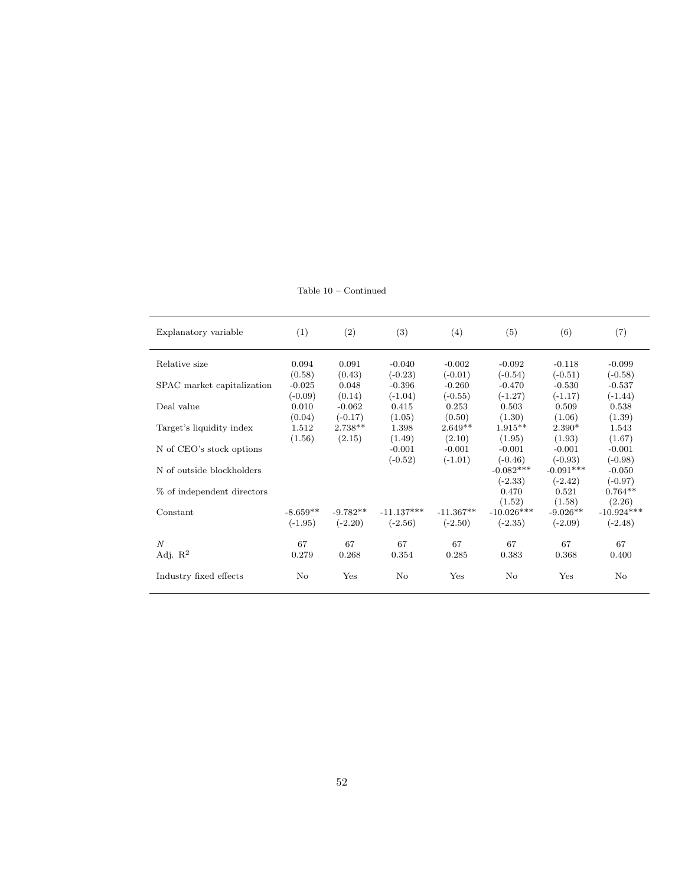Table 10 – Continued

| Explanatory variable       | (1)        | (2)        | (3)          | (4)         | (5)          | (6)         | (7)          |
|----------------------------|------------|------------|--------------|-------------|--------------|-------------|--------------|
| Relative size              | 0.094      | 0.091      | $-0.040$     | $-0.002$    | $-0.092$     | $-0.118$    | $-0.099$     |
|                            | (0.58)     | (0.43)     | $(-0.23)$    | $(-0.01)$   | $(-0.54)$    | $(-0.51)$   | $(-0.58)$    |
| SPAC market capitalization | $-0.025$   | 0.048      | $-0.396$     | $-0.260$    | $-0.470$     | $-0.530$    | $-0.537$     |
|                            | $(-0.09)$  | (0.14)     | $(-1.04)$    | $(-0.55)$   | $(-1.27)$    | $(-1.17)$   | $(-1.44)$    |
| Deal value                 | 0.010      | $-0.062$   | 0.415        | 0.253       | 0.503        | 0.509       | 0.538        |
|                            | (0.04)     | $(-0.17)$  | (1.05)       | (0.50)      | (1.30)       | (1.06)      | (1.39)       |
| Target's liquidity index   | 1.512      | $2.738**$  | 1.398        | $2.649**$   | $1.915**$    | $2.390*$    | 1.543        |
|                            | (1.56)     | (2.15)     | (1.49)       | (2.10)      | (1.95)       | (1.93)      | (1.67)       |
| N of CEO's stock options   |            |            | $-0.001$     | $-0.001$    | $-0.001$     | $-0.001$    | $-0.001$     |
|                            |            |            | $(-0.52)$    | $(-1.01)$   | $(-0.46)$    | $(-0.93)$   | $(-0.98)$    |
| N of outside blockholders  |            |            |              |             | $-0.082***$  | $-0.091***$ | $-0.050$     |
|                            |            |            |              |             | $(-2.33)$    | $(-2.42)$   | $(-0.97)$    |
| % of independent directors |            |            |              |             | 0.470        | 0.521       | $0.764**$    |
|                            |            |            |              |             | (1.52)       | (1.58)      | (2.26)       |
| Constant                   | $-8.659**$ | $-9.782**$ | $-11.137***$ | $-11.367**$ | $-10.026***$ | $-9.026**$  | $-10.924***$ |
|                            | $(-1.95)$  | $(-2.20)$  | $(-2.56)$    | $(-2.50)$   | $(-2.35)$    | $(-2.09)$   | $(-2.48)$    |
| $\overline{N}$             | 67         | 67         | 67           | 67          | 67           | 67          | 67           |
| Adj. $\mathbb{R}^2$        | 0.279      | 0.268      | 0.354        | 0.285       | 0.383        | 0.368       | 0.400        |
| Industry fixed effects     | No         | Yes        | No           | Yes         | $\rm No$     | Yes         | No           |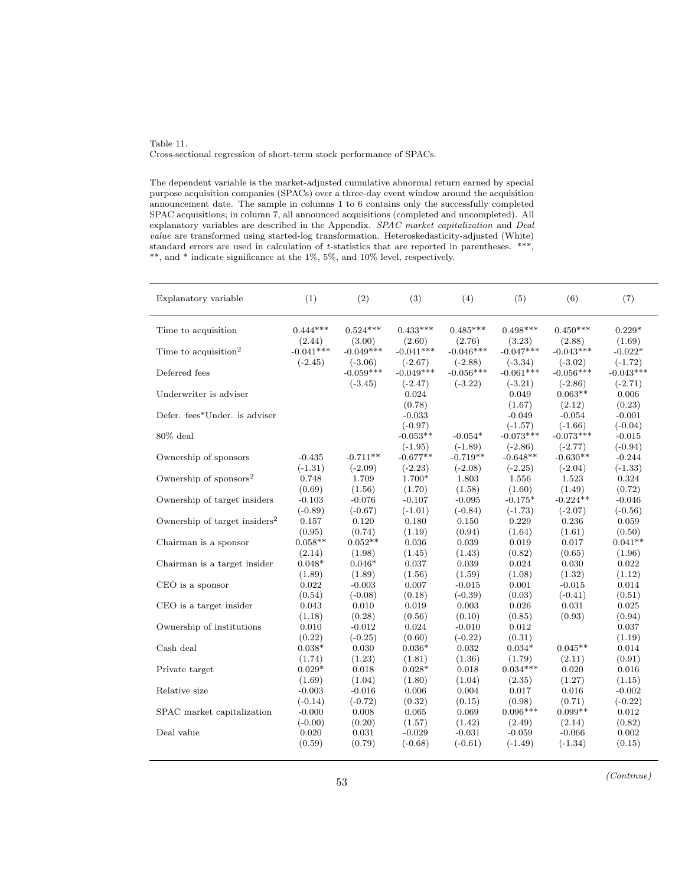#### Table 11. Cross-sectional regression of short-term stock performance of SPACs.

The dependent variable is the market-adjusted cumulative abnormal return earned by special purpose acquisition companies (SPACs) over a three-day event window around the acquisition announcement date. The sample in columns 1 to 6 contains only the successfully completed SPAC acquisitions; in column 7, all announced acquisitions (completed and uncompleted). All explanatory variables are described in the Appendix. SPAC market capitalization and Deal value are transformed using started-log transformation. Heteroskedasticity-adjusted (White) standard errors are used in calculation of t-statistics that are reported in parentheses. \*\*\*, \*\*, and \* indicate significance at the 1%, 5%, and 10% level, respectively.

| Explanatory variable                      | (1)                  | (2)                      | (3)                          | (4)                      | (5)                             | (6)                             | (7)                             |
|-------------------------------------------|----------------------|--------------------------|------------------------------|--------------------------|---------------------------------|---------------------------------|---------------------------------|
| Time to acquisition                       | $0.444***$<br>(2.44) | $0.524***$<br>(3.00)     | $0.433***$<br>(2.60)         | $0.485***$<br>(2.76)     | $0.498***$<br>(3.23)            | $0.450***$                      | $0.229*$                        |
| Time to acquisition <sup>2</sup>          | $-0.041***$          | $-0.049***$              | $-0.041***$                  | $-0.046***$              | $-0.047***$                     | (2.88)<br>$-0.043***$           | (1.69)<br>$-0.022*$             |
| Deferred fees                             | $(-2.45)$            | $(-3.06)$<br>$-0.059***$ | $(-2.67)$<br>$-0.049***$     | $(-2.88)$<br>$-0.056***$ | $(-3.34)$<br>$-0.061***$        | $(-3.02)$<br>$-0.056***$        | $(-1.72)$<br>$-0.043***$        |
| Underwriter is adviser                    |                      | $(-3.45)$                | $(-2.47)$<br>0.024<br>(0.78) | $(-3.22)$                | $(-3.21)$<br>0.049              | $(-2.86)$<br>$0.063**$          | $(-2.71)$<br>0.006              |
| Defer. fees*Under. is adviser             |                      |                          | $-0.033$<br>$(-0.97)$        |                          | (1.67)<br>$-0.049$<br>$(-1.57)$ | (2.12)<br>$-0.054$<br>$(-1.66)$ | (0.23)<br>$-0.001$<br>$(-0.04)$ |
| $80\%$ deal                               |                      |                          | $-0.053**$<br>$(-1.95)$      | $-0.054*$<br>$(-1.89)$   | $-0.073***$<br>$(-2.86)$        | $-0.073***$<br>$(-2.77)$        | $-0.015$<br>$(-0.94)$           |
| Ownership of sponsors                     | $-0.435$             | $-0.711**$               | $-0.677**$                   | $-0.719**$               | $-0.648**$                      | $-0.630**$                      | $-0.244$                        |
|                                           | $(-1.31)$            | $(-2.09)$                | $(-2.23)$                    | $(-2.08)$                | $(-2.25)$                       | $(-2.04)$                       | $(-1.33)$                       |
| Ownership of sponsors $2$                 | 0.748                | 1.709                    | 1.700*                       | 1.803                    | 1.556                           | 1.523                           | 0.324                           |
|                                           | (0.69)               | (1.56)                   | (1.70)                       | (1.58)                   | (1.60)                          | (1.49)                          | (0.72)                          |
| Ownership of target insiders              | $-0.103$             | $-0.076$                 | $-0.107$                     | $-0.095$                 | $-0.175*$                       | $-0.224**$                      | $-0.046$                        |
|                                           | $(-0.89)$            | $(-0.67)$                | $(-1.01)$                    | $(-0.84)$                | $(-1.73)$                       | $(-2.07)$                       | $(-0.56)$                       |
| Ownership of target insiders <sup>2</sup> | 0.157                | 0.120                    | 0.180                        | 0.150                    | 0.229                           | 0.236                           | 0.059                           |
|                                           | (0.95)               | (0.74)                   | (1.19)                       | (0.94)                   | (1.64)                          | (1.61)                          | (0.50)                          |
| Chairman is a sponsor                     | $0.058**$            | $0.052**$                | 0.036                        | 0.039                    | 0.019                           | 0.017                           | $0.041**$                       |
|                                           | (2.14)               | (1.98)                   | (1.45)                       | (1.43)                   | (0.82)                          | (0.65)                          | (1.96)                          |
| Chairman is a target insider              | $0.048*$             | $0.046*$                 | 0.037                        | 0.039                    | 0.024                           | 0.030                           | 0.022                           |
|                                           | (1.89)               | (1.89)                   | (1.56)                       | (1.59)                   | (1.08)                          | (1.32)                          | (1.12)                          |
| CEO is a sponsor                          | 0.022                | $-0.003$                 | 0.007                        | $-0.015$                 | 0.001                           | $-0.015$                        | 0.014                           |
|                                           | (0.54)               | $(-0.08)$                | (0.18)                       | $(-0.39)$                | (0.03)                          | $(-0.41)$                       | (0.51)                          |
| CEO is a target insider                   | 0.043                | 0.010                    | 0.019                        | 0.003                    | 0.026                           | 0.031                           | 0.025                           |
|                                           | (1.18)               | (0.28)                   | (0.56)                       | (0.10)                   | (0.85)                          | (0.93)                          | (0.94)                          |
| Ownership of institutions                 | 0.010<br>(0.22)      | $-0.012$<br>$(-0.25)$    | 0.024<br>(0.60)              | $-0.010$<br>$(-0.22)$    | 0.012<br>(0.31)                 |                                 | 0.037<br>(1.19)                 |
| Cash deal                                 | $0.038*$             | 0.030                    | $0.036*$                     | 0.032                    | $0.034*$                        | $0.045**$                       | 0.014                           |
|                                           | (1.74)               | (1.23)                   | (1.81)                       | (1.36)                   | (1.79)                          | (2.11)                          | (0.91)                          |
| Private target                            | $0.029*$             | 0.018                    | $0.028*$                     | 0.018                    | $0.034***$                      | 0.020                           | 0.016                           |
|                                           | (1.69)               | (1.04)                   | (1.80)                       | (1.04)                   | (2.35)                          | (1.27)                          | (1.15)                          |
| Relative size                             | $-0.003$             | $-0.016$                 | 0.006                        | 0.004                    | 0.017                           | 0.016                           | $-0.002$                        |
|                                           | $(-0.14)$            | $(-0.72)$                | (0.32)                       | (0.15)                   | (0.98)                          | (0.71)                          | $(-0.22)$                       |
| SPAC market capitalization                | $-0.000$             | 0.008                    | 0.065                        | 0.069                    | $0.096***$                      | $0.099**$                       | 0.012                           |
|                                           | $(-0.00)$            | (0.20)                   | (1.57)                       | (1.42)                   | (2.49)                          | (2.14)                          | (0.82)                          |
| Deal value                                | 0.020                | 0.031                    | $-0.029$                     | $-0.031$                 | $-0.059$                        | $-0.066$                        | 0.002                           |
|                                           | (0.59)               | (0.79)                   | $(-0.68)$                    | $(-0.61)$                | $(-1.49)$                       | $(-1.34)$                       | (0.15)                          |

(Continue) <sup>53</sup>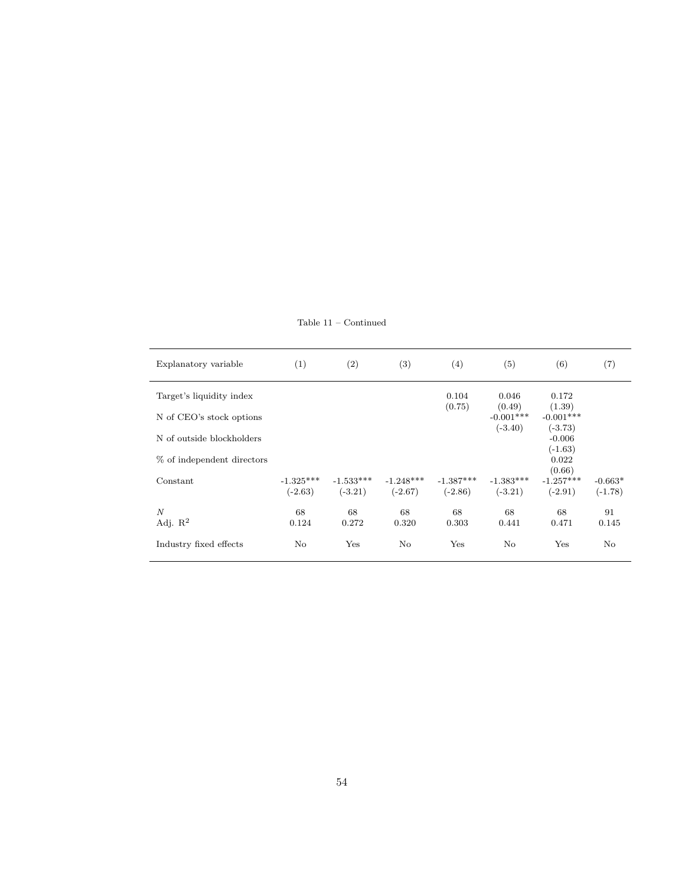Table 11 – Continued

| Explanatory variable       | (1)         | (2)         | (3)            | (4)         | (5)                      | (6)                   | (7)       |
|----------------------------|-------------|-------------|----------------|-------------|--------------------------|-----------------------|-----------|
| Target's liquidity index   |             |             |                | 0.104       | 0.046                    | 0.172                 |           |
|                            |             |             |                | (0.75)      | (0.49)                   | (1.39)<br>$-0.001***$ |           |
| N of CEO's stock options   |             |             |                |             | $-0.001***$<br>$(-3.40)$ | $(-3.73)$             |           |
| N of outside blockholders  |             |             |                |             |                          | $-0.006$              |           |
|                            |             |             |                |             |                          | $(-1.63)$             |           |
| % of independent directors |             |             |                |             |                          | 0.022<br>(0.66)       |           |
| Constant                   | $-1.325***$ | $-1.533***$ | $-1.248***$    | $-1.387***$ | $-1.383***$              | $-1.257***$           | $-0.663*$ |
|                            | $(-2.63)$   | $(-3.21)$   | $(-2.67)$      | $(-2.86)$   | $(-3.21)$                | $(-2.91)$             | $(-1.78)$ |
| N                          | 68          | 68          | 68             | 68          | 68                       | 68                    | 91        |
| Adj. $R^2$                 | 0.124       | 0.272       | 0.320          | 0.303       | 0.441                    | 0.471                 | 0.145     |
| Industry fixed effects     | $\rm No$    | Yes         | N <sub>o</sub> | Yes         | $\rm No$                 | Yes                   | $\rm No$  |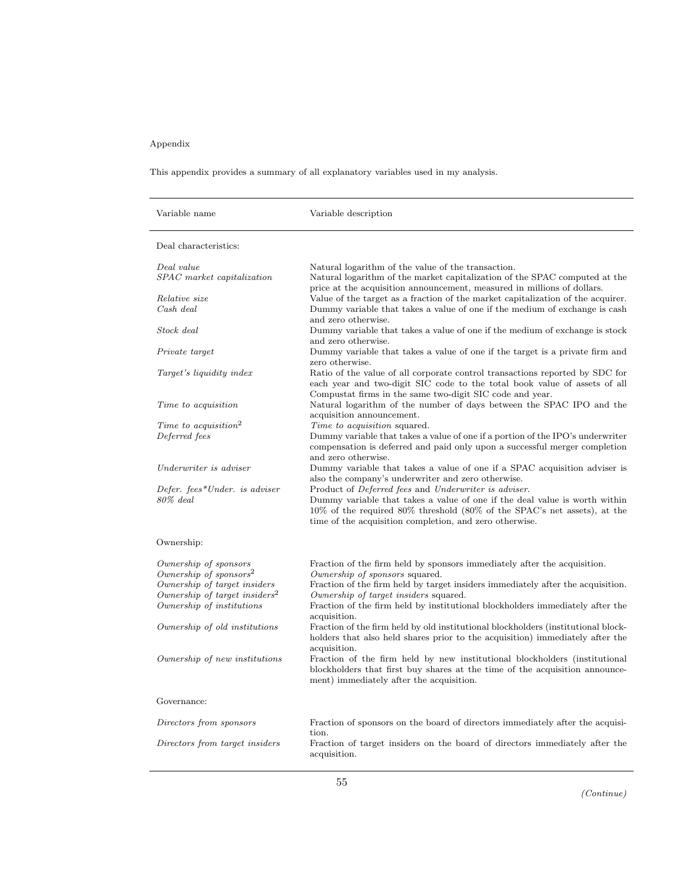# Appendix

This appendix provides a summary of all explanatory variables used in my analysis.

| Variable name                                                                                                                                                         | Variable description                                                                                                                                                                                                                                                                                                                    |
|-----------------------------------------------------------------------------------------------------------------------------------------------------------------------|-----------------------------------------------------------------------------------------------------------------------------------------------------------------------------------------------------------------------------------------------------------------------------------------------------------------------------------------|
| Deal characteristics:                                                                                                                                                 |                                                                                                                                                                                                                                                                                                                                         |
| Deal value<br>SPAC market capitalization                                                                                                                              | Natural logarithm of the value of the transaction.<br>Natural logarithm of the market capitalization of the SPAC computed at the<br>price at the acquisition announcement, measured in millions of dollars.                                                                                                                             |
| <i>Relative size</i><br>$Cash$ deal                                                                                                                                   | Value of the target as a fraction of the market capitalization of the acquirer.<br>Dummy variable that takes a value of one if the medium of exchange is cash<br>and zero otherwise.                                                                                                                                                    |
| Stock deal                                                                                                                                                            | Dummy variable that takes a value of one if the medium of exchange is stock<br>and zero otherwise.                                                                                                                                                                                                                                      |
| Private target                                                                                                                                                        | Dummy variable that takes a value of one if the target is a private firm and<br>zero otherwise.                                                                                                                                                                                                                                         |
| Target's liquidity index                                                                                                                                              | Ratio of the value of all corporate control transactions reported by SDC for<br>each year and two-digit SIC code to the total book value of assets of all<br>Compustat firms in the same two-digit SIC code and year.                                                                                                                   |
| Time to acquisition                                                                                                                                                   | Natural logarithm of the number of days between the SPAC IPO and the<br>acquisition announcement.                                                                                                                                                                                                                                       |
| $\label{eq:Time} Time\ to\ acquisition^2$<br>Deferred fees                                                                                                            | <i>Time to acquisition</i> squared.<br>Dummy variable that takes a value of one if a portion of the IPO's underwriter<br>compensation is deferred and paid only upon a successful merger completion<br>and zero otherwise.                                                                                                              |
| Underwriter is adviser                                                                                                                                                | Dummy variable that takes a value of one if a SPAC acquisition adviser is<br>also the company's underwriter and zero otherwise.                                                                                                                                                                                                         |
| Defer. fees*Under. is adviser<br>$80\%$ deal                                                                                                                          | Product of Deferred fees and Underwriter is adviser.<br>Dummy variable that takes a value of one if the deal value is worth within<br>$10\%$ of the required 80% threshold (80% of the SPAC's net assets), at the<br>time of the acquisition completion, and zero otherwise.                                                            |
| Ownership:                                                                                                                                                            |                                                                                                                                                                                                                                                                                                                                         |
| Ownership of sponsors<br>Ownership of sponsors <sup>2</sup><br>Ownership of target insiders<br>Ownership of target insiders <sup>2</sup><br>Ownership of institutions | Fraction of the firm held by sponsors immediately after the acquisition.<br>Ownership of sponsors squared.<br>Fraction of the firm held by target insiders immediately after the acquisition.<br>Ownership of target insiders squared.<br>Fraction of the firm held by institutional blockholders immediately after the<br>acquisition. |
| Ownership of old institutions                                                                                                                                         | Fraction of the firm held by old institutional blockholders (institutional block-<br>holders that also held shares prior to the acquisition) immediately after the<br>acquisition.                                                                                                                                                      |
| Ownership of new institutions                                                                                                                                         | Fraction of the firm held by new institutional blockholders (institutional<br>blockholders that first buy shares at the time of the acquisition announce-<br>ment) immediately after the acquisition.                                                                                                                                   |
| Governance:                                                                                                                                                           |                                                                                                                                                                                                                                                                                                                                         |
| Directors from sponsors                                                                                                                                               | Fraction of sponsors on the board of directors immediately after the acquisi-<br>tion.                                                                                                                                                                                                                                                  |
| Directors from target insiders                                                                                                                                        | Fraction of target insiders on the board of directors immediately after the<br>acquisition.                                                                                                                                                                                                                                             |